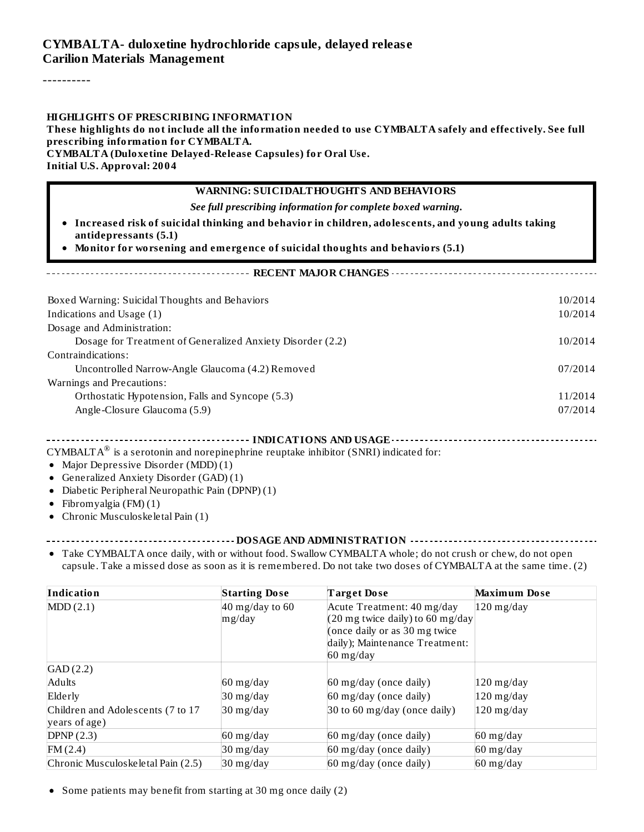#### **CYMBALTA- duloxetine hydrochloride capsule, delayed releas e Carilion Materials Management**

----------

#### **HIGHLIGHTS OF PRESCRIBING INFORMATION**

These highlights do not include all the information needed to use CYMBALTA safely and effectively. See full **prescribing information for CYMBALTA.**

**CYMBALTA (Duloxetine Delayed-Release Capsules) for Oral Use.**

**Initial U.S. Approval: 2004**

#### **WARNING: SUICIDALTHOUGHTS AND BEHAVIORS**

*See full prescribing information for complete boxed warning.*

- **Increased risk of suicidal thinking and behavior in children, adolescents, and young adults taking antidepressants (5.1)**
- **Monitor for worsening and emergence of suicidal thoughts and behaviors (5.1)**

#### **RECENT MAJOR CHANGES**

| Boxed Warning: Suicidal Thoughts and Behaviors             | 10/2014 |
|------------------------------------------------------------|---------|
| Indications and Usage (1)                                  | 10/2014 |
| Dosage and Administration:                                 |         |
| Dosage for Treatment of Generalized Anxiety Disorder (2.2) | 10/2014 |
| Contraindications:                                         |         |
| Uncontrolled Narrow-Angle Glaucoma (4.2) Removed           | 07/2014 |
| Warnings and Precautions:                                  |         |
| Orthostatic Hypotension, Falls and Syncope (5.3)           | 11/2014 |
| Angle-Closure Glaucoma (5.9)                               | 07/2014 |
|                                                            |         |

#### **INDICATIONS AND USAGE**

 $\mathsf{CYMBALTA}^\circledast$  is a serotonin and norepinephrine reuptake inhibitor (SNRI) indicated for:

- Major Depressive Disorder (MDD) (1)
- Generalized Anxiety Disorder (GAD) (1)
- Diabetic Peripheral Neuropathic Pain (DPNP) (1)
- Fibromyalgia (FM)  $(1)$
- Chronic Musculoskeletal Pain (1)

#### **DOSAGE AND ADMINISTRATION**

Take CYMBALTA once daily, with or without food. Swallow CYMBALTA whole; do not crush or chew, do not open capsule. Take a missed dose as soon as it is remembered. Do not take two doses of CYMBALTA at the same time. (2)

| Indication                          | <b>Starting Dose</b>              | <b>Target Dose</b>               | <b>Maximum Dose</b>               |
|-------------------------------------|-----------------------------------|----------------------------------|-----------------------------------|
| MDD(2.1)                            | $40$ mg/day to 60                 | Acute Treatment: 40 mg/day       | $120$ mg/day                      |
|                                     | mg/day                            | (20 mg twice daily) to 60 mg/day |                                   |
|                                     |                                   | (once daily or as 30 mg twice    |                                   |
|                                     |                                   | daily); Maintenance Treatment:   |                                   |
|                                     |                                   | $60$ mg/day                      |                                   |
| GAD(2.2)                            |                                   |                                  |                                   |
| Adults                              | $60 \frac{\text{mg}}{\text{day}}$ | 60 mg/day (once daily)           | $120$ mg/day                      |
| Elderly                             | $30 \text{ mg/day}$               | $60$ mg/day (once daily)         | $120$ mg/day                      |
| Children and Adolescents (7 to 17   | $30 \text{ mg/day}$               | 30 to 60 mg/day (once daily)     | $120$ mg/day                      |
| years of age)                       |                                   |                                  |                                   |
| DPNP(2.3)                           | $60$ mg/day                       | 60 mg/day (once daily)           | $60$ mg/day                       |
| FM(2.4)                             | $30$ mg/day                       | 60 mg/day (once daily)           | $60 \frac{\text{mg}}{\text{day}}$ |
| Chronic Musculoske letal Pain (2.5) | $30$ mg/day                       | 60 mg/day (once daily)           | $60$ mg/day                       |

Some patients may benefit from starting at 30 mg once daily (2)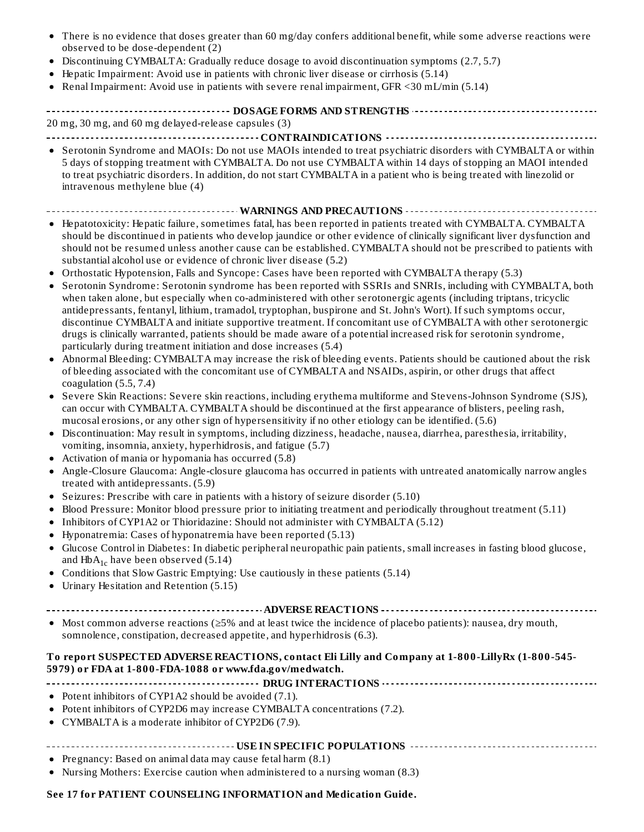- There is no evidence that doses greater than 60 mg/day confers additional benefit, while some adverse reactions were observed to be dose-dependent (2)
- Discontinuing CYMBALTA: Gradually reduce dosage to avoid discontinuation symptoms (2.7, 5.7)
- Hepatic Impairment: Avoid use in patients with chronic liver disease or cirrhosis (5.14)
- Renal Impairment: Avoid use in patients with severe renal impairment, GFR <30 mL/min (5.14)  $\bullet$

#### **DOSAGE FORMS AND STRENGTHS**

20 mg, 30 mg, and 60 mg delayed-release capsules (3)

#### **CONTRAINDICATIONS**

- Serotonin Syndrome and MAOIs: Do not use MAOIs intended to treat psychiatric disorders with CYMBALTA or within 5 days of stopping treatment with CYMBALTA. Do not use CYMBALTA within 14 days of stopping an MAOI intended to treat psychiatric disorders. In addition, do not start CYMBALTA in a patient who is being treated with linezolid or intravenous methylene blue (4)
- **WARNINGS AND PRECAUTIONS**
- Hepatotoxicity: Hepatic failure, sometimes fatal, has been reported in patients treated with CYMBALTA. CYMBALTA should be discontinued in patients who develop jaundice or other evidence of clinically significant liver dysfunction and should not be resumed unless another cause can be established. CYMBALTA should not be prescribed to patients with substantial alcohol use or evidence of chronic liver disease (5.2)
- Orthostatic Hypotension, Falls and Syncope: Cases have been reported with CYMBALTA therapy (5.3)
- Serotonin Syndrome: Serotonin syndrome has been reported with SSRIs and SNRIs, including with CYMBALTA, both when taken alone, but especially when co-administered with other serotonergic agents (including triptans, tricyclic antidepressants, fentanyl, lithium, tramadol, tryptophan, buspirone and St. John's Wort). If such symptoms occur, discontinue CYMBALTA and initiate supportive treatment. If concomitant use of CYMBALTA with other serotonergic drugs is clinically warranted, patients should be made aware of a potential increased risk for serotonin syndrome, particularly during treatment initiation and dose increases (5.4)
- Abnormal Bleeding: CYMBALTA may increase the risk of bleeding events. Patients should be cautioned about the risk of bleeding associated with the concomitant use of CYMBALTA and NSAIDs, aspirin, or other drugs that affect coagulation (5.5, 7.4)
- Severe Skin Reactions: Severe skin reactions, including erythema multiforme and Stevens-Johnson Syndrome (SJS), can occur with CYMBALTA. CYMBALTA should be discontinued at the first appearance of blisters, peeling rash, mucosal erosions, or any other sign of hypersensitivity if no other etiology can be identified. (5.6)
- Discontinuation: May result in symptoms, including dizziness, headache, nausea, diarrhea, paresthesia, irritability,  $\bullet$ vomiting, insomnia, anxiety, hyperhidrosis, and fatigue (5.7)
- Activation of mania or hypomania has occurred (5.8)
- Angle-Closure Glaucoma: Angle-closure glaucoma has occurred in patients with untreated anatomically narrow angles treated with antidepressants. (5.9)
- Seizures: Prescribe with care in patients with a history of seizure disorder (5.10)
- Blood Pressure: Monitor blood pressure prior to initiating treatment and periodically throughout treatment (5.11)
- Inhibitors of CYP1A2 or Thioridazine: Should not administer with CYMBALTA (5.12)  $\bullet$
- Hyponatremia: Cases of hyponatremia have been reported (5.13)
- Glucose Control in Diabetes: In diabetic peripheral neuropathic pain patients, small increases in fasting blood glucose,  $\bullet$ and  $HbA_{1c}$  have been observed (5.14)
- Conditions that Slow Gastric Emptying: Use cautiously in these patients (5.14)  $\bullet$
- Urinary Hesitation and Retention (5.15)  $\bullet$

#### **To report SUSPECTED ADVERSE REACTIONS, contact Eli Lilly and Company at 1-800-LillyRx (1-800-545- 5979) or FDA at 1-800-FDA-1088 or www.fda.gov/medwatch.**

**DRUG INTERACTIONS**

- Potent inhibitors of CYP1A2 should be avoided (7.1).
- Potent inhibitors of CYP2D6 may increase CYMBALTA concentrations (7.2).
- CYMBALTA is a moderate inhibitor of CYP2D6 (7.9).
- **USE IN SPECIFIC POPULATIONS**
- Pregnancy: Based on animal data may cause fetal harm (8.1)
- Nursing Mothers: Exercise caution when administered to a nursing woman (8.3)

#### **See 17 for PATIENT COUNSELING INFORMATION and Medication Guide.**

**ADVERSE REACTIONS** Most common adverse reactions (≥5% and at least twice the incidence of placebo patients): nausea, dry mouth,  $\bullet$ somnolence, constipation, decreased appetite, and hyperhidrosis (6.3).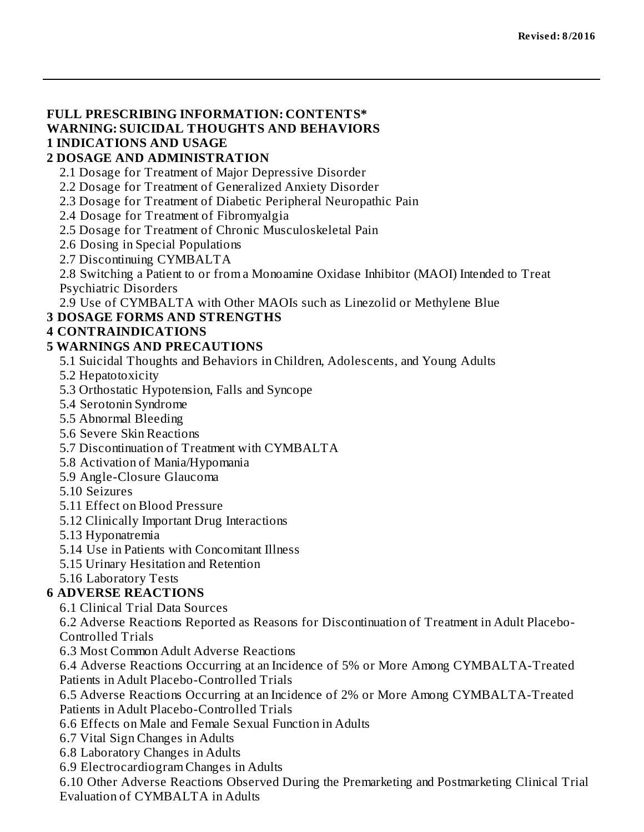## **FULL PRESCRIBING INFORMATION: CONTENTS\* WARNING: SUICIDAL THOUGHTS AND BEHAVIORS**

## **1 INDICATIONS AND USAGE**

#### **2 DOSAGE AND ADMINISTRATION**

2.1 Dosage for Treatment of Major Depressive Disorder

- 2.2 Dosage for Treatment of Generalized Anxiety Disorder
- 2.3 Dosage for Treatment of Diabetic Peripheral Neuropathic Pain
- 2.4 Dosage for Treatment of Fibromyalgia
- 2.5 Dosage for Treatment of Chronic Musculoskeletal Pain
- 2.6 Dosing in Special Populations
- 2.7 Discontinuing CYMBALTA

2.8 Switching a Patient to or from a Monoamine Oxidase Inhibitor (MAOI) Intended to Treat Psychiatric Disorders

2.9 Use of CYMBALTA with Other MAOIs such as Linezolid or Methylene Blue

#### **3 DOSAGE FORMS AND STRENGTHS**

#### **4 CONTRAINDICATIONS**

#### **5 WARNINGS AND PRECAUTIONS**

- 5.1 Suicidal Thoughts and Behaviors in Children, Adolescents, and Young Adults
- 5.2 Hepatotoxicity
- 5.3 Orthostatic Hypotension, Falls and Syncope
- 5.4 Serotonin Syndrome
- 5.5 Abnormal Bleeding
- 5.6 Severe Skin Reactions
- 5.7 Discontinuation of Treatment with CYMBALTA
- 5.8 Activation of Mania/Hypomania
- 5.9 Angle-Closure Glaucoma
- 5.10 Seizures
- 5.11 Effect on Blood Pressure
- 5.12 Clinically Important Drug Interactions
- 5.13 Hyponatremia
- 5.14 Use in Patients with Concomitant Illness
- 5.15 Urinary Hesitation and Retention
- 5.16 Laboratory Tests

#### **6 ADVERSE REACTIONS**

6.1 Clinical Trial Data Sources

6.2 Adverse Reactions Reported as Reasons for Discontinuation of Treatment in Adult Placebo-Controlled Trials

6.3 Most Common Adult Adverse Reactions

6.4 Adverse Reactions Occurring at an Incidence of 5% or More Among CYMBALTA-Treated Patients in Adult Placebo-Controlled Trials

6.5 Adverse Reactions Occurring at an Incidence of 2% or More Among CYMBALTA-Treated Patients in Adult Placebo-Controlled Trials

6.6 Effects on Male and Female Sexual Function in Adults

6.7 Vital Sign Changes in Adults

6.8 Laboratory Changes in Adults

6.9 Electrocardiogram Changes in Adults

6.10 Other Adverse Reactions Observed During the Premarketing and Postmarketing Clinical Trial Evaluation of CYMBALTA in Adults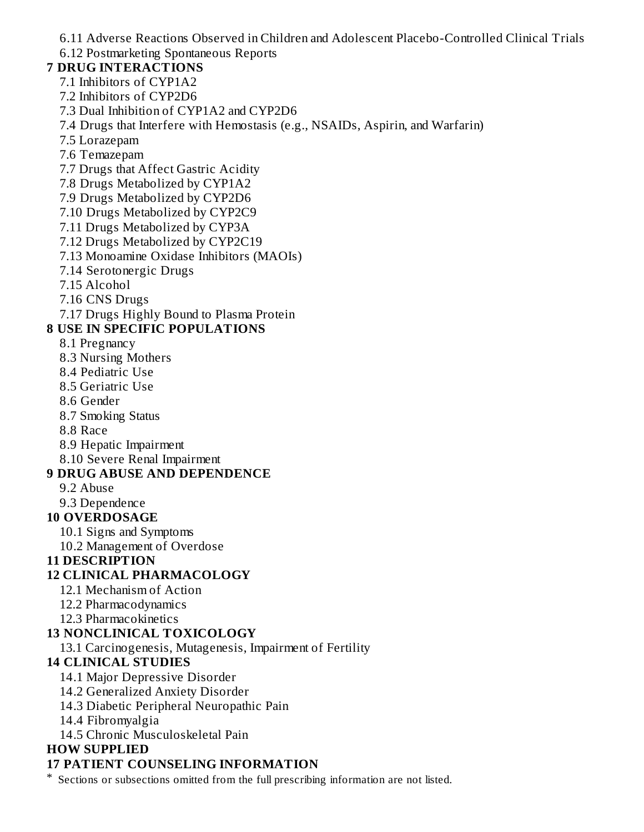6.11 Adverse Reactions Observed in Children and Adolescent Placebo-Controlled Clinical Trials

6.12 Postmarketing Spontaneous Reports

#### **7 DRUG INTERACTIONS**

- 7.1 Inhibitors of CYP1A2
- 7.2 Inhibitors of CYP2D6
- 7.3 Dual Inhibition of CYP1A2 and CYP2D6
- 7.4 Drugs that Interfere with Hemostasis (e.g., NSAIDs, Aspirin, and Warfarin)
- 7.5 Lorazepam
- 7.6 Temazepam
- 7.7 Drugs that Affect Gastric Acidity
- 7.8 Drugs Metabolized by CYP1A2
- 7.9 Drugs Metabolized by CYP2D6
- 7.10 Drugs Metabolized by CYP2C9
- 7.11 Drugs Metabolized by CYP3A
- 7.12 Drugs Metabolized by CYP2C19
- 7.13 Monoamine Oxidase Inhibitors (MAOIs)
- 7.14 Serotonergic Drugs
- 7.15 Alcohol
- 7.16 CNS Drugs
- 7.17 Drugs Highly Bound to Plasma Protein

## **8 USE IN SPECIFIC POPULATIONS**

- 8.1 Pregnancy
- 8.3 Nursing Mothers
- 8.4 Pediatric Use
- 8.5 Geriatric Use
- 8.6 Gender
- 8.7 Smoking Status
- 8.8 Race
- 8.9 Hepatic Impairment
- 8.10 Severe Renal Impairment

### **9 DRUG ABUSE AND DEPENDENCE**

- 9.2 Abuse
- 9.3 Dependence

### **10 OVERDOSAGE**

- 10.1 Signs and Symptoms
- 10.2 Management of Overdose

### **11 DESCRIPTION**

### **12 CLINICAL PHARMACOLOGY**

- 12.1 Mechanism of Action
- 12.2 Pharmacodynamics
- 12.3 Pharmacokinetics

### **13 NONCLINICAL TOXICOLOGY**

13.1 Carcinogenesis, Mutagenesis, Impairment of Fertility

### **14 CLINICAL STUDIES**

- 14.1 Major Depressive Disorder
- 14.2 Generalized Anxiety Disorder
- 14.3 Diabetic Peripheral Neuropathic Pain
- 14.4 Fibromyalgia
- 14.5 Chronic Musculoskeletal Pain

### **HOW SUPPLIED**

## **17 PATIENT COUNSELING INFORMATION**

\* Sections or subsections omitted from the full prescribing information are not listed.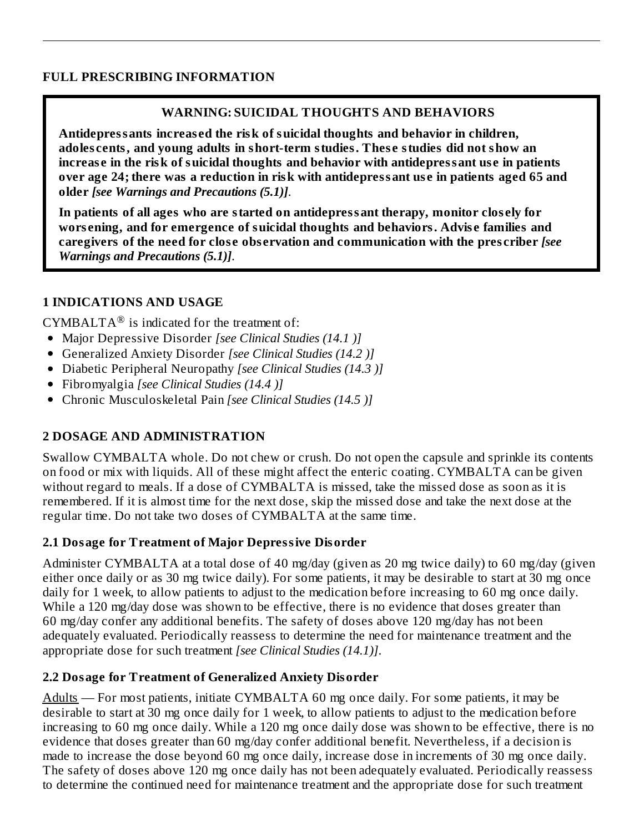#### **FULL PRESCRIBING INFORMATION**

#### **WARNING: SUICIDAL THOUGHTS AND BEHAVIORS**

**Antidepressants increas ed the risk of suicidal thoughts and behavior in children, adoles cents, and young adults in short-term studies. Thes e studies did not show an increas e in the risk of suicidal thoughts and behavior with antidepressant us e in patients over age 24; there was a reduction in risk with antidepressant us e in patients aged 65 and older** *[see Warnings and Precautions (5.1)]*.

**In patients of all ages who are started on antidepressant therapy, monitor clos ely for wors ening, and for emergence of suicidal thoughts and behaviors. Advis e families and caregivers of the need for clos e obs ervation and communication with the pres criber** *[see Warnings and Precautions (5.1)]*.

#### **1 INDICATIONS AND USAGE**

CYMBALTA $^{\circledR}$  is indicated for the treatment of:

- Major Depressive Disorder *[see Clinical Studies (14.1 )]*
- Generalized Anxiety Disorder *[see Clinical Studies (14.2 )]*
- Diabetic Peripheral Neuropathy *[see Clinical Studies (14.3 )]*
- Fibromyalgia *[see Clinical Studies (14.4 )]*
- Chronic Musculoskeletal Pain *[see Clinical Studies (14.5 )]*

### **2 DOSAGE AND ADMINISTRATION**

Swallow CYMBALTA whole. Do not chew or crush. Do not open the capsule and sprinkle its contents on food or mix with liquids. All of these might affect the enteric coating. CYMBALTA can be given without regard to meals. If a dose of CYMBALTA is missed, take the missed dose as soon as it is remembered. If it is almost time for the next dose, skip the missed dose and take the next dose at the regular time. Do not take two doses of CYMBALTA at the same time.

### **2.1 Dosage for Treatment of Major Depressive Disorder**

Administer CYMBALTA at a total dose of 40 mg/day (given as 20 mg twice daily) to 60 mg/day (given either once daily or as 30 mg twice daily). For some patients, it may be desirable to start at 30 mg once daily for 1 week, to allow patients to adjust to the medication before increasing to 60 mg once daily. While a 120 mg/day dose was shown to be effective, there is no evidence that doses greater than 60 mg/day confer any additional benefits. The safety of doses above 120 mg/day has not been adequately evaluated. Periodically reassess to determine the need for maintenance treatment and the appropriate dose for such treatment *[see Clinical Studies (14.1)]*.

### **2.2 Dosage for Treatment of Generalized Anxiety Disorder**

Adults — For most patients, initiate CYMBALTA 60 mg once daily. For some patients, it may be desirable to start at 30 mg once daily for 1 week, to allow patients to adjust to the medication before increasing to 60 mg once daily. While a 120 mg once daily dose was shown to be effective, there is no evidence that doses greater than 60 mg/day confer additional benefit. Nevertheless, if a decision is made to increase the dose beyond 60 mg once daily, increase dose in increments of 30 mg once daily. The safety of doses above 120 mg once daily has not been adequately evaluated. Periodically reassess to determine the continued need for maintenance treatment and the appropriate dose for such treatment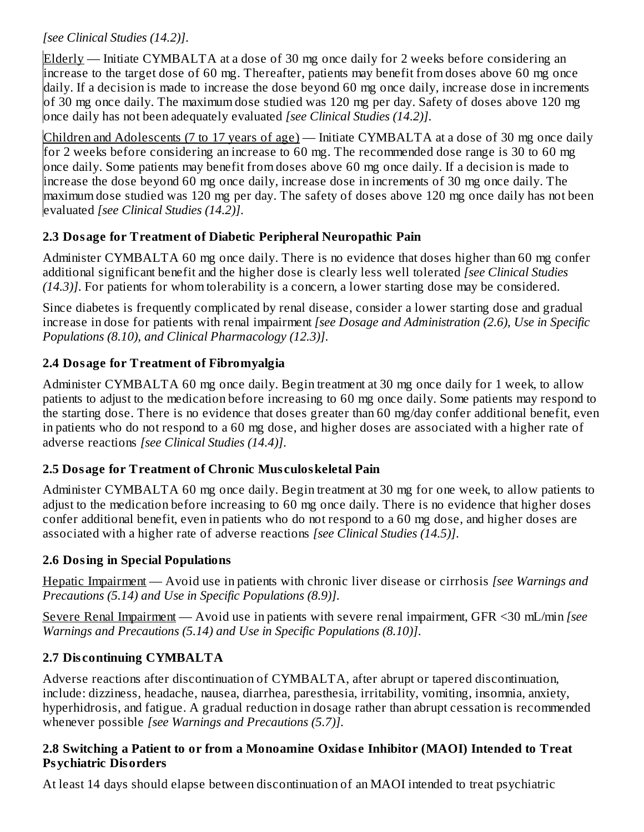### *[see Clinical Studies (14.2)]*.

Elderly — Initiate CYMBALTA at a dose of 30 mg once daily for 2 weeks before considering an increase to the target dose of 60 mg. Thereafter, patients may benefit from doses above 60 mg once daily. If a decision is made to increase the dose beyond 60 mg once daily, increase dose in increments of 30 mg once daily. The maximum dose studied was 120 mg per day. Safety of doses above 120 mg once daily has not been adequately evaluated *[see Clinical Studies (14.2)]*.

Children and Adolescents (7 to 17 years of age) — Initiate CYMBALTA at a dose of 30 mg once daily for 2 weeks before considering an increase to 60 mg. The recommended dose range is 30 to 60 mg once daily. Some patients may benefit from doses above 60 mg once daily. If a decision is made to increase the dose beyond 60 mg once daily, increase dose in increments of 30 mg once daily. The maximum dose studied was 120 mg per day. The safety of doses above 120 mg once daily has not been evaluated *[see Clinical Studies (14.2)]*.

## **2.3 Dosage for Treatment of Diabetic Peripheral Neuropathic Pain**

Administer CYMBALTA 60 mg once daily. There is no evidence that doses higher than 60 mg confer additional significant benefit and the higher dose is clearly less well tolerated *[see Clinical Studies (14.3)]*. For patients for whom tolerability is a concern, a lower starting dose may be considered.

Since diabetes is frequently complicated by renal disease, consider a lower starting dose and gradual increase in dose for patients with renal impairment *[see Dosage and Administration (2.6), Use in Specific Populations (8.10), and Clinical Pharmacology (12.3)]*.

## **2.4 Dosage for Treatment of Fibromyalgia**

Administer CYMBALTA 60 mg once daily. Begin treatment at 30 mg once daily for 1 week, to allow patients to adjust to the medication before increasing to 60 mg once daily. Some patients may respond to the starting dose. There is no evidence that doses greater than 60 mg/day confer additional benefit, even in patients who do not respond to a 60 mg dose, and higher doses are associated with a higher rate of adverse reactions *[see Clinical Studies (14.4)]*.

### **2.5 Dosage for Treatment of Chronic Mus culoskeletal Pain**

Administer CYMBALTA 60 mg once daily. Begin treatment at 30 mg for one week, to allow patients to adjust to the medication before increasing to 60 mg once daily. There is no evidence that higher doses confer additional benefit, even in patients who do not respond to a 60 mg dose, and higher doses are associated with a higher rate of adverse reactions *[see Clinical Studies (14.5)]*.

### **2.6 Dosing in Special Populations**

Hepatic Impairment — Avoid use in patients with chronic liver disease or cirrhosis *[see Warnings and Precautions (5.14) and Use in Specific Populations (8.9)]*.

Severe Renal Impairment — Avoid use in patients with severe renal impairment, GFR <30 mL/min *[see Warnings and Precautions (5.14) and Use in Specific Populations (8.10)]*.

### **2.7 Dis continuing CYMBALTA**

Adverse reactions after discontinuation of CYMBALTA, after abrupt or tapered discontinuation, include: dizziness, headache, nausea, diarrhea, paresthesia, irritability, vomiting, insomnia, anxiety, hyperhidrosis, and fatigue. A gradual reduction in dosage rather than abrupt cessation is recommended whenever possible *[see Warnings and Precautions (5.7)]*.

#### **2.8 Switching a Patient to or from a Monoamine Oxidas e Inhibitor (MAOI) Intended to Treat Psychiatric Disorders**

At least 14 days should elapse between discontinuation of an MAOI intended to treat psychiatric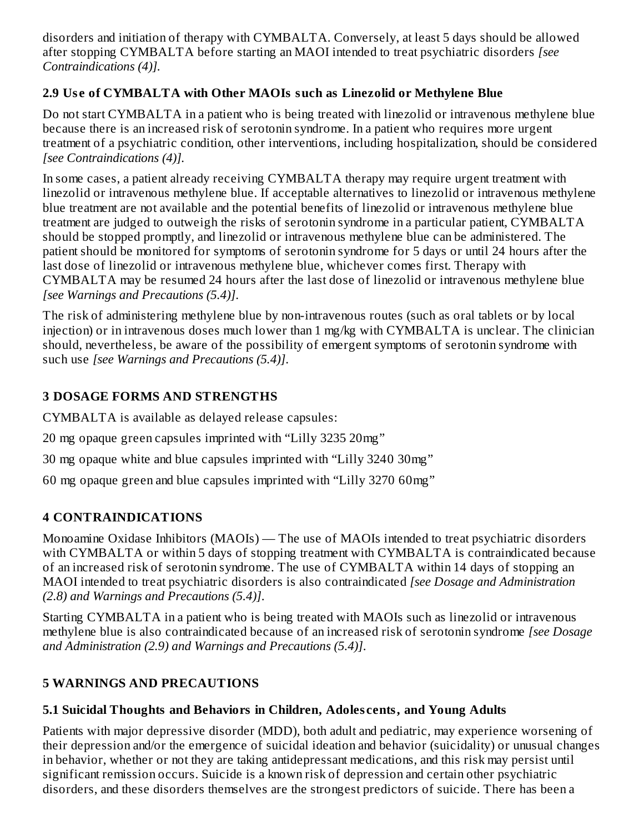disorders and initiation of therapy with CYMBALTA. Conversely, at least 5 days should be allowed after stopping CYMBALTA before starting an MAOI intended to treat psychiatric disorders *[see Contraindications (4)].*

## **2.9 Us e of CYMBALTA with Other MAOIs such as Linezolid or Methylene Blue**

Do not start CYMBALTA in a patient who is being treated with linezolid or intravenous methylene blue because there is an increased risk of serotonin syndrome. In a patient who requires more urgent treatment of a psychiatric condition, other interventions, including hospitalization, should be considered *[see Contraindications (4)].*

In some cases, a patient already receiving CYMBALTA therapy may require urgent treatment with linezolid or intravenous methylene blue. If acceptable alternatives to linezolid or intravenous methylene blue treatment are not available and the potential benefits of linezolid or intravenous methylene blue treatment are judged to outweigh the risks of serotonin syndrome in a particular patient, CYMBALTA should be stopped promptly, and linezolid or intravenous methylene blue can be administered. The patient should be monitored for symptoms of serotonin syndrome for 5 days or until 24 hours after the last dose of linezolid or intravenous methylene blue, whichever comes first. Therapy with CYMBALTA may be resumed 24 hours after the last dose of linezolid or intravenous methylene blue *[see Warnings and Precautions (5.4)]*.

The risk of administering methylene blue by non-intravenous routes (such as oral tablets or by local injection) or in intravenous doses much lower than 1 mg/kg with CYMBALTA is unclear. The clinician should, nevertheless, be aware of the possibility of emergent symptoms of serotonin syndrome with such use *[see Warnings and Precautions (5.4)]*.

## **3 DOSAGE FORMS AND STRENGTHS**

CYMBALTA is available as delayed release capsules:

20 mg opaque green capsules imprinted with "Lilly 3235 20mg"

30 mg opaque white and blue capsules imprinted with "Lilly 3240 30mg"

60 mg opaque green and blue capsules imprinted with "Lilly 3270 60mg"

## **4 CONTRAINDICATIONS**

Monoamine Oxidase Inhibitors (MAOIs) — The use of MAOIs intended to treat psychiatric disorders with CYMBALTA or within 5 days of stopping treatment with CYMBALTA is contraindicated because of an increased risk of serotonin syndrome. The use of CYMBALTA within 14 days of stopping an MAOI intended to treat psychiatric disorders is also contraindicated *[see Dosage and Administration (2.8) and Warnings and Precautions (5.4)]*.

Starting CYMBALTA in a patient who is being treated with MAOIs such as linezolid or intravenous methylene blue is also contraindicated because of an increased risk of serotonin syndrome *[see Dosage and Administration (2.9) and Warnings and Precautions (5.4)]*.

## **5 WARNINGS AND PRECAUTIONS**

## **5.1 Suicidal Thoughts and Behaviors in Children, Adoles cents, and Young Adults**

Patients with major depressive disorder (MDD), both adult and pediatric, may experience worsening of their depression and/or the emergence of suicidal ideation and behavior (suicidality) or unusual changes in behavior, whether or not they are taking antidepressant medications, and this risk may persist until significant remission occurs. Suicide is a known risk of depression and certain other psychiatric disorders, and these disorders themselves are the strongest predictors of suicide. There has been a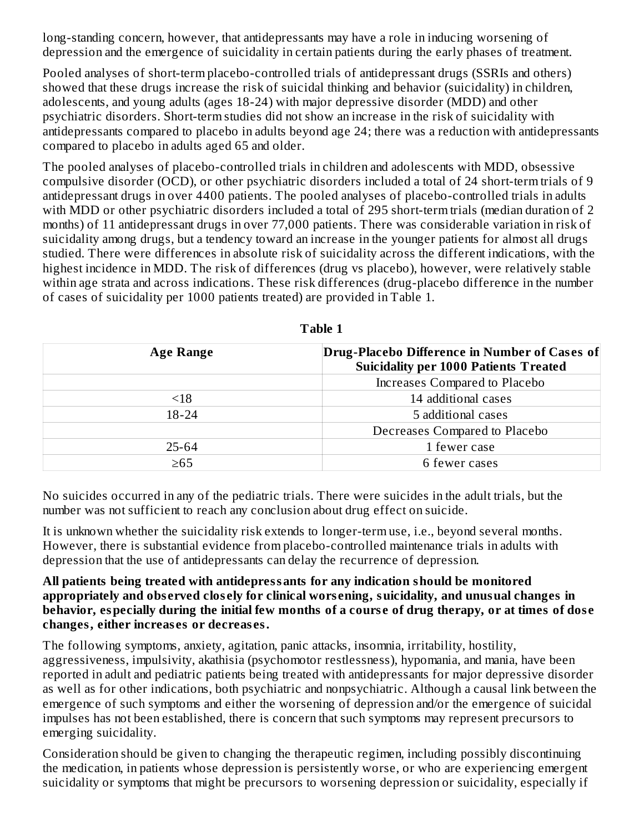long-standing concern, however, that antidepressants may have a role in inducing worsening of depression and the emergence of suicidality in certain patients during the early phases of treatment.

Pooled analyses of short-term placebo-controlled trials of antidepressant drugs (SSRIs and others) showed that these drugs increase the risk of suicidal thinking and behavior (suicidality) in children, adolescents, and young adults (ages 18-24) with major depressive disorder (MDD) and other psychiatric disorders. Short-term studies did not show an increase in the risk of suicidality with antidepressants compared to placebo in adults beyond age 24; there was a reduction with antidepressants compared to placebo in adults aged 65 and older.

The pooled analyses of placebo-controlled trials in children and adolescents with MDD, obsessive compulsive disorder (OCD), or other psychiatric disorders included a total of 24 short-term trials of 9 antidepressant drugs in over 4400 patients. The pooled analyses of placebo-controlled trials in adults with MDD or other psychiatric disorders included a total of 295 short-term trials (median duration of 2 months) of 11 antidepressant drugs in over 77,000 patients. There was considerable variation in risk of suicidality among drugs, but a tendency toward an increase in the younger patients for almost all drugs studied. There were differences in absolute risk of suicidality across the different indications, with the highest incidence in MDD. The risk of differences (drug vs placebo), however, were relatively stable within age strata and across indications. These risk differences (drug-placebo difference in the number of cases of suicidality per 1000 patients treated) are provided in Table 1.

| <b>Age Range</b> | Drug-Placebo Difference in Number of Cases of<br><b>Suicidality per 1000 Patients Treated</b> |
|------------------|-----------------------------------------------------------------------------------------------|
|                  | Increases Compared to Placebo                                                                 |
| $<$ 18           | 14 additional cases                                                                           |
| $18 - 24$        | 5 additional cases                                                                            |
|                  | Decreases Compared to Placebo                                                                 |
| $25 - 64$        | 1 fewer case                                                                                  |
| $\geq 65$        | 6 fewer cases                                                                                 |

**Table 1**

No suicides occurred in any of the pediatric trials. There were suicides in the adult trials, but the number was not sufficient to reach any conclusion about drug effect on suicide.

It is unknown whether the suicidality risk extends to longer-term use, i.e., beyond several months. However, there is substantial evidence from placebo-controlled maintenance trials in adults with depression that the use of antidepressants can delay the recurrence of depression.

#### **All patients being treated with antidepressants for any indication should be monitored appropriately and obs erved clos ely for clinical wors ening, suicidality, and unusual changes in** behavior, especially during the initial few months of a course of drug therapy, or at times of dose **changes, either increas es or decreas es.**

The following symptoms, anxiety, agitation, panic attacks, insomnia, irritability, hostility, aggressiveness, impulsivity, akathisia (psychomotor restlessness), hypomania, and mania, have been reported in adult and pediatric patients being treated with antidepressants for major depressive disorder as well as for other indications, both psychiatric and nonpsychiatric. Although a causal link between the emergence of such symptoms and either the worsening of depression and/or the emergence of suicidal impulses has not been established, there is concern that such symptoms may represent precursors to emerging suicidality.

Consideration should be given to changing the therapeutic regimen, including possibly discontinuing the medication, in patients whose depression is persistently worse, or who are experiencing emergent suicidality or symptoms that might be precursors to worsening depression or suicidality, especially if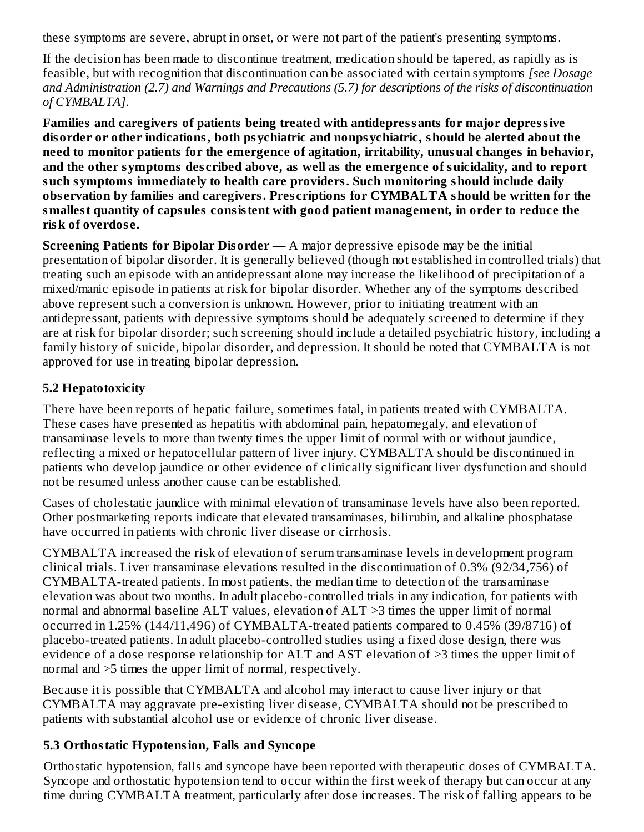these symptoms are severe, abrupt in onset, or were not part of the patient's presenting symptoms.

If the decision has been made to discontinue treatment, medication should be tapered, as rapidly as is feasible, but with recognition that discontinuation can be associated with certain symptoms *[see Dosage and Administration (2.7) and Warnings and Precautions (5.7) for descriptions of the risks of discontinuation of CYMBALTA]*.

**Families and caregivers of patients being treated with antidepressants for major depressive disorder or other indications, both psychiatric and nonpsychiatric, should be alerted about the need to monitor patients for the emergence of agitation, irritability, unusual changes in behavior, and the other symptoms des cribed above, as well as the emergence of suicidality, and to report such symptoms immediately to health care providers. Such monitoring should include daily obs ervation by families and caregivers. Pres criptions for CYMBALTA should be written for the smallest quantity of capsules consistent with good patient management, in order to reduce the risk of overdos e.**

**Screening Patients for Bipolar Disorder** — A major depressive episode may be the initial presentation of bipolar disorder. It is generally believed (though not established in controlled trials) that treating such an episode with an antidepressant alone may increase the likelihood of precipitation of a mixed/manic episode in patients at risk for bipolar disorder. Whether any of the symptoms described above represent such a conversion is unknown. However, prior to initiating treatment with an antidepressant, patients with depressive symptoms should be adequately screened to determine if they are at risk for bipolar disorder; such screening should include a detailed psychiatric history, including a family history of suicide, bipolar disorder, and depression. It should be noted that CYMBALTA is not approved for use in treating bipolar depression.

#### **5.2 Hepatotoxicity**

There have been reports of hepatic failure, sometimes fatal, in patients treated with CYMBALTA. These cases have presented as hepatitis with abdominal pain, hepatomegaly, and elevation of transaminase levels to more than twenty times the upper limit of normal with or without jaundice, reflecting a mixed or hepatocellular pattern of liver injury. CYMBALTA should be discontinued in patients who develop jaundice or other evidence of clinically significant liver dysfunction and should not be resumed unless another cause can be established.

Cases of cholestatic jaundice with minimal elevation of transaminase levels have also been reported. Other postmarketing reports indicate that elevated transaminases, bilirubin, and alkaline phosphatase have occurred in patients with chronic liver disease or cirrhosis.

CYMBALTA increased the risk of elevation of serum transaminase levels in development program clinical trials. Liver transaminase elevations resulted in the discontinuation of 0.3% (92/34,756) of CYMBALTA-treated patients. In most patients, the median time to detection of the transaminase elevation was about two months. In adult placebo-controlled trials in any indication, for patients with normal and abnormal baseline ALT values, elevation of ALT >3 times the upper limit of normal occurred in 1.25% (144/11,496) of CYMBALTA-treated patients compared to 0.45% (39/8716) of placebo-treated patients. In adult placebo-controlled studies using a fixed dose design, there was evidence of a dose response relationship for ALT and AST elevation of >3 times the upper limit of normal and >5 times the upper limit of normal, respectively.

Because it is possible that CYMBALTA and alcohol may interact to cause liver injury or that CYMBALTA may aggravate pre-existing liver disease, CYMBALTA should not be prescribed to patients with substantial alcohol use or evidence of chronic liver disease.

### **5.3 Orthostatic Hypotension, Falls and Syncope**

Orthostatic hypotension, falls and syncope have been reported with therapeutic doses of CYMBALTA. Syncope and orthostatic hypotension tend to occur within the first week of therapy but can occur at any time during CYMBALTA treatment, particularly after dose increases. The risk of falling appears to be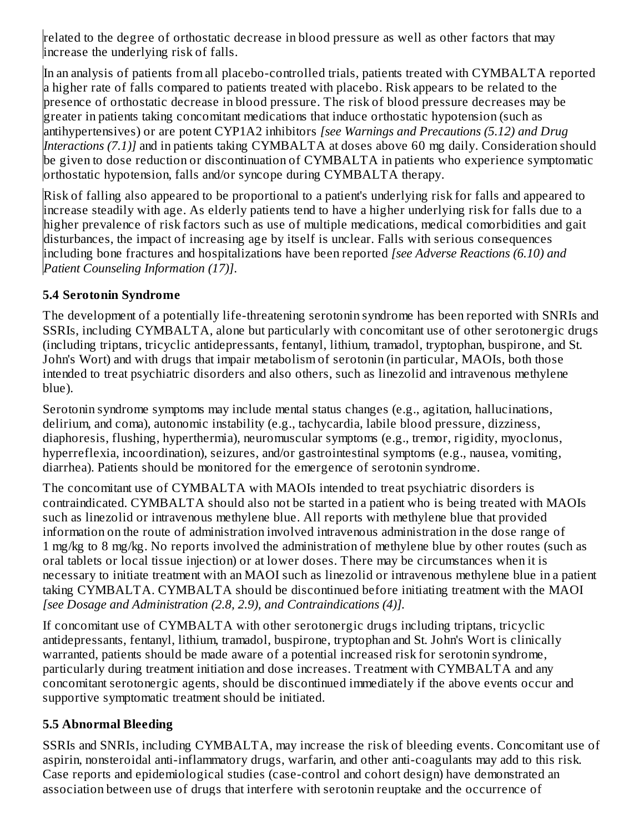related to the degree of orthostatic decrease in blood pressure as well as other factors that may increase the underlying risk of falls.

In an analysis of patients from all placebo-controlled trials, patients treated with CYMBALTA reported a higher rate of falls compared to patients treated with placebo. Risk appears to be related to the presence of orthostatic decrease in blood pressure. The risk of blood pressure decreases may be greater in patients taking concomitant medications that induce orthostatic hypotension (such as antihypertensives) or are potent CYP1A2 inhibitors *[see Warnings and Precautions (5.12) and Drug Interactions (7.1)]* and in patients taking CYMBALTA at doses above 60 mg daily. Consideration should be given to dose reduction or discontinuation of CYMBALTA in patients who experience symptomatic orthostatic hypotension, falls and/or syncope during CYMBALTA therapy.

Risk of falling also appeared to be proportional to a patient's underlying risk for falls and appeared to increase steadily with age. As elderly patients tend to have a higher underlying risk for falls due to a higher prevalence of risk factors such as use of multiple medications, medical comorbidities and gait disturbances, the impact of increasing age by itself is unclear. Falls with serious consequences including bone fractures and hospitalizations have been reported *[see Adverse Reactions (6.10) and Patient Counseling Information (17)]*.

#### **5.4 Serotonin Syndrome**

The development of a potentially life-threatening serotonin syndrome has been reported with SNRIs and SSRIs, including CYMBALTA, alone but particularly with concomitant use of other serotonergic drugs (including triptans, tricyclic antidepressants, fentanyl, lithium, tramadol, tryptophan, buspirone, and St. John's Wort) and with drugs that impair metabolism of serotonin (in particular, MAOIs, both those intended to treat psychiatric disorders and also others, such as linezolid and intravenous methylene blue).

Serotonin syndrome symptoms may include mental status changes (e.g., agitation, hallucinations, delirium, and coma), autonomic instability (e.g., tachycardia, labile blood pressure, dizziness, diaphoresis, flushing, hyperthermia), neuromuscular symptoms (e.g., tremor, rigidity, myoclonus, hyperreflexia, incoordination), seizures, and/or gastrointestinal symptoms (e.g., nausea, vomiting, diarrhea). Patients should be monitored for the emergence of serotonin syndrome.

The concomitant use of CYMBALTA with MAOIs intended to treat psychiatric disorders is contraindicated. CYMBALTA should also not be started in a patient who is being treated with MAOIs such as linezolid or intravenous methylene blue. All reports with methylene blue that provided information on the route of administration involved intravenous administration in the dose range of 1 mg/kg to 8 mg/kg. No reports involved the administration of methylene blue by other routes (such as oral tablets or local tissue injection) or at lower doses. There may be circumstances when it is necessary to initiate treatment with an MAOI such as linezolid or intravenous methylene blue in a patient taking CYMBALTA. CYMBALTA should be discontinued before initiating treatment with the MAOI *[see Dosage and Administration (2.8, 2.9), and Contraindications (4)].*

If concomitant use of CYMBALTA with other serotonergic drugs including triptans, tricyclic antidepressants, fentanyl, lithium, tramadol, buspirone, tryptophan and St. John's Wort is clinically warranted, patients should be made aware of a potential increased risk for serotonin syndrome, particularly during treatment initiation and dose increases. Treatment with CYMBALTA and any concomitant serotonergic agents, should be discontinued immediately if the above events occur and supportive symptomatic treatment should be initiated.

### **5.5 Abnormal Bleeding**

SSRIs and SNRIs, including CYMBALTA, may increase the risk of bleeding events. Concomitant use of aspirin, nonsteroidal anti-inflammatory drugs, warfarin, and other anti-coagulants may add to this risk. Case reports and epidemiological studies (case-control and cohort design) have demonstrated an association between use of drugs that interfere with serotonin reuptake and the occurrence of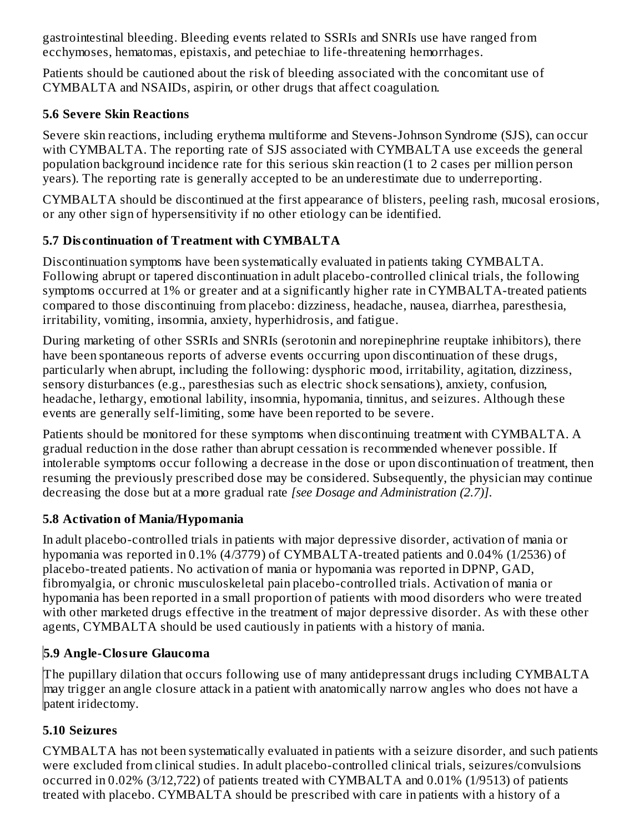gastrointestinal bleeding. Bleeding events related to SSRIs and SNRIs use have ranged from ecchymoses, hematomas, epistaxis, and petechiae to life-threatening hemorrhages.

Patients should be cautioned about the risk of bleeding associated with the concomitant use of CYMBALTA and NSAIDs, aspirin, or other drugs that affect coagulation.

#### **5.6 Severe Skin Reactions**

Severe skin reactions, including erythema multiforme and Stevens-Johnson Syndrome (SJS), can occur with CYMBALTA. The reporting rate of SJS associated with CYMBALTA use exceeds the general population background incidence rate for this serious skin reaction (1 to 2 cases per million person years). The reporting rate is generally accepted to be an underestimate due to underreporting.

CYMBALTA should be discontinued at the first appearance of blisters, peeling rash, mucosal erosions, or any other sign of hypersensitivity if no other etiology can be identified.

### **5.7 Dis continuation of Treatment with CYMBALTA**

Discontinuation symptoms have been systematically evaluated in patients taking CYMBALTA. Following abrupt or tapered discontinuation in adult placebo-controlled clinical trials, the following symptoms occurred at 1% or greater and at a significantly higher rate in CYMBALTA-treated patients compared to those discontinuing from placebo: dizziness, headache, nausea, diarrhea, paresthesia, irritability, vomiting, insomnia, anxiety, hyperhidrosis, and fatigue.

During marketing of other SSRIs and SNRIs (serotonin and norepinephrine reuptake inhibitors), there have been spontaneous reports of adverse events occurring upon discontinuation of these drugs, particularly when abrupt, including the following: dysphoric mood, irritability, agitation, dizziness, sensory disturbances (e.g., paresthesias such as electric shock sensations), anxiety, confusion, headache, lethargy, emotional lability, insomnia, hypomania, tinnitus, and seizures. Although these events are generally self-limiting, some have been reported to be severe.

Patients should be monitored for these symptoms when discontinuing treatment with CYMBALTA. A gradual reduction in the dose rather than abrupt cessation is recommended whenever possible. If intolerable symptoms occur following a decrease in the dose or upon discontinuation of treatment, then resuming the previously prescribed dose may be considered. Subsequently, the physician may continue decreasing the dose but at a more gradual rate *[see Dosage and Administration (2.7)]*.

### **5.8 Activation of Mania/Hypomania**

In adult placebo-controlled trials in patients with major depressive disorder, activation of mania or hypomania was reported in 0.1% (4/3779) of CYMBALTA-treated patients and 0.04% (1/2536) of placebo-treated patients. No activation of mania or hypomania was reported in DPNP, GAD, fibromyalgia, or chronic musculoskeletal pain placebo-controlled trials. Activation of mania or hypomania has been reported in a small proportion of patients with mood disorders who were treated with other marketed drugs effective in the treatment of major depressive disorder. As with these other agents, CYMBALTA should be used cautiously in patients with a history of mania.

## **5.9 Angle-Closure Glaucoma**

The pupillary dilation that occurs following use of many antidepressant drugs including CYMBALTA may trigger an angle closure attack in a patient with anatomically narrow angles who does not have a patent iridectomy.

### **5.10 Seizures**

CYMBALTA has not been systematically evaluated in patients with a seizure disorder, and such patients were excluded from clinical studies. In adult placebo-controlled clinical trials, seizures/convulsions occurred in 0.02% (3/12,722) of patients treated with CYMBALTA and 0.01% (1/9513) of patients treated with placebo. CYMBALTA should be prescribed with care in patients with a history of a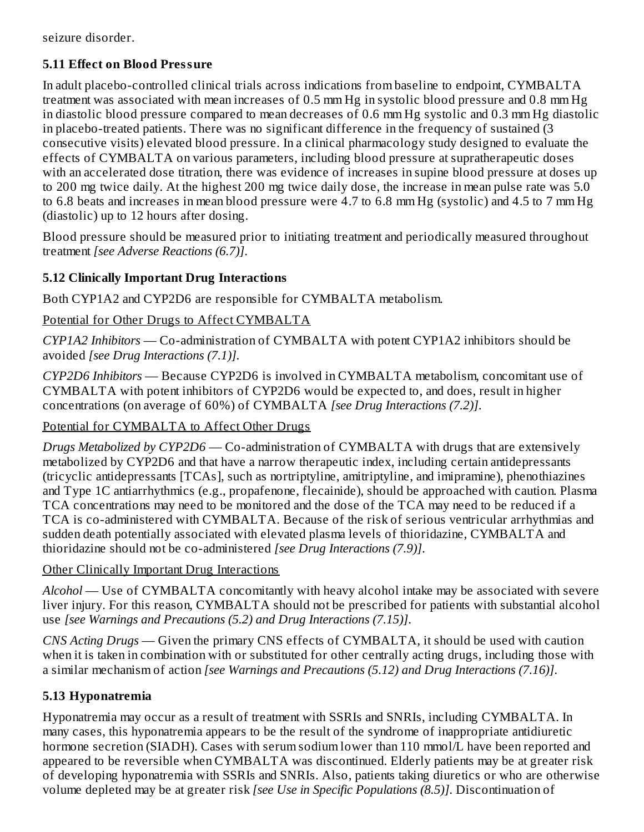seizure disorder.

## **5.11 Effect on Blood Pressure**

In adult placebo-controlled clinical trials across indications from baseline to endpoint, CYMBALTA treatment was associated with mean increases of 0.5 mm Hg in systolic blood pressure and 0.8 mm Hg in diastolic blood pressure compared to mean decreases of 0.6 mm Hg systolic and 0.3 mm Hg diastolic in placebo-treated patients. There was no significant difference in the frequency of sustained (3 consecutive visits) elevated blood pressure. In a clinical pharmacology study designed to evaluate the effects of CYMBALTA on various parameters, including blood pressure at supratherapeutic doses with an accelerated dose titration, there was evidence of increases in supine blood pressure at doses up to 200 mg twice daily. At the highest 200 mg twice daily dose, the increase in mean pulse rate was 5.0 to 6.8 beats and increases in mean blood pressure were 4.7 to 6.8 mm Hg (systolic) and 4.5 to 7 mm Hg (diastolic) up to 12 hours after dosing.

Blood pressure should be measured prior to initiating treatment and periodically measured throughout treatment *[see Adverse Reactions (6.7)]*.

### **5.12 Clinically Important Drug Interactions**

Both CYP1A2 and CYP2D6 are responsible for CYMBALTA metabolism.

## Potential for Other Drugs to Affect CYMBALTA

*CYP1A2 Inhibitors* — Co-administration of CYMBALTA with potent CYP1A2 inhibitors should be avoided *[see Drug Interactions (7.1)]*.

*CYP2D6 Inhibitors* — Because CYP2D6 is involved in CYMBALTA metabolism, concomitant use of CYMBALTA with potent inhibitors of CYP2D6 would be expected to, and does, result in higher concentrations (on average of 60%) of CYMBALTA *[see Drug Interactions (7.2)]*.

### Potential for CYMBALTA to Affect Other Drugs

*Drugs Metabolized by CYP2D6* — Co-administration of CYMBALTA with drugs that are extensively metabolized by CYP2D6 and that have a narrow therapeutic index, including certain antidepressants (tricyclic antidepressants [TCAs], such as nortriptyline, amitriptyline, and imipramine), phenothiazines and Type 1C antiarrhythmics (e.g., propafenone, flecainide), should be approached with caution. Plasma TCA concentrations may need to be monitored and the dose of the TCA may need to be reduced if a TCA is co-administered with CYMBALTA. Because of the risk of serious ventricular arrhythmias and sudden death potentially associated with elevated plasma levels of thioridazine, CYMBALTA and thioridazine should not be co-administered *[see Drug Interactions (7.9)]*.

Other Clinically Important Drug Interactions

*Alcohol* — Use of CYMBALTA concomitantly with heavy alcohol intake may be associated with severe liver injury. For this reason, CYMBALTA should not be prescribed for patients with substantial alcohol use *[see Warnings and Precautions (5.2) and Drug Interactions (7.15)]*.

*CNS Acting Drugs* — Given the primary CNS effects of CYMBALTA, it should be used with caution when it is taken in combination with or substituted for other centrally acting drugs, including those with a similar mechanism of action *[see Warnings and Precautions (5.12) and Drug Interactions (7.16)]*.

## **5.13 Hyponatremia**

Hyponatremia may occur as a result of treatment with SSRIs and SNRIs, including CYMBALTA. In many cases, this hyponatremia appears to be the result of the syndrome of inappropriate antidiuretic hormone secretion (SIADH). Cases with serum sodium lower than 110 mmol/L have been reported and appeared to be reversible when CYMBALTA was discontinued. Elderly patients may be at greater risk of developing hyponatremia with SSRIs and SNRIs. Also, patients taking diuretics or who are otherwise volume depleted may be at greater risk *[see Use in Specific Populations (8.5)]*. Discontinuation of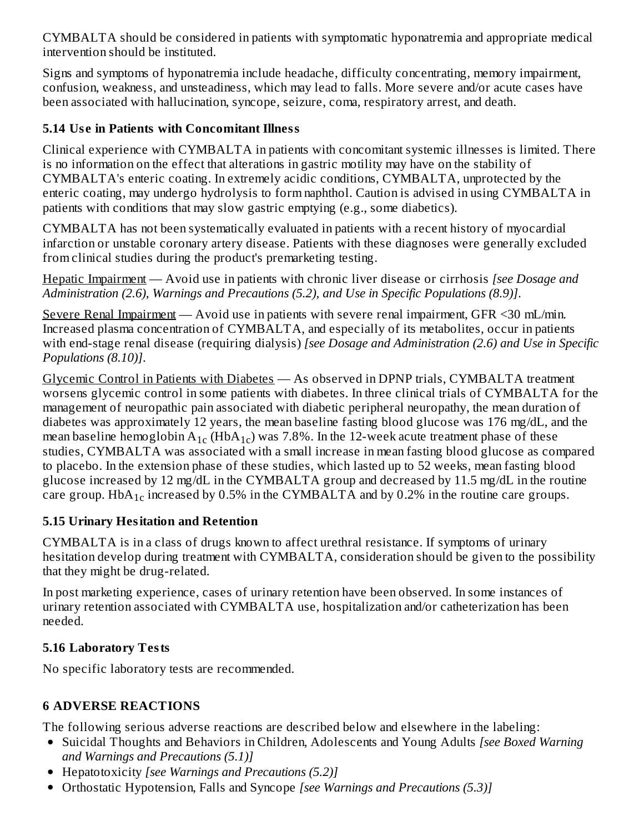CYMBALTA should be considered in patients with symptomatic hyponatremia and appropriate medical intervention should be instituted.

Signs and symptoms of hyponatremia include headache, difficulty concentrating, memory impairment, confusion, weakness, and unsteadiness, which may lead to falls. More severe and/or acute cases have been associated with hallucination, syncope, seizure, coma, respiratory arrest, and death.

## **5.14 Us e in Patients with Concomitant Illness**

Clinical experience with CYMBALTA in patients with concomitant systemic illnesses is limited. There is no information on the effect that alterations in gastric motility may have on the stability of CYMBALTA's enteric coating. In extremely acidic conditions, CYMBALTA, unprotected by the enteric coating, may undergo hydrolysis to form naphthol. Caution is advised in using CYMBALTA in patients with conditions that may slow gastric emptying (e.g., some diabetics).

CYMBALTA has not been systematically evaluated in patients with a recent history of myocardial infarction or unstable coronary artery disease. Patients with these diagnoses were generally excluded from clinical studies during the product's premarketing testing.

Hepatic Impairment — Avoid use in patients with chronic liver disease or cirrhosis *[see Dosage and Administration (2.6), Warnings and Precautions (5.2), and Use in Specific Populations (8.9)]*.

Severe Renal Impairment — Avoid use in patients with severe renal impairment, GFR < 30 mL/min. Increased plasma concentration of CYMBALTA, and especially of its metabolites, occur in patients with end-stage renal disease (requiring dialysis) *[see Dosage and Administration (2.6) and Use in Specific Populations (8.10)]*.

Glycemic Control in Patients with Diabetes — As observed in DPNP trials, CYMBALTA treatment worsens glycemic control in some patients with diabetes. In three clinical trials of CYMBALTA for the management of neuropathic pain associated with diabetic peripheral neuropathy, the mean duration of diabetes was approximately 12 years, the mean baseline fasting blood glucose was 176 mg/dL, and the mean baseline hemoglobin  $\rm A_{1c}$  (Hb $\rm A_{1c})$  was 7.8%. In the 12-week acute treatment phase of these studies, CYMBALTA was associated with a small increase in mean fasting blood glucose as compared to placebo. In the extension phase of these studies, which lasted up to 52 weeks, mean fasting blood glucose increased by 12 mg/dL in the CYMBALTA group and decreased by 11.5 mg/dL in the routine care group.  $HbA_{1c}$  increased by 0.5% in the CYMBALTA and by 0.2% in the routine care groups.

### **5.15 Urinary Hesitation and Retention**

CYMBALTA is in a class of drugs known to affect urethral resistance. If symptoms of urinary hesitation develop during treatment with CYMBALTA, consideration should be given to the possibility that they might be drug-related.

In post marketing experience, cases of urinary retention have been observed. In some instances of urinary retention associated with CYMBALTA use, hospitalization and/or catheterization has been needed.

## **5.16 Laboratory Tests**

No specific laboratory tests are recommended.

## **6 ADVERSE REACTIONS**

The following serious adverse reactions are described below and elsewhere in the labeling:

- Suicidal Thoughts and Behaviors in Children, Adolescents and Young Adults *[see Boxed Warning and Warnings and Precautions (5.1)]*
- Hepatotoxicity *[see Warnings and Precautions (5.2)]*
- Orthostatic Hypotension, Falls and Syncope *[see Warnings and Precautions (5.3)]*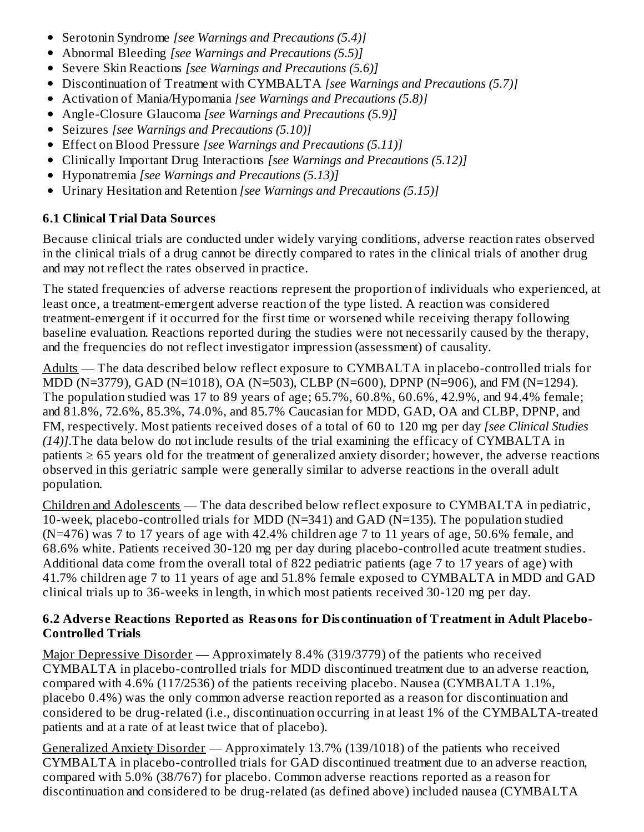- Serotonin Syndrome *[see Warnings and Precautions (5.4)]*
- Abnormal Bleeding *[see Warnings and Precautions (5.5)]*
- Severe Skin Reactions *[see Warnings and Precautions (5.6)]*
- Discontinuation of Treatment with CYMBALTA *[see Warnings and Precautions (5.7)]*
- Activation of Mania/Hypomania *[see Warnings and Precautions (5.8)]*
- Angle-Closure Glaucoma *[see Warnings and Precautions (5.9)]*
- Seizures *[see Warnings and Precautions (5.10)]*
- Effect on Blood Pressure *[see Warnings and Precautions (5.11)]*
- Clinically Important Drug Interactions *[see Warnings and Precautions (5.12)]*
- Hyponatremia *[see Warnings and Precautions (5.13)]*
- Urinary Hesitation and Retention *[see Warnings and Precautions (5.15)]*

## **6.1 Clinical Trial Data Sources**

Because clinical trials are conducted under widely varying conditions, adverse reaction rates observed in the clinical trials of a drug cannot be directly compared to rates in the clinical trials of another drug and may not reflect the rates observed in practice.

The stated frequencies of adverse reactions represent the proportion of individuals who experienced, at least once, a treatment-emergent adverse reaction of the type listed. A reaction was considered treatment-emergent if it occurred for the first time or worsened while receiving therapy following baseline evaluation. Reactions reported during the studies were not necessarily caused by the therapy, and the frequencies do not reflect investigator impression (assessment) of causality.

Adults — The data described below reflect exposure to CYMBALTA in placebo-controlled trials for MDD (N=3779), GAD (N=1018), OA (N=503), CLBP (N=600), DPNP (N=906), and FM (N=1294). The population studied was 17 to 89 years of age; 65.7%, 60.8%, 60.6%, 42.9%, and 94.4% female; and 81.8%, 72.6%, 85.3%, 74.0%, and 85.7% Caucasian for MDD, GAD, OA and CLBP, DPNP, and FM, respectively. Most patients received doses of a total of 60 to 120 mg per day *[see Clinical Studies (14)]*.The data below do not include results of the trial examining the efficacy of CYMBALTA in patients  $\geq 65$  years old for the treatment of generalized anxiety disorder; however, the adverse reactions observed in this geriatric sample were generally similar to adverse reactions in the overall adult population.

Children and Adolescents — The data described below reflect exposure to CYMBALTA in pediatric, 10-week, placebo-controlled trials for MDD (N=341) and GAD (N=135). The population studied (N=476) was 7 to 17 years of age with 42.4% children age 7 to 11 years of age, 50.6% female, and 68.6% white. Patients received 30-120 mg per day during placebo-controlled acute treatment studies. Additional data come from the overall total of 822 pediatric patients (age 7 to 17 years of age) with 41.7% children age 7 to 11 years of age and 51.8% female exposed to CYMBALTA in MDD and GAD clinical trials up to 36-weeks in length, in which most patients received 30-120 mg per day.

#### **6.2 Advers e Reactions Reported as Reasons for Dis continuation of Treatment in Adult Placebo-Controlled Trials**

Major Depressive Disorder — Approximately 8.4% (319/3779) of the patients who received CYMBALTA in placebo-controlled trials for MDD discontinued treatment due to an adverse reaction, compared with 4.6% (117/2536) of the patients receiving placebo. Nausea (CYMBALTA 1.1%, placebo 0.4%) was the only common adverse reaction reported as a reason for discontinuation and considered to be drug-related (i.e., discontinuation occurring in at least 1% of the CYMBALTA-treated patients and at a rate of at least twice that of placebo).

Generalized Anxiety Disorder — Approximately 13.7% (139/1018) of the patients who received CYMBALTA in placebo-controlled trials for GAD discontinued treatment due to an adverse reaction, compared with 5.0% (38/767) for placebo. Common adverse reactions reported as a reason for discontinuation and considered to be drug-related (as defined above) included nausea (CYMBALTA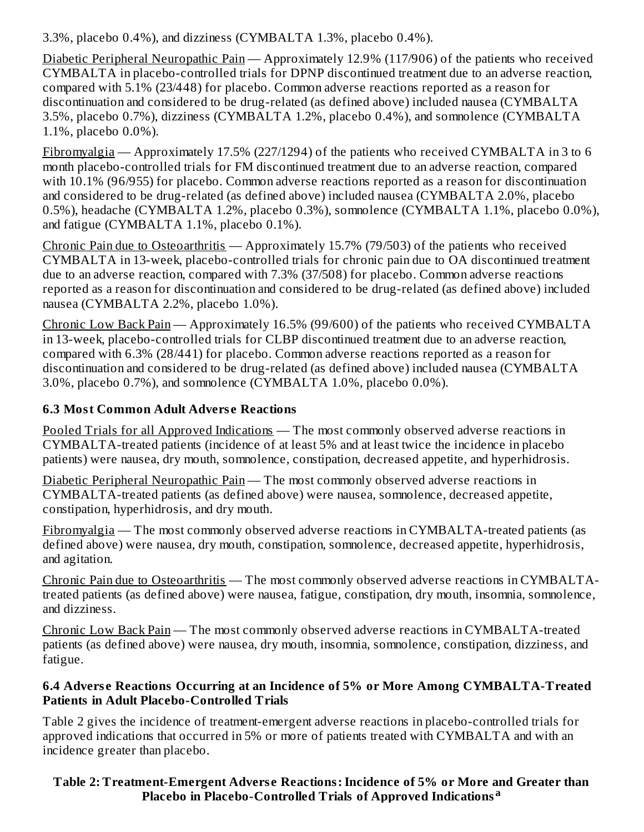3.3%, placebo 0.4%), and dizziness (CYMBALTA 1.3%, placebo 0.4%).

Diabetic Peripheral Neuropathic Pain — Approximately 12.9% (117/906) of the patients who received CYMBALTA in placebo-controlled trials for DPNP discontinued treatment due to an adverse reaction, compared with 5.1% (23/448) for placebo. Common adverse reactions reported as a reason for discontinuation and considered to be drug-related (as defined above) included nausea (CYMBALTA 3.5%, placebo 0.7%), dizziness (CYMBALTA 1.2%, placebo 0.4%), and somnolence (CYMBALTA 1.1%, placebo 0.0%).

Fibromyalgia — Approximately 17.5% (227/1294) of the patients who received CYMBALTA in 3 to 6 month placebo-controlled trials for FM discontinued treatment due to an adverse reaction, compared with 10.1% (96/955) for placebo. Common adverse reactions reported as a reason for discontinuation and considered to be drug-related (as defined above) included nausea (CYMBALTA 2.0%, placebo 0.5%), headache (CYMBALTA 1.2%, placebo 0.3%), somnolence (CYMBALTA 1.1%, placebo 0.0%), and fatigue (CYMBALTA 1.1%, placebo 0.1%).

Chronic Pain due to Osteoarthritis — Approximately 15.7% (79/503) of the patients who received CYMBALTA in 13-week, placebo-controlled trials for chronic pain due to OA discontinued treatment due to an adverse reaction, compared with 7.3% (37/508) for placebo. Common adverse reactions reported as a reason for discontinuation and considered to be drug-related (as defined above) included nausea (CYMBALTA 2.2%, placebo 1.0%).

Chronic Low Back Pain — Approximately 16.5% (99/600) of the patients who received CYMBALTA in 13-week, placebo-controlled trials for CLBP discontinued treatment due to an adverse reaction, compared with 6.3% (28/441) for placebo. Common adverse reactions reported as a reason for discontinuation and considered to be drug-related (as defined above) included nausea (CYMBALTA 3.0%, placebo 0.7%), and somnolence (CYMBALTA 1.0%, placebo 0.0%).

#### **6.3 Most Common Adult Advers e Reactions**

Pooled Trials for all Approved Indications — The most commonly observed adverse reactions in CYMBALTA-treated patients (incidence of at least 5% and at least twice the incidence in placebo patients) were nausea, dry mouth, somnolence, constipation, decreased appetite, and hyperhidrosis.

Diabetic Peripheral Neuropathic Pain — The most commonly observed adverse reactions in CYMBALTA-treated patients (as defined above) were nausea, somnolence, decreased appetite, constipation, hyperhidrosis, and dry mouth.

Fibromyalgia — The most commonly observed adverse reactions in CYMBALTA-treated patients (as defined above) were nausea, dry mouth, constipation, somnolence, decreased appetite, hyperhidrosis, and agitation.

Chronic Pain due to Osteoarthritis — The most commonly observed adverse reactions in CYMBALTAtreated patients (as defined above) were nausea, fatigue, constipation, dry mouth, insomnia, somnolence, and dizziness.

Chronic Low Back Pain — The most commonly observed adverse reactions in CYMBALTA-treated patients (as defined above) were nausea, dry mouth, insomnia, somnolence, constipation, dizziness, and fatigue.

#### **6.4 Advers e Reactions Occurring at an Incidence of 5% or More Among CYMBALTA-Treated Patients in Adult Placebo-Controlled Trials**

Table 2 gives the incidence of treatment-emergent adverse reactions in placebo-controlled trials for approved indications that occurred in 5% or more of patients treated with CYMBALTA and with an incidence greater than placebo.

#### **Table 2: Treatment-Emergent Advers e Reactions:Incidence of 5% or More and Greater than Placebo in Placebo-Controlled Trials of Approved Indications a**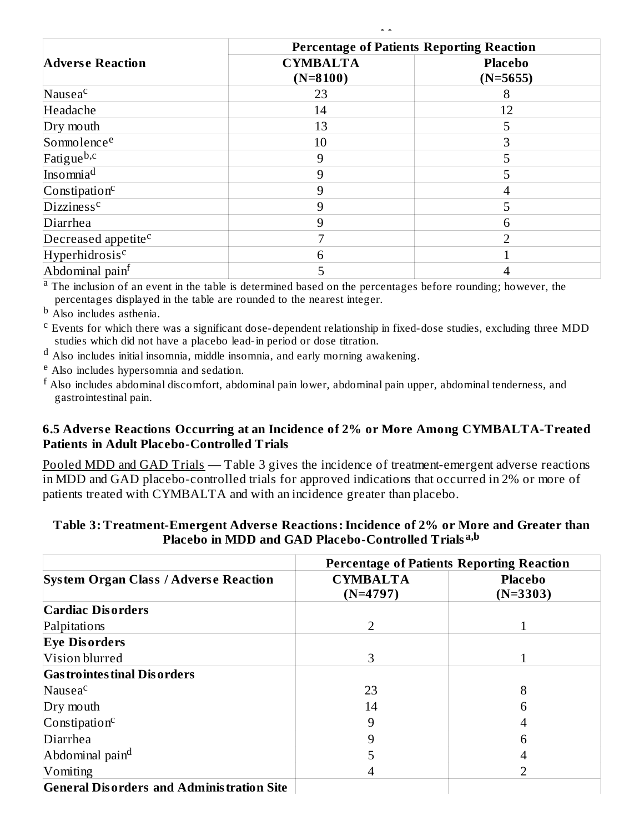|                                 | <b>Percentage of Patients Reporting Reaction</b> |                              |  |  |
|---------------------------------|--------------------------------------------------|------------------------------|--|--|
| <b>Adverse Reaction</b>         | <b>CYMBALTA</b><br>$(N=8100)$                    | <b>Placebo</b><br>$(N=5655)$ |  |  |
| Nauseac                         | 23                                               | 8                            |  |  |
| Headache                        | 14                                               | 12                           |  |  |
| Dry mouth                       | 13                                               |                              |  |  |
| Somnolence <sup>e</sup>         | 10                                               | З                            |  |  |
| Fatigue <sup>b,c</sup>          | 9                                                |                              |  |  |
| Insomnia <sup>d</sup>           | 9                                                | 5                            |  |  |
| Constipation <sup>c</sup>       | 9                                                |                              |  |  |
| Dizziness <sup>c</sup>          | 9                                                | 5                            |  |  |
| Diarrhea                        | 9                                                | 6                            |  |  |
| Decreased appetite <sup>c</sup> |                                                  | ר                            |  |  |
| Hyperhidrosis <sup>c</sup>      | 6                                                |                              |  |  |
| Abdominal pain <sup>f</sup>     |                                                  |                              |  |  |

**Placebo in Placebo-Controlled Trials of Approved Indications**

<sup>a</sup> The inclusion of an event in the table is determined based on the percentages before rounding; however, the percentages displayed in the table are rounded to the nearest integer.

- <sup>b</sup> Also includes asthenia.
- <sup>c</sup> Events for which there was a significant dose-dependent relationship in fixed-dose studies, excluding three MDD studies which did not have a placebo lead-in period or dose titration.
- <sup>d</sup> Also includes initial insomnia, middle insomnia, and early morning awakening.
- <sup>e</sup> Also includes hypersomnia and sedation.
- $^{\rm f}$  Also includes abdominal discomfort, abdominal pain lower, abdominal pain upper, abdominal tenderness, and gastrointestinal pain.

#### **6.5 Advers e Reactions Occurring at an Incidence of 2% or More Among CYMBALTA-Treated Patients in Adult Placebo-Controlled Trials**

Pooled MDD and GAD Trials — Table 3 gives the incidence of treatment-emergent adverse reactions in MDD and GAD placebo-controlled trials for approved indications that occurred in 2% or more of patients treated with CYMBALTA and with an incidence greater than placebo.

#### **Table 3: Treatment-Emergent Advers e Reactions:Incidence of 2% or More and Greater than Placebo in MDD and GAD Placebo-Controlled Trials a,b**

|                                                  | <b>Percentage of Patients Reporting Reaction</b> |                              |  |  |
|--------------------------------------------------|--------------------------------------------------|------------------------------|--|--|
| <b>System Organ Class / Adverse Reaction</b>     | <b>CYMBALTA</b><br>$(N=4797)$                    | <b>Placebo</b><br>$(N=3303)$ |  |  |
| <b>Cardiac Disorders</b>                         |                                                  |                              |  |  |
| Palpitations                                     |                                                  |                              |  |  |
| <b>Eye Disorders</b>                             |                                                  |                              |  |  |
| Vision blurred                                   | 3                                                |                              |  |  |
| <b>Gas trointes tinal Dis orders</b>             |                                                  |                              |  |  |
| Nauseac                                          | 23                                               | 8                            |  |  |
| Dry mouth                                        | 14                                               | 6                            |  |  |
| Constipation <sup>c</sup>                        | 9                                                |                              |  |  |
| Diarrhea                                         | 9                                                | 6                            |  |  |
| Abdominal pain <sup>d</sup>                      |                                                  |                              |  |  |
| Vomiting                                         |                                                  | 2                            |  |  |
| <b>General Disorders and Administration Site</b> |                                                  |                              |  |  |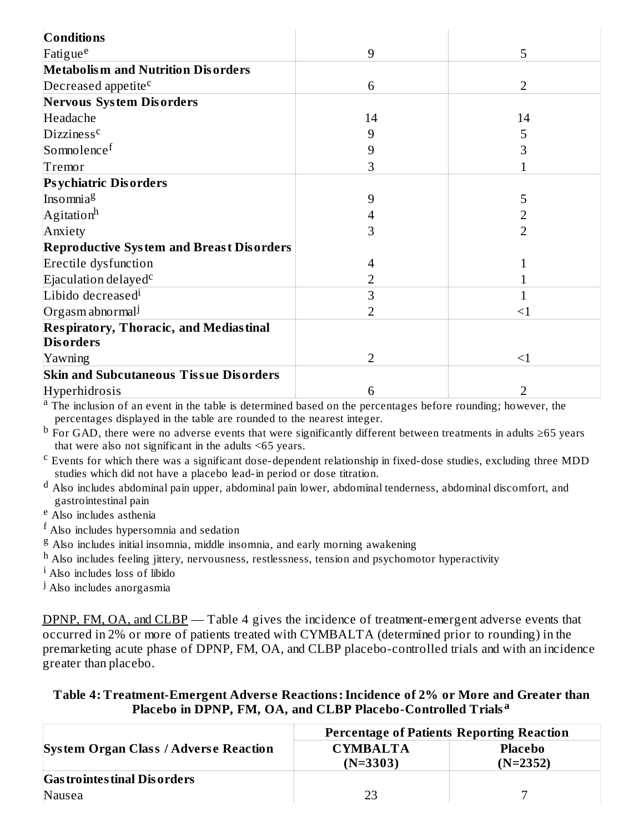| <b>Conditions</b>                               |                |                |  |  |
|-------------------------------------------------|----------------|----------------|--|--|
| Fatigue <sup>e</sup>                            | 9              | 5              |  |  |
| <b>Metabolism and Nutrition Disorders</b>       |                |                |  |  |
| Decreased appetite <sup>c</sup>                 | 6              | $\overline{2}$ |  |  |
| <b>Nervous System Disorders</b>                 |                |                |  |  |
| Headache                                        | 14             | 14             |  |  |
| Dizziness <sup>c</sup>                          | 9              | 5              |  |  |
| Somnolence <sup>f</sup>                         | 9              | 3              |  |  |
| Tremor                                          | 3              |                |  |  |
| <b>Psychiatric Disorders</b>                    |                |                |  |  |
| Insomnia <sup>g</sup>                           | 9              | 5              |  |  |
| Agitation <sup>h</sup>                          | 4              |                |  |  |
| Anxiety                                         | 3              | 2              |  |  |
| <b>Reproductive System and Breast Disorders</b> |                |                |  |  |
| Erectile dysfunction                            | 4              |                |  |  |
| Ejaculation delayed <sup>c</sup>                | $\overline{2}$ |                |  |  |
| Libido decreased <sup>i</sup>                   | 3              | 1              |  |  |
| Orgasm abnormal <sup>j</sup>                    | 2              | $<$ 1          |  |  |
| <b>Respiratory, Thoracic, and Mediastinal</b>   |                |                |  |  |
| <b>Disorders</b>                                |                |                |  |  |
| Yawning                                         | 2              | $\leq$ 1       |  |  |
| <b>Skin and Subcutaneous Tissue Disorders</b>   |                |                |  |  |
| Hyperhidrosis                                   | 6              | $\overline{2}$ |  |  |

<sup>a</sup> The inclusion of an event in the table is determined based on the percentages before rounding; however, the percentages displayed in the table are rounded to the nearest integer.

 $^{\rm b}$  For GAD, there were no adverse events that were significantly different between treatments in adults ≥65 years that were also not significant in the adults <65 years.

<sup>c</sup> Events for which there was a significant dose-dependent relationship in fixed-dose studies, excluding three MDD studies which did not have a placebo lead-in period or dose titration.

<sup>d</sup> Also includes abdominal pain upper, abdominal pain lower, abdominal tenderness, abdominal discomfort, and gastrointestinal pain

- <sup>e</sup> Also includes asthenia
- $^{\rm f}$  Also includes hypersomnia and sedation
- <sup>g</sup> Also includes initial insomnia, middle insomnia, and early morning awakening
- $^{\rm h}$  Also includes feeling jittery, nervousness, restlessness, tension and psychomotor hyperactivity
- <sup>i</sup> Also includes loss of libido
- <sup>j</sup> Also includes anorgasmia

DPNP, FM, OA, and CLBP — Table 4 gives the incidence of treatment-emergent adverse events that occurred in 2% or more of patients treated with CYMBALTA (determined prior to rounding) in the premarketing acute phase of DPNP, FM, OA, and CLBP placebo-controlled trials and with an incidence greater than placebo.

#### **Table 4: Treatment-Emergent Advers e Reactions:Incidence of 2% or More and Greater than Placebo in DPNP, FM, OA, and CLBP Placebo-Controlled Trials a**

|                                              | <b>Percentage of Patients Reporting Reaction</b> |                              |  |  |
|----------------------------------------------|--------------------------------------------------|------------------------------|--|--|
| <b>System Organ Class / Adverse Reaction</b> | <b>CYMBALTA</b><br>$(N=3303)$                    | <b>Placebo</b><br>$(N=2352)$ |  |  |
| <b>Gas trointes tinal Dis orders</b>         |                                                  |                              |  |  |
| Nausea                                       | 23                                               |                              |  |  |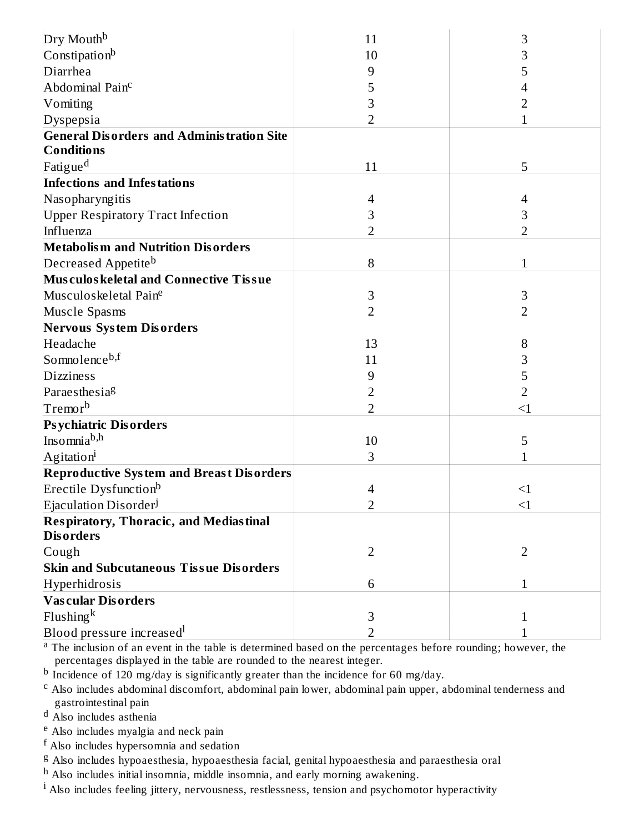| Dry Mouth <sup>b</sup>                           | 11             | 3              |
|--------------------------------------------------|----------------|----------------|
| Constipationb                                    | 10             | 3              |
| Diarrhea                                         | 9              | 5              |
| Abdominal Pain <sup>c</sup>                      | 5              | 4              |
| Vomiting                                         | 3              | $\overline{2}$ |
| Dyspepsia                                        | 2              | $\mathbf{1}$   |
| <b>General Disorders and Administration Site</b> |                |                |
| <b>Conditions</b>                                |                |                |
| Fatigue <sup>d</sup>                             | 11             | 5              |
| <b>Infections and Infestations</b>               |                |                |
| Nasopharyngitis                                  | 4              | 4              |
| <b>Upper Respiratory Tract Infection</b>         | 3              | 3              |
| Influenza                                        | $\overline{2}$ | $\overline{2}$ |
| <b>Metabolism and Nutrition Disorders</b>        |                |                |
| Decreased Appetiteb                              | 8              | $\mathbf{1}$   |
| Musculos keletal and Connective Tissue           |                |                |
| Musculoskeletal Paine                            | 3              | 3              |
| Muscle Spasms                                    | 2              | 2              |
| <b>Nervous System Disorders</b>                  |                |                |
| Headache                                         | 13             | 8              |
| Somnolence <sup>b,f</sup>                        | 11             | 3              |
| <b>Dizziness</b>                                 | 9              | 5              |
| Paraesthesia <sup>g</sup>                        | $\overline{2}$ | 2              |
| Tremor <sup>b</sup>                              | $\overline{2}$ | $<$ 1          |
| <b>Psychiatric Disorders</b>                     |                |                |
| Insomnia <sup>b,h</sup>                          | 10             | 5              |
| Agitation                                        | 3              | 1              |
| Reproductive System and Breast Disorders         |                |                |
| Erectile Dysfunction <sup>b</sup>                | 4              | $\leq$ 1       |
| Ejaculation Disorder <sup>j</sup>                | 2              | $\leq$ 1       |
| <b>Respiratory, Thoracic, and Mediastinal</b>    |                |                |
| <b>Disorders</b>                                 |                |                |
| Cough                                            | 2              | 2              |
| <b>Skin and Subcutaneous Tissue Disorders</b>    |                |                |
| Hyperhidrosis                                    | 6              | 1              |
| <b>Vascular Disorders</b>                        |                |                |
| Flushing <sup>k</sup>                            | 3              | 1              |
| Blood pressure increased <sup>1</sup>            | 2              | 1              |

The inclusion of an event in the table is determined based on the percentages before rounding; however, the percentages displayed in the table are rounded to the nearest integer. a

 $^{\rm b}$  Incidence of 120 mg/day is significantly greater than the incidence for 60 mg/day.

<sup>c</sup> Also includes abdominal discomfort, abdominal pain lower, abdominal pain upper, abdominal tenderness and gastrointestinal pain

<sup>d</sup> Also includes asthenia

<sup>e</sup> Also includes myalgia and neck pain

 $^{\rm f}$  Also includes hypersomnia and sedation

g<br><sup>g</sup> Also includes hypoaesthesia, hypoaesthesia facial, genital hypoaesthesia and paraesthesia oral

<sup>h</sup> Also includes initial insomnia, middle insomnia, and early morning awakening.

 $^{\rm i}$  Also includes feeling jittery, nervousness, restlessness, tension and psychomotor hyperactivity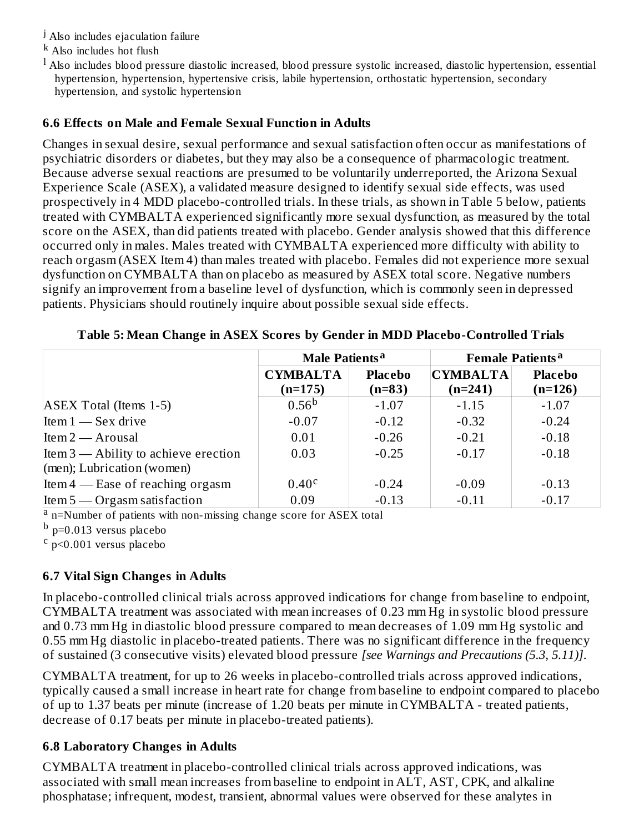#### <sup>j</sup> Also includes ejaculation failure

#### <sup>k</sup> Also includes hot flush

 $^{\rm l}$  Also includes blood pressure diastolic increased, blood pressure systolic increased, diastolic hypertension, essential hypertension, hypertension, hypertensive crisis, labile hypertension, orthostatic hypertension, secondary hypertension, and systolic hypertension

## **6.6 Effects on Male and Female Sexual Function in Adults**

Changes in sexual desire, sexual performance and sexual satisfaction often occur as manifestations of psychiatric disorders or diabetes, but they may also be a consequence of pharmacologic treatment. Because adverse sexual reactions are presumed to be voluntarily underreported, the Arizona Sexual Experience Scale (ASEX), a validated measure designed to identify sexual side effects, was used prospectively in 4 MDD placebo-controlled trials. In these trials, as shown in Table 5 below, patients treated with CYMBALTA experienced significantly more sexual dysfunction, as measured by the total score on the ASEX, than did patients treated with placebo. Gender analysis showed that this difference occurred only in males. Males treated with CYMBALTA experienced more difficulty with ability to reach orgasm (ASEX Item 4) than males treated with placebo. Females did not experience more sexual dysfunction on CYMBALTA than on placebo as measured by ASEX total score. Negative numbers signify an improvement from a baseline level of dysfunction, which is commonly seen in depressed patients. Physicians should routinely inquire about possible sexual side effects.

|                                        | Male Patients <sup>a</sup> |                | Female Patients <sup>a</sup> |                |
|----------------------------------------|----------------------------|----------------|------------------------------|----------------|
|                                        | <b>CYMBALTA</b>            | <b>Placebo</b> | <b>CYMBALTA</b>              | <b>Placebo</b> |
|                                        | $(n=175)$                  | $(n=83)$       | $(n=241)$                    | $(n=126)$      |
| $ASEX$ Total (Items 1-5)               | 0.56 <sup>b</sup>          | $-1.07$        | $-1.15$                      | $-1.07$        |
| Item $1$ — Sex drive                   | $-0.07$                    | $-0.12$        | $-0.32$                      | $-0.24$        |
| Item $2 -$ Arousal                     | 0.01                       | $-0.26$        | $-0.21$                      | $-0.18$        |
| Item $3$ — Ability to achieve erection | 0.03                       | $-0.25$        | $-0.17$                      | $-0.18$        |
| (men); Lubrication (women)             |                            |                |                              |                |
| Item $4$ — Ease of reaching orgasm     | 0.40 <sup>c</sup>          | $-0.24$        | $-0.09$                      | $-0.13$        |
| Item 5 — Orgasm satisfaction           | 0.09                       | $-0.13$        | $-0.11$                      | $-0.17$        |

**Table 5: Mean Change in ASEX Scores by Gender in MDD Placebo-Controlled Trials**

a n=Number of patients with non-missing change score for ASEX total

 $^{\rm b}$  p=0.013 versus placebo

<sup>c</sup> p<0.001 versus placebo

## **6.7 Vital Sign Changes in Adults**

In placebo-controlled clinical trials across approved indications for change from baseline to endpoint, CYMBALTA treatment was associated with mean increases of 0.23 mm Hg in systolic blood pressure and 0.73 mm Hg in diastolic blood pressure compared to mean decreases of 1.09 mm Hg systolic and 0.55 mm Hg diastolic in placebo-treated patients. There was no significant difference in the frequency of sustained (3 consecutive visits) elevated blood pressure *[see Warnings and Precautions (5.3, 5.11)]*.

CYMBALTA treatment, for up to 26 weeks in placebo-controlled trials across approved indications, typically caused a small increase in heart rate for change from baseline to endpoint compared to placebo of up to 1.37 beats per minute (increase of 1.20 beats per minute in CYMBALTA - treated patients, decrease of 0.17 beats per minute in placebo-treated patients).

### **6.8 Laboratory Changes in Adults**

CYMBALTA treatment in placebo-controlled clinical trials across approved indications, was associated with small mean increases from baseline to endpoint in ALT, AST, CPK, and alkaline phosphatase; infrequent, modest, transient, abnormal values were observed for these analytes in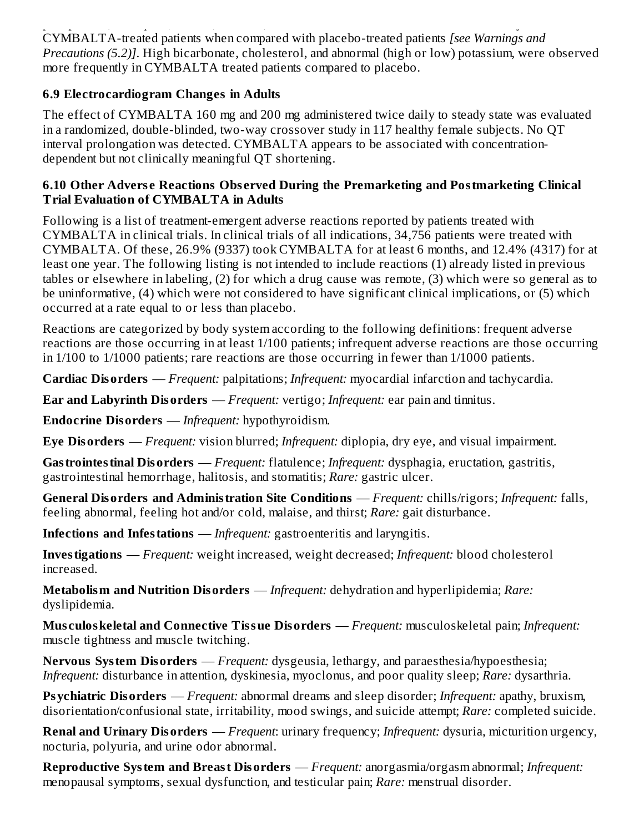phosphatase; infrequent, modest, transient, abnormal values were observed for these analytes in CYMBALTA-treated patients when compared with placebo-treated patients *[see Warnings and Precautions (5.2)]*. High bicarbonate, cholesterol, and abnormal (high or low) potassium, were observed more frequently in CYMBALTA treated patients compared to placebo.

## **6.9 Electrocardiogram Changes in Adults**

The effect of CYMBALTA 160 mg and 200 mg administered twice daily to steady state was evaluated in a randomized, double-blinded, two-way crossover study in 117 healthy female subjects. No QT interval prolongation was detected. CYMBALTA appears to be associated with concentrationdependent but not clinically meaningful QT shortening.

#### **6.10 Other Advers e Reactions Obs erved During the Premarketing and Postmarketing Clinical Trial Evaluation of CYMBALTA in Adults**

Following is a list of treatment-emergent adverse reactions reported by patients treated with CYMBALTA in clinical trials. In clinical trials of all indications, 34,756 patients were treated with CYMBALTA. Of these, 26.9% (9337) took CYMBALTA for at least 6 months, and 12.4% (4317) for at least one year. The following listing is not intended to include reactions (1) already listed in previous tables or elsewhere in labeling, (2) for which a drug cause was remote, (3) which were so general as to be uninformative, (4) which were not considered to have significant clinical implications, or (5) which occurred at a rate equal to or less than placebo.

Reactions are categorized by body system according to the following definitions: frequent adverse reactions are those occurring in at least 1/100 patients; infrequent adverse reactions are those occurring in 1/100 to 1/1000 patients; rare reactions are those occurring in fewer than 1/1000 patients.

**Cardiac Disorders** — *Frequent:* palpitations; *Infrequent:* myocardial infarction and tachycardia.

**Ear and Labyrinth Disorders** — *Frequent:* vertigo; *Infrequent:* ear pain and tinnitus.

**Endocrine Disorders** — *Infrequent:* hypothyroidism.

**Eye Disorders** — *Frequent:* vision blurred; *Infrequent:* diplopia, dry eye, and visual impairment.

**Gastrointestinal Disorders** — *Frequent:* flatulence; *Infrequent:* dysphagia, eructation, gastritis, gastrointestinal hemorrhage, halitosis, and stomatitis; *Rare:* gastric ulcer.

**General Disorders and Administration Site Conditions** — *Frequent:* chills/rigors; *Infrequent:* falls, feeling abnormal, feeling hot and/or cold, malaise, and thirst; *Rare:* gait disturbance.

**Infections and Infestations** — *Infrequent:* gastroenteritis and laryngitis.

**Investigations** — *Frequent:* weight increased, weight decreased; *Infrequent:* blood cholesterol increased.

**Metabolism and Nutrition Disorders** — *Infrequent:* dehydration and hyperlipidemia; *Rare:* dyslipidemia.

**Mus culoskeletal and Connective Tissue Disorders** — *Frequent:* musculoskeletal pain; *Infrequent:* muscle tightness and muscle twitching.

**Nervous System Disorders** — *Frequent:* dysgeusia, lethargy, and paraesthesia/hypoesthesia; *Infrequent:* disturbance in attention, dyskinesia, myoclonus, and poor quality sleep; *Rare:* dysarthria.

**Psychiatric Disorders** — *Frequent:* abnormal dreams and sleep disorder; *Infrequent:* apathy, bruxism, disorientation/confusional state, irritability, mood swings, and suicide attempt; *Rare:* completed suicide.

**Renal and Urinary Disorders** — *Frequent*: urinary frequency; *Infrequent:* dysuria, micturition urgency, nocturia, polyuria, and urine odor abnormal.

**Reproductive System and Breast Disorders** — *Frequent:* anorgasmia/orgasm abnormal; *Infrequent:* menopausal symptoms, sexual dysfunction, and testicular pain; *Rare:* menstrual disorder.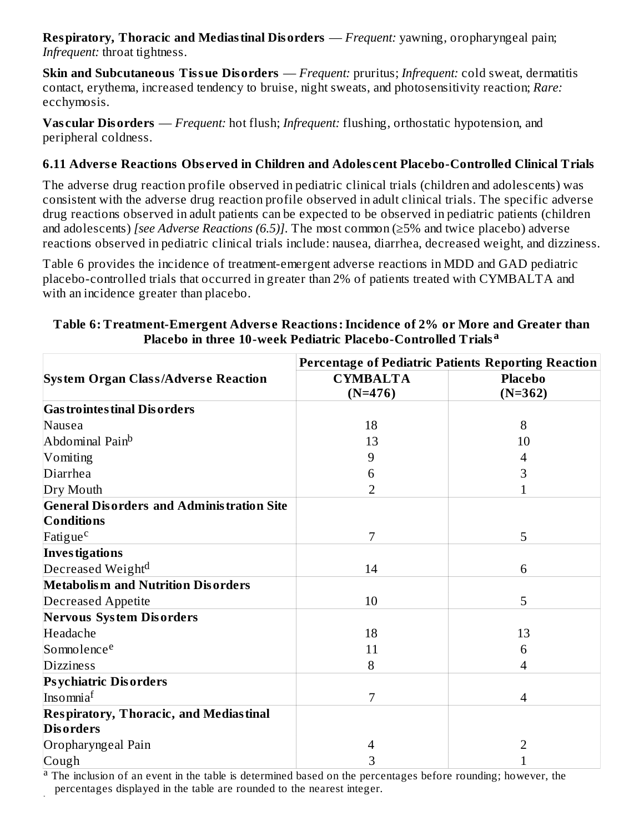**Respiratory, Thoracic and Mediastinal Disorders** — *Frequent:* yawning, oropharyngeal pain; *Infrequent:* throat tightness.

**Skin and Subcutaneous Tissue Disorders** — *Frequent:* pruritus; *Infrequent:* cold sweat, dermatitis contact, erythema, increased tendency to bruise, night sweats, and photosensitivity reaction; *Rare:* ecchymosis.

**Vas cular Disorders** — *Frequent:* hot flush; *Infrequent:* flushing, orthostatic hypotension, and peripheral coldness.

#### **6.11 Advers e Reactions Obs erved in Children and Adoles cent Placebo-Controlled Clinical Trials**

The adverse drug reaction profile observed in pediatric clinical trials (children and adolescents) was consistent with the adverse drug reaction profile observed in adult clinical trials. The specific adverse drug reactions observed in adult patients can be expected to be observed in pediatric patients (children and adolescents) *[see Adverse Reactions (6.5)]*. The most common (≥5% and twice placebo) adverse reactions observed in pediatric clinical trials include: nausea, diarrhea, decreased weight, and dizziness.

Table 6 provides the incidence of treatment-emergent adverse reactions in MDD and GAD pediatric placebo-controlled trials that occurred in greater than 2% of patients treated with CYMBALTA and with an incidence greater than placebo.

|                                                  | <b>Percentage of Pediatric Patients Reporting Reaction</b> |                |  |  |
|--------------------------------------------------|------------------------------------------------------------|----------------|--|--|
| <b>System Organ Class/Adverse Reaction</b>       | <b>CYMBALTA</b>                                            | <b>Placebo</b> |  |  |
|                                                  | $(N=476)$                                                  | $(N=362)$      |  |  |
| <b>Gas trointes tinal Disorders</b>              |                                                            |                |  |  |
| Nausea                                           | 18                                                         | 8              |  |  |
| Abdominal Pain <sup>b</sup>                      | 13                                                         | 10             |  |  |
| Vomiting                                         | 9                                                          | 4              |  |  |
| Diarrhea                                         | 6                                                          | 3              |  |  |
| Dry Mouth                                        | 2                                                          | 1              |  |  |
| <b>General Disorders and Administration Site</b> |                                                            |                |  |  |
| <b>Conditions</b>                                |                                                            |                |  |  |
| Fatigue <sup>c</sup>                             | 7                                                          | 5              |  |  |
| <b>Investigations</b>                            |                                                            |                |  |  |
| Decreased Weight <sup>d</sup>                    | 14                                                         | 6              |  |  |
| <b>Metabolism and Nutrition Disorders</b>        |                                                            |                |  |  |
| <b>Decreased Appetite</b>                        | 10                                                         | 5              |  |  |
| <b>Nervous System Disorders</b>                  |                                                            |                |  |  |
| Headache                                         | 18                                                         | 13             |  |  |
| Somnolence <sup>e</sup>                          | 11                                                         | 6              |  |  |
| <b>Dizziness</b>                                 | 8                                                          | $\overline{4}$ |  |  |
| <b>Psychiatric Disorders</b>                     |                                                            |                |  |  |
| Insomniaf                                        | 7                                                          | $\overline{4}$ |  |  |
| <b>Respiratory, Thoracic, and Mediastinal</b>    |                                                            |                |  |  |
| <b>Disorders</b>                                 |                                                            |                |  |  |
| Oropharyngeal Pain                               | 4                                                          | 2              |  |  |
| Cough                                            | 3                                                          | 1              |  |  |

#### **Table 6: Treatment-Emergent Advers e Reactions:Incidence of 2% or More and Greater than Placebo in three 10-week Pediatric Placebo-Controlled Trials a**

<sup>a</sup> The inclusion of an event in the table is determined based on the percentages before rounding; however, the percentages displayed in the table are rounded to the nearest integer. t,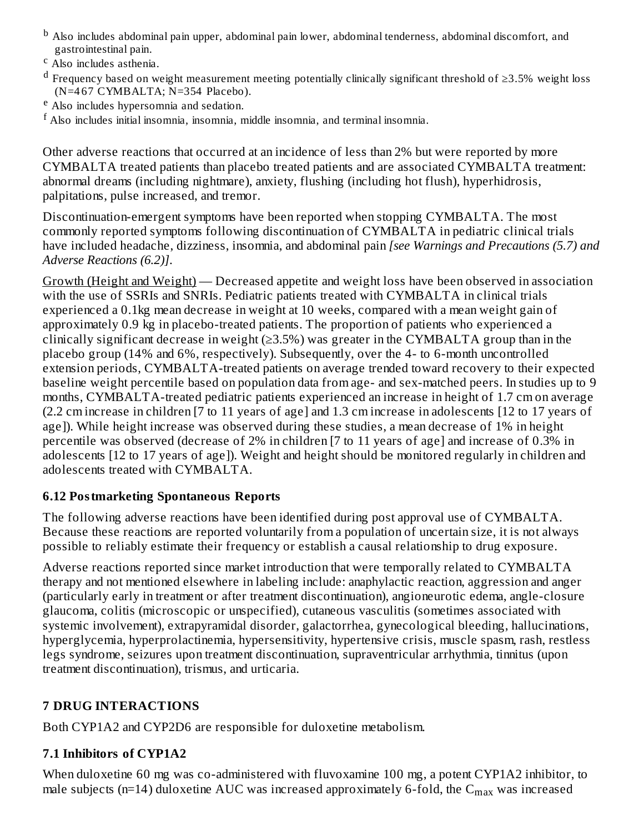- $^{\rm b}$  Also includes abdominal pain upper, abdominal pain lower, abdominal tenderness, abdominal discomfort, and gastrointestinal pain.
- <sup>c</sup> Also includes asthenia.
- $^{\rm d}$  Frequency based on weight measurement meeting potentially clinically significant threshold of ≥3.5% weight loss (N=4 67 CYMBALTA; N=354 Placebo).
- <sup>e</sup> Also includes hypersomnia and sedation.
- $^{\rm f}$  Also includes initial insomnia, insomnia, middle insomnia, and terminal insomnia.

Other adverse reactions that occurred at an incidence of less than 2% but were reported by more CYMBALTA treated patients than placebo treated patients and are associated CYMBALTA treatment: abnormal dreams (including nightmare), anxiety, flushing (including hot flush), hyperhidrosis, palpitations, pulse increased, and tremor.

Discontinuation-emergent symptoms have been reported when stopping CYMBALTA. The most commonly reported symptoms following discontinuation of CYMBALTA in pediatric clinical trials have included headache, dizziness, insomnia, and abdominal pain *[see Warnings and Precautions (5.7) and Adverse Reactions (6.2)]*.

Growth (Height and Weight) — Decreased appetite and weight loss have been observed in association with the use of SSRIs and SNRIs. Pediatric patients treated with CYMBALTA in clinical trials experienced a 0.1kg mean decrease in weight at 10 weeks, compared with a mean weight gain of approximately 0.9 kg in placebo-treated patients. The proportion of patients who experienced a clinically significant decrease in weight  $(\geq 3.5\%)$  was greater in the CYMBALTA group than in the placebo group (14% and 6%, respectively). Subsequently, over the 4- to 6-month uncontrolled extension periods, CYMBALTA-treated patients on average trended toward recovery to their expected baseline weight percentile based on population data from age- and sex-matched peers. In studies up to 9 months, CYMBALTA-treated pediatric patients experienced an increase in height of 1.7 cm on average (2.2 cm increase in children [7 to 11 years of age] and 1.3 cm increase in adolescents [12 to 17 years of age]). While height increase was observed during these studies, a mean decrease of 1% in height percentile was observed (decrease of 2% in children [7 to 11 years of age] and increase of 0.3% in adolescents [12 to 17 years of age]). Weight and height should be monitored regularly in children and adolescents treated with CYMBALTA.

### **6.12 Postmarketing Spontaneous Reports**

The following adverse reactions have been identified during post approval use of CYMBALTA. Because these reactions are reported voluntarily from a population of uncertain size, it is not always possible to reliably estimate their frequency or establish a causal relationship to drug exposure.

Adverse reactions reported since market introduction that were temporally related to CYMBALTA therapy and not mentioned elsewhere in labeling include: anaphylactic reaction, aggression and anger (particularly early in treatment or after treatment discontinuation), angioneurotic edema, angle-closure glaucoma, colitis (microscopic or unspecified), cutaneous vasculitis (sometimes associated with systemic involvement), extrapyramidal disorder, galactorrhea, gynecological bleeding, hallucinations, hyperglycemia, hyperprolactinemia, hypersensitivity, hypertensive crisis, muscle spasm, rash, restless legs syndrome, seizures upon treatment discontinuation, supraventricular arrhythmia, tinnitus (upon treatment discontinuation), trismus, and urticaria.

## **7 DRUG INTERACTIONS**

Both CYP1A2 and CYP2D6 are responsible for duloxetine metabolism.

## **7.1 Inhibitors of CYP1A2**

When duloxetine 60 mg was co-administered with fluvoxamine 100 mg, a potent CYP1A2 inhibitor, to male subjects (n=14) duloxetine AUC was increased approximately 6-fold, the  $\rm{C_{max}}$  was increased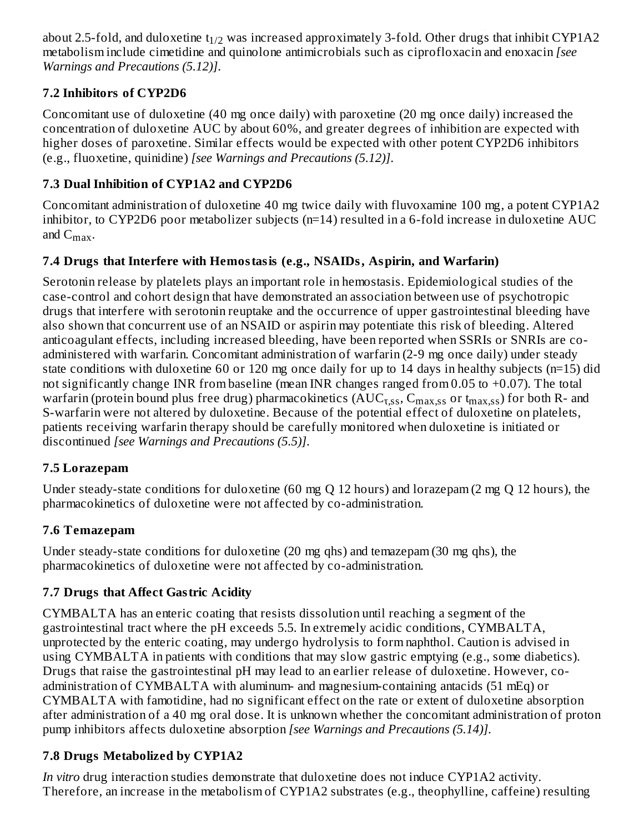about 2.5-fold, and duloxetine  $t_{1/2}$  was increased approximately 3-fold. Other drugs that inhibit CYP1A2 metabolism include cimetidine and quinolone antimicrobials such as ciprofloxacin and enoxacin *[see Warnings and Precautions (5.12)]*. ...<sub>...</sub>. 1/2

## **7.2 Inhibitors of CYP2D6**

Concomitant use of duloxetine (40 mg once daily) with paroxetine (20 mg once daily) increased the concentration of duloxetine AUC by about 60%, and greater degrees of inhibition are expected with higher doses of paroxetine. Similar effects would be expected with other potent CYP2D6 inhibitors (e.g., fluoxetine, quinidine) *[see Warnings and Precautions (5.12)]*.

## **7.3 Dual Inhibition of CYP1A2 and CYP2D6**

Concomitant administration of duloxetine 40 mg twice daily with fluvoxamine 100 mg, a potent CYP1A2 inhibitor, to CYP2D6 poor metabolizer subjects (n=14) resulted in a 6-fold increase in duloxetine AUC and  $C_{\rm max}$ .

## **7.4 Drugs that Interfere with Hemostasis (e.g., NSAIDs, Aspirin, and Warfarin)**

Serotonin release by platelets plays an important role in hemostasis. Epidemiological studies of the case-control and cohort design that have demonstrated an association between use of psychotropic drugs that interfere with serotonin reuptake and the occurrence of upper gastrointestinal bleeding have also shown that concurrent use of an NSAID or aspirin may potentiate this risk of bleeding. Altered anticoagulant effects, including increased bleeding, have been reported when SSRIs or SNRIs are coadministered with warfarin. Concomitant administration of warfarin (2-9 mg once daily) under steady state conditions with duloxetine 60 or 120 mg once daily for up to 14 days in healthy subjects ( $n=15$ ) did not significantly change INR from baseline (mean INR changes ranged from 0.05 to +0.07). The total warfarin (protein bound plus free drug) pharmacokinetics  $(AUC_{\tau,ss},C_{\max,ss}$  or  $t_{\max,ss})$  for both R- and S-warfarin were not altered by duloxetine. Because of the potential effect of duloxetine on platelets, patients receiving warfarin therapy should be carefully monitored when duloxetine is initiated or discontinued *[see Warnings and Precautions (5.5)]*.

### **7.5 Lorazepam**

Under steady-state conditions for duloxetine (60 mg Q 12 hours) and lorazepam (2 mg Q 12 hours), the pharmacokinetics of duloxetine were not affected by co-administration.

## **7.6 Temazepam**

Under steady-state conditions for duloxetine (20 mg qhs) and temazepam (30 mg qhs), the pharmacokinetics of duloxetine were not affected by co-administration.

## **7.7 Drugs that Affect Gastric Acidity**

CYMBALTA has an enteric coating that resists dissolution until reaching a segment of the gastrointestinal tract where the pH exceeds 5.5. In extremely acidic conditions, CYMBALTA, unprotected by the enteric coating, may undergo hydrolysis to form naphthol. Caution is advised in using CYMBALTA in patients with conditions that may slow gastric emptying (e.g., some diabetics). Drugs that raise the gastrointestinal pH may lead to an earlier release of duloxetine. However, coadministration of CYMBALTA with aluminum- and magnesium-containing antacids (51 mEq) or CYMBALTA with famotidine, had no significant effect on the rate or extent of duloxetine absorption after administration of a 40 mg oral dose. It is unknown whether the concomitant administration of proton pump inhibitors affects duloxetine absorption *[see Warnings and Precautions (5.14)]*.

## **7.8 Drugs Metabolized by CYP1A2**

*In vitro* drug interaction studies demonstrate that duloxetine does not induce CYP1A2 activity. Therefore, an increase in the metabolism of CYP1A2 substrates (e.g., theophylline, caffeine) resulting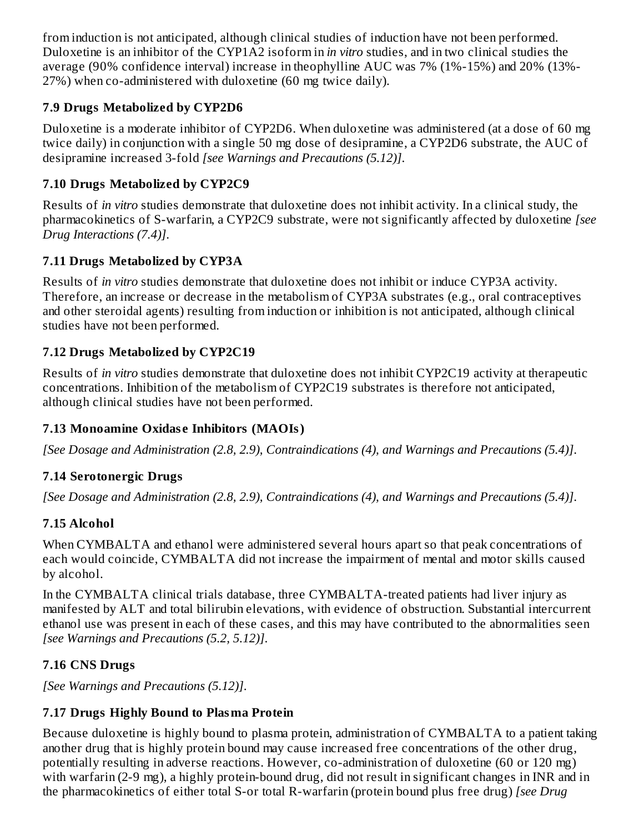from induction is not anticipated, although clinical studies of induction have not been performed. Duloxetine is an inhibitor of the CYP1A2 isoform in *in vitro* studies, and in two clinical studies the average (90% confidence interval) increase in theophylline AUC was 7% (1%-15%) and 20% (13%- 27%) when co-administered with duloxetine (60 mg twice daily).

## **7.9 Drugs Metabolized by CYP2D6**

Duloxetine is a moderate inhibitor of CYP2D6. When duloxetine was administered (at a dose of 60 mg twice daily) in conjunction with a single 50 mg dose of desipramine, a CYP2D6 substrate, the AUC of desipramine increased 3-fold *[see Warnings and Precautions (5.12)]*.

## **7.10 Drugs Metabolized by CYP2C9**

Results of *in vitro* studies demonstrate that duloxetine does not inhibit activity. In a clinical study, the pharmacokinetics of S-warfarin, a CYP2C9 substrate, were not significantly affected by duloxetine *[see Drug Interactions (7.4)]*.

## **7.11 Drugs Metabolized by CYP3A**

Results of *in vitro* studies demonstrate that duloxetine does not inhibit or induce CYP3A activity. Therefore, an increase or decrease in the metabolism of CYP3A substrates (e.g., oral contraceptives and other steroidal agents) resulting from induction or inhibition is not anticipated, although clinical studies have not been performed.

## **7.12 Drugs Metabolized by CYP2C19**

Results of *in vitro* studies demonstrate that duloxetine does not inhibit CYP2C19 activity at therapeutic concentrations. Inhibition of the metabolism of CYP2C19 substrates is therefore not anticipated, although clinical studies have not been performed.

### **7.13 Monoamine Oxidas e Inhibitors (MAOIs)**

*[See Dosage and Administration (2.8, 2.9), Contraindications (4), and Warnings and Precautions (5.4)]*.

### **7.14 Serotonergic Drugs**

*[See Dosage and Administration (2.8, 2.9), Contraindications (4), and Warnings and Precautions (5.4)]*.

## **7.15 Alcohol**

When CYMBALTA and ethanol were administered several hours apart so that peak concentrations of each would coincide, CYMBALTA did not increase the impairment of mental and motor skills caused by alcohol.

In the CYMBALTA clinical trials database, three CYMBALTA-treated patients had liver injury as manifested by ALT and total bilirubin elevations, with evidence of obstruction. Substantial intercurrent ethanol use was present in each of these cases, and this may have contributed to the abnormalities seen *[see Warnings and Precautions (5.2, 5.12)]*.

## **7.16 CNS Drugs**

*[See Warnings and Precautions (5.12)]*.

## **7.17 Drugs Highly Bound to Plasma Protein**

Because duloxetine is highly bound to plasma protein, administration of CYMBALTA to a patient taking another drug that is highly protein bound may cause increased free concentrations of the other drug, potentially resulting in adverse reactions. However, co-administration of duloxetine (60 or 120 mg) with warfarin (2-9 mg), a highly protein-bound drug, did not result in significant changes in INR and in the pharmacokinetics of either total S-or total R-warfarin (protein bound plus free drug) *[see Drug*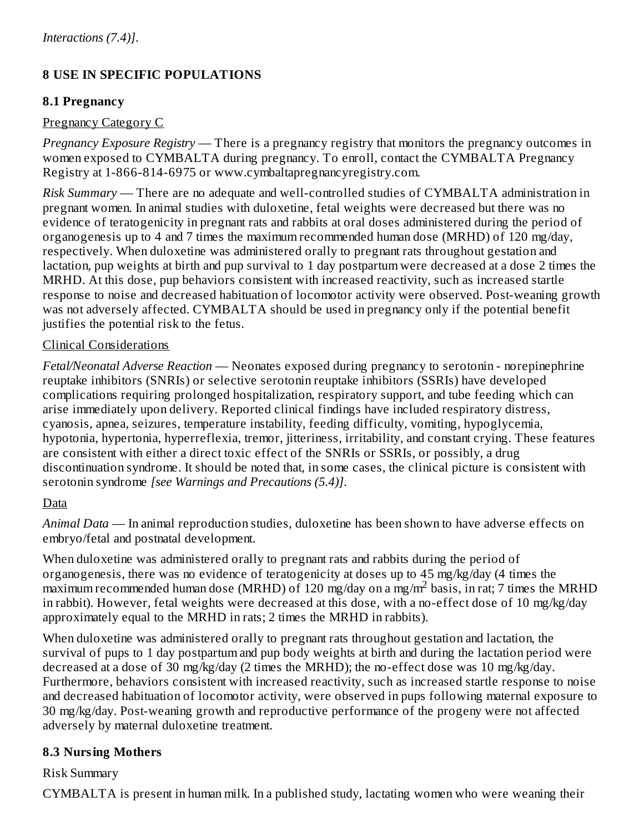## **8 USE IN SPECIFIC POPULATIONS**

#### **8.1 Pregnancy**

#### Pregnancy Category C

*Pregnancy Exposure Registry* — There is a pregnancy registry that monitors the pregnancy outcomes in women exposed to CYMBALTA during pregnancy. To enroll, contact the CYMBALTA Pregnancy Registry at 1-866-814-6975 or www.cymbaltapregnancyregistry.com.

*Risk Summary* — There are no adequate and well-controlled studies of CYMBALTA administration in pregnant women. In animal studies with duloxetine, fetal weights were decreased but there was no evidence of teratogenicity in pregnant rats and rabbits at oral doses administered during the period of organogenesis up to 4 and 7 times the maximum recommended human dose (MRHD) of 120 mg/day, respectively. When duloxetine was administered orally to pregnant rats throughout gestation and lactation, pup weights at birth and pup survival to 1 day postpartum were decreased at a dose 2 times the MRHD. At this dose, pup behaviors consistent with increased reactivity, such as increased startle response to noise and decreased habituation of locomotor activity were observed. Post-weaning growth was not adversely affected. CYMBALTA should be used in pregnancy only if the potential benefit justifies the potential risk to the fetus.

### Clinical Considerations

*Fetal/Neonatal Adverse Reaction* — Neonates exposed during pregnancy to serotonin - norepinephrine reuptake inhibitors (SNRIs) or selective serotonin reuptake inhibitors (SSRIs) have developed complications requiring prolonged hospitalization, respiratory support, and tube feeding which can arise immediately upon delivery. Reported clinical findings have included respiratory distress, cyanosis, apnea, seizures, temperature instability, feeding difficulty, vomiting, hypoglycemia, hypotonia, hypertonia, hyperreflexia, tremor, jitteriness, irritability, and constant crying. These features are consistent with either a direct toxic effect of the SNRIs or SSRIs, or possibly, a drug discontinuation syndrome. It should be noted that, in some cases, the clinical picture is consistent with serotonin syndrome *[see Warnings and Precautions (5.4)]*.

### **Data**

*Animal Data* — In animal reproduction studies, duloxetine has been shown to have adverse effects on embryo/fetal and postnatal development.

When duloxetine was administered orally to pregnant rats and rabbits during the period of organogenesis, there was no evidence of teratogenicity at doses up to 45 mg/kg/day (4 times the  $maximum$  recommended human dose (MRHD) of 120 mg/day on a mg/m<sup>2</sup> basis, in rat; 7 times the MRHD in rabbit). However, fetal weights were decreased at this dose, with a no-effect dose of 10 mg/kg/day approximately equal to the MRHD in rats; 2 times the MRHD in rabbits).

When duloxetine was administered orally to pregnant rats throughout gestation and lactation, the survival of pups to 1 day postpartum and pup body weights at birth and during the lactation period were decreased at a dose of 30 mg/kg/day (2 times the MRHD); the no-effect dose was 10 mg/kg/day. Furthermore, behaviors consistent with increased reactivity, such as increased startle response to noise and decreased habituation of locomotor activity, were observed in pups following maternal exposure to 30 mg/kg/day. Post-weaning growth and reproductive performance of the progeny were not affected adversely by maternal duloxetine treatment.

### **8.3 Nursing Mothers**

Risk Summary

CYMBALTA is present in human milk. In a published study, lactating women who were weaning their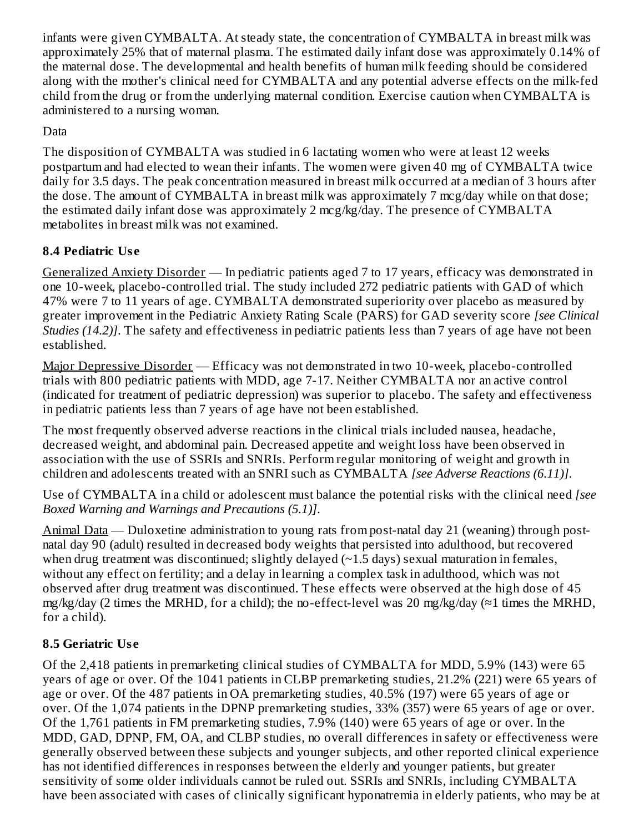infants were given CYMBALTA. At steady state, the concentration of CYMBALTA in breast milk was approximately 25% that of maternal plasma. The estimated daily infant dose was approximately 0.14% of the maternal dose. The developmental and health benefits of human milk feeding should be considered along with the mother's clinical need for CYMBALTA and any potential adverse effects on the milk-fed child from the drug or from the underlying maternal condition. Exercise caution when CYMBALTA is administered to a nursing woman.

## Data

The disposition of CYMBALTA was studied in 6 lactating women who were at least 12 weeks postpartum and had elected to wean their infants. The women were given 40 mg of CYMBALTA twice daily for 3.5 days. The peak concentration measured in breast milk occurred at a median of 3 hours after the dose. The amount of CYMBALTA in breast milk was approximately 7 mcg/day while on that dose; the estimated daily infant dose was approximately 2 mcg/kg/day. The presence of CYMBALTA metabolites in breast milk was not examined.

## **8.4 Pediatric Us e**

Generalized Anxiety Disorder — In pediatric patients aged 7 to 17 years, efficacy was demonstrated in one 10-week, placebo-controlled trial. The study included 272 pediatric patients with GAD of which 47% were 7 to 11 years of age. CYMBALTA demonstrated superiority over placebo as measured by greater improvement in the Pediatric Anxiety Rating Scale (PARS) for GAD severity score *[see Clinical Studies (14.2)]*. The safety and effectiveness in pediatric patients less than 7 years of age have not been established.

Major Depressive Disorder — Efficacy was not demonstrated in two 10-week, placebo-controlled trials with 800 pediatric patients with MDD, age 7-17. Neither CYMBALTA nor an active control (indicated for treatment of pediatric depression) was superior to placebo. The safety and effectiveness in pediatric patients less than 7 years of age have not been established.

The most frequently observed adverse reactions in the clinical trials included nausea, headache, decreased weight, and abdominal pain. Decreased appetite and weight loss have been observed in association with the use of SSRIs and SNRIs. Perform regular monitoring of weight and growth in children and adolescents treated with an SNRI such as CYMBALTA *[see Adverse Reactions (6.11)]*.

Use of CYMBALTA in a child or adolescent must balance the potential risks with the clinical need *[see Boxed Warning and Warnings and Precautions (5.1)]*.

Animal Data — Duloxetine administration to young rats from post-natal day 21 (weaning) through postnatal day 90 (adult) resulted in decreased body weights that persisted into adulthood, but recovered when drug treatment was discontinued; slightly delayed  $(\sim 1.5$  days) sexual maturation in females, without any effect on fertility; and a delay in learning a complex task in adulthood, which was not observed after drug treatment was discontinued. These effects were observed at the high dose of 45 mg/kg/day (2 times the MRHD, for a child); the no-effect-level was 20 mg/kg/day (≈1 times the MRHD, for a child).

## **8.5 Geriatric Us e**

Of the 2,418 patients in premarketing clinical studies of CYMBALTA for MDD, 5.9% (143) were 65 years of age or over. Of the 1041 patients in CLBP premarketing studies, 21.2% (221) were 65 years of age or over. Of the 487 patients in OA premarketing studies, 40.5% (197) were 65 years of age or over. Of the 1,074 patients in the DPNP premarketing studies, 33% (357) were 65 years of age or over. Of the 1,761 patients in FM premarketing studies, 7.9% (140) were 65 years of age or over. In the MDD, GAD, DPNP, FM, OA, and CLBP studies, no overall differences in safety or effectiveness were generally observed between these subjects and younger subjects, and other reported clinical experience has not identified differences in responses between the elderly and younger patients, but greater sensitivity of some older individuals cannot be ruled out. SSRIs and SNRIs, including CYMBALTA have been associated with cases of clinically significant hyponatremia in elderly patients, who may be at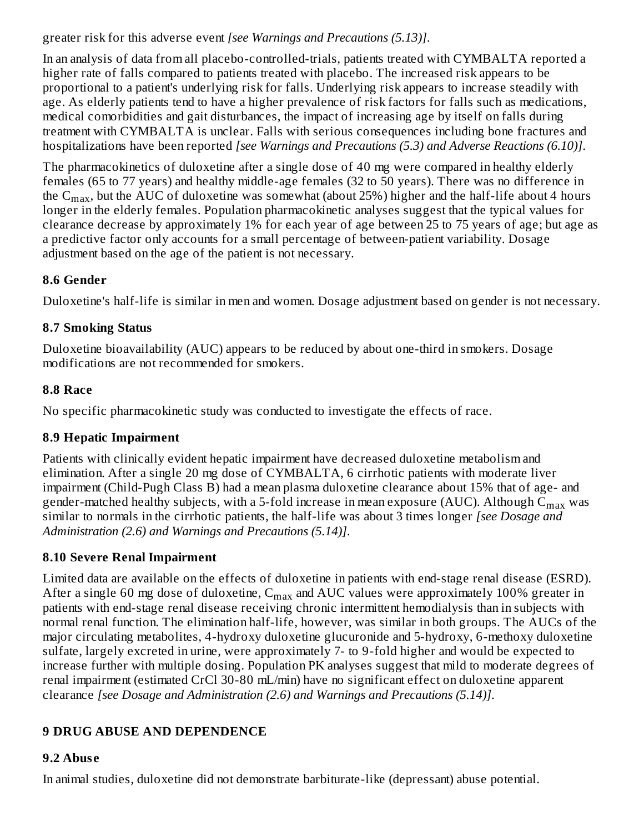greater risk for this adverse event *[see Warnings and Precautions (5.13)]*.

In an analysis of data from all placebo-controlled-trials, patients treated with CYMBALTA reported a higher rate of falls compared to patients treated with placebo. The increased risk appears to be proportional to a patient's underlying risk for falls. Underlying risk appears to increase steadily with age. As elderly patients tend to have a higher prevalence of risk factors for falls such as medications, medical comorbidities and gait disturbances, the impact of increasing age by itself on falls during treatment with CYMBALTA is unclear. Falls with serious consequences including bone fractures and hospitalizations have been reported *[see Warnings and Precautions (5.3) and Adverse Reactions (6.10)]*.

The pharmacokinetics of duloxetine after a single dose of 40 mg were compared in healthy elderly females (65 to 77 years) and healthy middle-age females (32 to 50 years). There was no difference in the C $_{\rm max}$ , but the AUC of duloxetine was somewhat (about 25%) higher and the half-life about 4 hours longer in the elderly females. Population pharmacokinetic analyses suggest that the typical values for clearance decrease by approximately 1% for each year of age between 25 to 75 years of age; but age as a predictive factor only accounts for a small percentage of between-patient variability. Dosage adjustment based on the age of the patient is not necessary.

### **8.6 Gender**

Duloxetine's half-life is similar in men and women. Dosage adjustment based on gender is not necessary.

### **8.7 Smoking Status**

Duloxetine bioavailability (AUC) appears to be reduced by about one-third in smokers. Dosage modifications are not recommended for smokers.

## **8.8 Race**

No specific pharmacokinetic study was conducted to investigate the effects of race.

## **8.9 Hepatic Impairment**

Patients with clinically evident hepatic impairment have decreased duloxetine metabolism and elimination. After a single 20 mg dose of CYMBALTA, 6 cirrhotic patients with moderate liver impairment (Child-Pugh Class B) had a mean plasma duloxetine clearance about 15% that of age- and gender-matched healthy subjects, with a 5-fold increase in mean exposure (AUC). Although  $\mathsf{C}_{\max}$  was similar to normals in the cirrhotic patients, the half-life was about 3 times longer *[see Dosage and Administration (2.6) and Warnings and Precautions (5.14)]*.

## **8.10 Severe Renal Impairment**

Limited data are available on the effects of duloxetine in patients with end-stage renal disease (ESRD). After a single 60 mg dose of duloxetine,  $\mathsf{C}_{\max}$  and AUC values were approximately 100% greater in patients with end-stage renal disease receiving chronic intermittent hemodialysis than in subjects with normal renal function. The elimination half-life, however, was similar in both groups. The AUCs of the major circulating metabolites, 4-hydroxy duloxetine glucuronide and 5-hydroxy, 6-methoxy duloxetine sulfate, largely excreted in urine, were approximately 7- to 9-fold higher and would be expected to increase further with multiple dosing. Population PK analyses suggest that mild to moderate degrees of renal impairment (estimated CrCl 30-80 mL/min) have no significant effect on duloxetine apparent clearance *[see Dosage and Administration (2.6) and Warnings and Precautions (5.14)]*.

## **9 DRUG ABUSE AND DEPENDENCE**

## **9.2 Abus e**

In animal studies, duloxetine did not demonstrate barbiturate-like (depressant) abuse potential.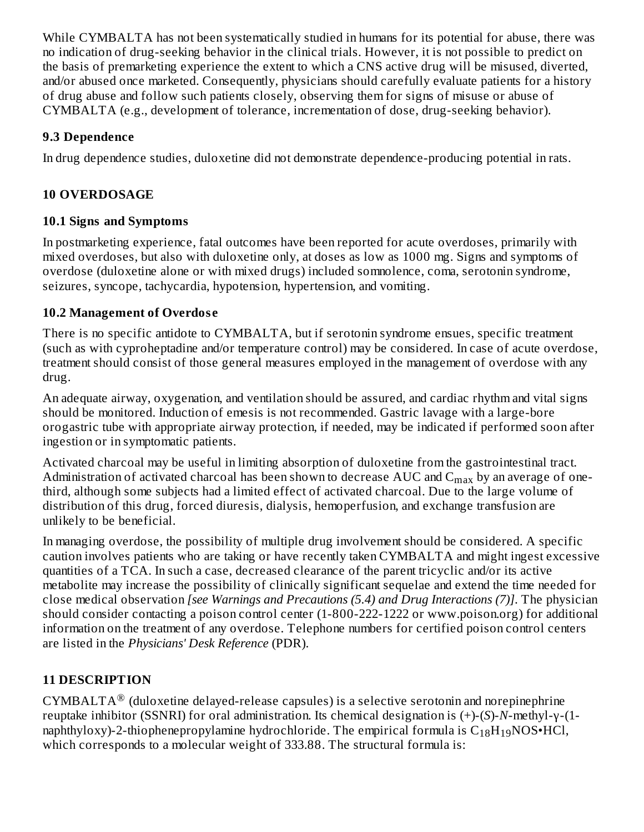While CYMBALTA has not been systematically studied in humans for its potential for abuse, there was no indication of drug-seeking behavior in the clinical trials. However, it is not possible to predict on the basis of premarketing experience the extent to which a CNS active drug will be misused, diverted, and/or abused once marketed. Consequently, physicians should carefully evaluate patients for a history of drug abuse and follow such patients closely, observing them for signs of misuse or abuse of CYMBALTA (e.g., development of tolerance, incrementation of dose, drug-seeking behavior).

### **9.3 Dependence**

In drug dependence studies, duloxetine did not demonstrate dependence-producing potential in rats.

## **10 OVERDOSAGE**

## **10.1 Signs and Symptoms**

In postmarketing experience, fatal outcomes have been reported for acute overdoses, primarily with mixed overdoses, but also with duloxetine only, at doses as low as 1000 mg. Signs and symptoms of overdose (duloxetine alone or with mixed drugs) included somnolence, coma, serotonin syndrome, seizures, syncope, tachycardia, hypotension, hypertension, and vomiting.

## **10.2 Management of Overdos e**

There is no specific antidote to CYMBALTA, but if serotonin syndrome ensues, specific treatment (such as with cyproheptadine and/or temperature control) may be considered. In case of acute overdose, treatment should consist of those general measures employed in the management of overdose with any drug.

An adequate airway, oxygenation, and ventilation should be assured, and cardiac rhythm and vital signs should be monitored. Induction of emesis is not recommended. Gastric lavage with a large-bore orogastric tube with appropriate airway protection, if needed, may be indicated if performed soon after ingestion or in symptomatic patients.

Activated charcoal may be useful in limiting absorption of duloxetine from the gastrointestinal tract. Administration of activated charcoal has been shown to decrease  $\rm AUC$  and  $\rm C_{max}$  by an average of onethird, although some subjects had a limited effect of activated charcoal. Due to the large volume of distribution of this drug, forced diuresis, dialysis, hemoperfusion, and exchange transfusion are unlikely to be beneficial.

In managing overdose, the possibility of multiple drug involvement should be considered. A specific caution involves patients who are taking or have recently taken CYMBALTA and might ingest excessive quantities of a TCA. In such a case, decreased clearance of the parent tricyclic and/or its active metabolite may increase the possibility of clinically significant sequelae and extend the time needed for close medical observation *[see Warnings and Precautions (5.4) and Drug Interactions (7)]*. The physician should consider contacting a poison control center (1-800-222-1222 or www.poison.org) for additional information on the treatment of any overdose. Telephone numbers for certified poison control centers are listed in the *Physicians' Desk Reference* (PDR).

## **11 DESCRIPTION**

 $\text{CYMBALTA}^{\circledR}$  (duloxetine delayed-release capsules) is a selective serotonin and norepinephrine reuptake inhibitor (SSNRI) for oral administration. Its chemical designation is (+)-(*S*)-*N*-methyl-γ-(1 naphthyloxy)-2-thiophenepropylamine hydrochloride. The empirical formula is  $\rm{C_{18}H_{19}NOS\textbf{+}HCl}$ , which corresponds to a molecular weight of 333.88. The structural formula is: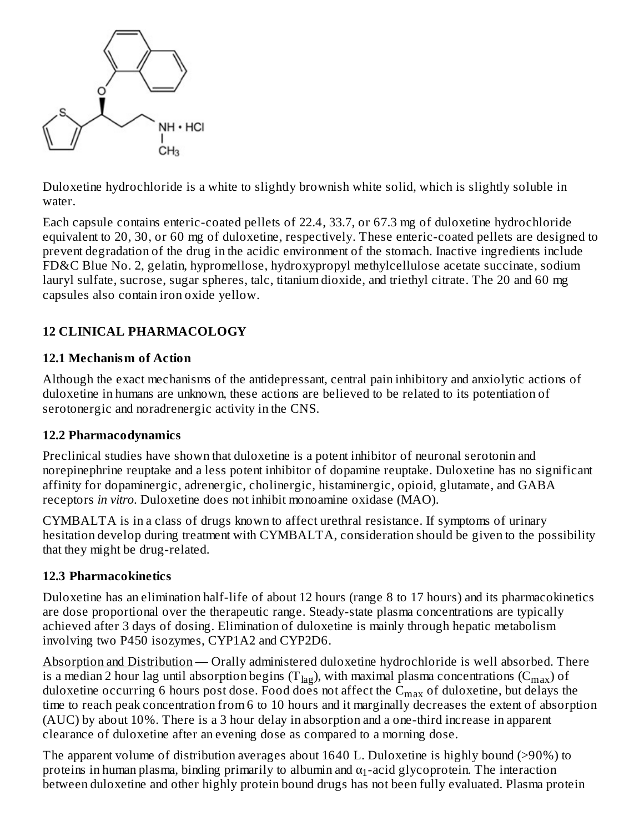

Duloxetine hydrochloride is a white to slightly brownish white solid, which is slightly soluble in water.

Each capsule contains enteric-coated pellets of 22.4, 33.7, or 67.3 mg of duloxetine hydrochloride equivalent to 20, 30, or 60 mg of duloxetine, respectively. These enteric-coated pellets are designed to prevent degradation of the drug in the acidic environment of the stomach. Inactive ingredients include FD&C Blue No. 2, gelatin, hypromellose, hydroxypropyl methylcellulose acetate succinate, sodium lauryl sulfate, sucrose, sugar spheres, talc, titanium dioxide, and triethyl citrate. The 20 and 60 mg capsules also contain iron oxide yellow.

### **12 CLINICAL PHARMACOLOGY**

#### **12.1 Mechanism of Action**

Although the exact mechanisms of the antidepressant, central pain inhibitory and anxiolytic actions of duloxetine in humans are unknown, these actions are believed to be related to its potentiation of serotonergic and noradrenergic activity in the CNS.

#### **12.2 Pharmacodynamics**

Preclinical studies have shown that duloxetine is a potent inhibitor of neuronal serotonin and norepinephrine reuptake and a less potent inhibitor of dopamine reuptake. Duloxetine has no significant affinity for dopaminergic, adrenergic, cholinergic, histaminergic, opioid, glutamate, and GABA receptors *in vitro*. Duloxetine does not inhibit monoamine oxidase (MAO).

CYMBALTA is in a class of drugs known to affect urethral resistance. If symptoms of urinary hesitation develop during treatment with CYMBALTA, consideration should be given to the possibility that they might be drug-related.

#### **12.3 Pharmacokinetics**

Duloxetine has an elimination half-life of about 12 hours (range 8 to 17 hours) and its pharmacokinetics are dose proportional over the therapeutic range. Steady-state plasma concentrations are typically achieved after 3 days of dosing. Elimination of duloxetine is mainly through hepatic metabolism involving two P450 isozymes, CYP1A2 and CYP2D6.

Absorption and Distribution — Orally administered duloxetine hydrochloride is well absorbed. There is a median 2 hour lag until absorption begins (T<sub>lag</sub>), with maximal plasma concentrations (C<sub>max</sub>) of duloxetine occurring 6 hours post dose. Food does not affect the  $\mathsf{C}_{\max}$  of duloxetine, but delays the time to reach peak concentration from 6 to 10 hours and it marginally decreases the extent of absorption (AUC) by about 10%. There is a 3 hour delay in absorption and a one-third increase in apparent clearance of duloxetine after an evening dose as compared to a morning dose.

The apparent volume of distribution averages about 1640 L. Duloxetine is highly bound (>90%) to proteins in human plasma, binding primarily to albumin and  $\alpha_1$ -acid glycoprotein. The interaction between duloxetine and other highly protein bound drugs has not been fully evaluated. Plasma protein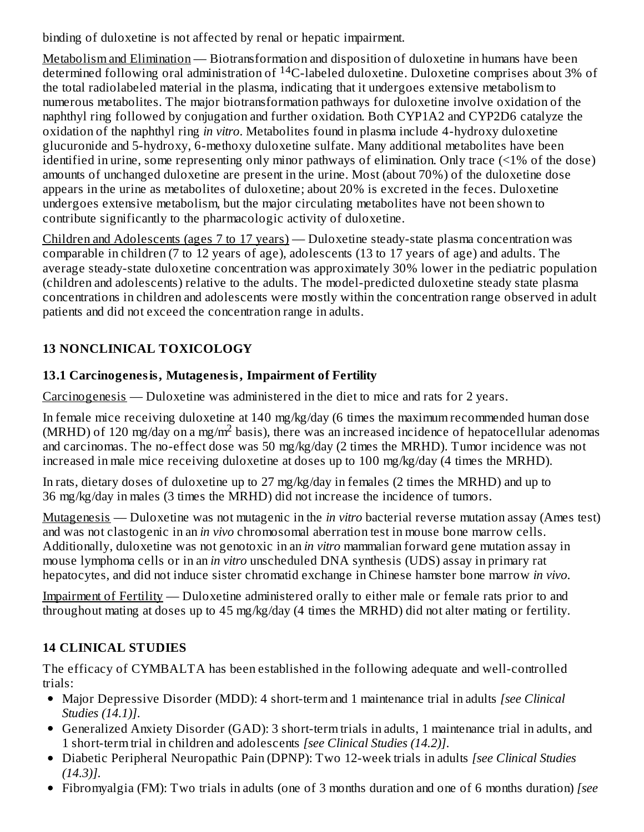binding of duloxetine is not affected by renal or hepatic impairment.

Metabolism and Elimination — Biotransformation and disposition of duloxetine in humans have been determined following oral administration of  $^{14}$ C-labeled duloxetine. Duloxetine comprises about 3% of the total radiolabeled material in the plasma, indicating that it undergoes extensive metabolism to numerous metabolites. The major biotransformation pathways for duloxetine involve oxidation of the naphthyl ring followed by conjugation and further oxidation. Both CYP1A2 and CYP2D6 catalyze the oxidation of the naphthyl ring *in vitro*. Metabolites found in plasma include 4-hydroxy duloxetine glucuronide and 5-hydroxy, 6-methoxy duloxetine sulfate. Many additional metabolites have been identified in urine, some representing only minor pathways of elimination. Only trace (<1% of the dose) amounts of unchanged duloxetine are present in the urine. Most (about 70%) of the duloxetine dose appears in the urine as metabolites of duloxetine; about 20% is excreted in the feces. Duloxetine undergoes extensive metabolism, but the major circulating metabolites have not been shown to contribute significantly to the pharmacologic activity of duloxetine.

Children and Adolescents (ages 7 to 17 years) — Duloxetine steady-state plasma concentration was comparable in children (7 to 12 years of age), adolescents (13 to 17 years of age) and adults. The average steady-state duloxetine concentration was approximately 30% lower in the pediatric population (children and adolescents) relative to the adults. The model-predicted duloxetine steady state plasma concentrations in children and adolescents were mostly within the concentration range observed in adult patients and did not exceed the concentration range in adults.

## **13 NONCLINICAL TOXICOLOGY**

## **13.1 Carcinogenesis, Mutagenesis, Impairment of Fertility**

Carcinogenesis — Duloxetine was administered in the diet to mice and rats for 2 years.

In female mice receiving duloxetine at 140 mg/kg/day (6 times the maximum recommended human dose (MRHD) of 120 mg/day on a mg/m<sup>2</sup> basis), there was an increased incidence of hepatocellular adenomas and carcinomas. The no-effect dose was 50 mg/kg/day (2 times the MRHD). Tumor incidence was not increased in male mice receiving duloxetine at doses up to 100 mg/kg/day (4 times the MRHD).

In rats, dietary doses of duloxetine up to 27 mg/kg/day in females (2 times the MRHD) and up to 36 mg/kg/day in males (3 times the MRHD) did not increase the incidence of tumors.

Mutagenesis — Duloxetine was not mutagenic in the *in vitro* bacterial reverse mutation assay (Ames test) and was not clastogenic in an *in vivo* chromosomal aberration test in mouse bone marrow cells. Additionally, duloxetine was not genotoxic in an *in vitro* mammalian forward gene mutation assay in mouse lymphoma cells or in an *in vitro* unscheduled DNA synthesis (UDS) assay in primary rat hepatocytes, and did not induce sister chromatid exchange in Chinese hamster bone marrow *in vivo*.

Impairment of Fertility — Duloxetine administered orally to either male or female rats prior to and throughout mating at doses up to 45 mg/kg/day (4 times the MRHD) did not alter mating or fertility.

## **14 CLINICAL STUDIES**

The efficacy of CYMBALTA has been established in the following adequate and well-controlled trials:

- Major Depressive Disorder (MDD): 4 short-term and 1 maintenance trial in adults *[see Clinical Studies (14.1)]*.
- Generalized Anxiety Disorder (GAD): 3 short-term trials in adults, 1 maintenance trial in adults, and 1 short-term trial in children and adolescents *[see Clinical Studies (14.2)]*.
- Diabetic Peripheral Neuropathic Pain (DPNP): Two 12-week trials in adults *[see Clinical Studies (14.3)]*.
- Fibromyalgia (FM): Two trials in adults (one of 3 months duration and one of 6 months duration) *[see*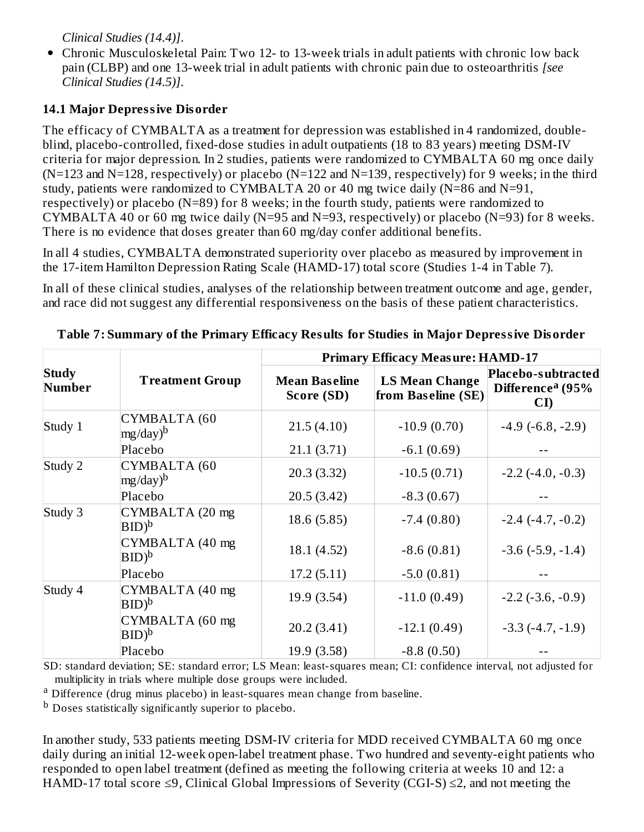*Clinical Studies (14.4)]*.

Chronic Musculoskeletal Pain: Two 12- to 13-week trials in adult patients with chronic low back pain (CLBP) and one 13-week trial in adult patients with chronic pain due to osteoarthritis *[see Clinical Studies (14.5)]*.

## **14.1 Major Depressive Disorder**

The efficacy of CYMBALTA as a treatment for depression was established in 4 randomized, doubleblind, placebo-controlled, fixed-dose studies in adult outpatients (18 to 83 years) meeting DSM-IV criteria for major depression. In 2 studies, patients were randomized to CYMBALTA 60 mg once daily  $(N=123$  and  $N=128$ , respectively) or placebo  $(N=122$  and  $N=139$ , respectively) for 9 weeks; in the third study, patients were randomized to CYMBALTA 20 or 40 mg twice daily (N=86 and N=91, respectively) or placebo (N=89) for 8 weeks; in the fourth study, patients were randomized to CYMBALTA 40 or 60 mg twice daily (N=95 and N=93, respectively) or placebo (N=93) for 8 weeks. There is no evidence that doses greater than 60 mg/day confer additional benefits.

In all 4 studies, CYMBALTA demonstrated superiority over placebo as measured by improvement in the 17-item Hamilton Depression Rating Scale (HAMD-17) total score (Studies 1-4 in Table 7).

In all of these clinical studies, analyses of the relationship between treatment outcome and age, gender, and race did not suggest any differential responsiveness on the basis of these patient characteristics.

|                        |                                              | <b>Primary Efficacy Measure: HAMD-17</b> |                                             |                                                                    |  |
|------------------------|----------------------------------------------|------------------------------------------|---------------------------------------------|--------------------------------------------------------------------|--|
| <b>Study</b><br>Number | <b>Treatment Group</b>                       | <b>Mean Baseline</b><br>Score (SD)       | <b>LS Mean Change</b><br>from Baseline (SE) | Placebo-subtracted<br>Difference <sup>a</sup> (95%<br>$\mathbf{C}$ |  |
| Study 1                | CYMBALTA (60<br>$mg/day)^b$                  | 21.5(4.10)                               | $-10.9(0.70)$                               | $-4.9$ $(-6.8, -2.9)$                                              |  |
|                        | Placebo                                      | 21.1(3.71)                               | $-6.1(0.69)$                                |                                                                    |  |
| Study 2                | CYMBALTA (60<br>$mg/day)^b$                  | 20.3(3.32)                               | $-10.5(0.71)$                               | $-2.2$ ( $-4.0, -0.3$ )                                            |  |
|                        | Placebo                                      | 20.5 (3.42)                              | $-8.3(0.67)$                                |                                                                    |  |
| Study 3                | CYMBALTA (20 mg<br>$\text{BID}$ <sup>b</sup> | 18.6 (5.85)                              | $-7.4(0.80)$                                | $-2.4$ ( $-4.7, -0.2$ )                                            |  |
|                        | CYMBALTA (40 mg<br>$\text{BID}$ <sup>b</sup> | 18.1 (4.52)                              | $-8.6(0.81)$                                | $-3.6$ $(-5.9, -1.4)$                                              |  |
|                        | Placebo                                      | 17.2(5.11)                               | $-5.0(0.81)$                                |                                                                    |  |
| Study 4                | CYMBALTA (40 mg<br>$\text{BID}$ <sup>b</sup> | 19.9 (3.54)                              | $-11.0(0.49)$                               | $-2.2$ ( $-3.6, -0.9$ )                                            |  |
|                        | CYMBALTA (60 mg<br>$\text{BID}$ <sup>b</sup> | 20.2(3.41)                               | $-12.1(0.49)$                               | $-3.3(-4.7, -1.9)$                                                 |  |
|                        | Placebo                                      | 19.9 (3.58)                              | $-8.8(0.50)$                                |                                                                    |  |

**Table 7: Summary of the Primary Efficacy Results for Studies in Major Depressive Disorder**

SD: standard deviation; SE: standard error; LS Mean: least-squares mean; CI: confidence interval, not adjusted for multiplicity in trials where multiple dose groups were included.

<sup>a</sup> Difference (drug minus placebo) in least-squares mean change from baseline.

 $^{\rm b}$  Doses statistically significantly superior to placebo.

In another study, 533 patients meeting DSM-IV criteria for MDD received CYMBALTA 60 mg once daily during an initial 12-week open-label treatment phase. Two hundred and seventy-eight patients who responded to open label treatment (defined as meeting the following criteria at weeks 10 and 12: a HAMD-17 total score ≤9, Clinical Global Impressions of Severity (CGI-S) ≤2, and not meeting the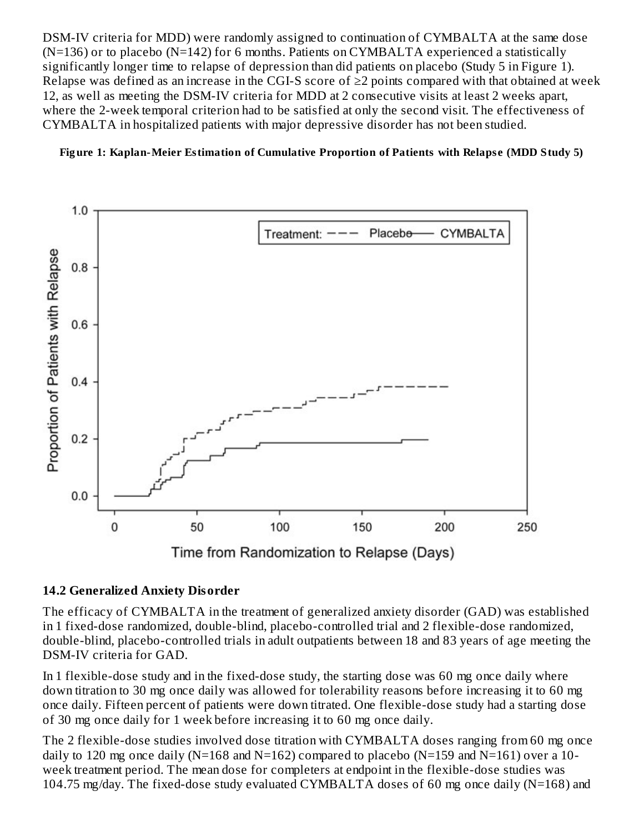DSM-IV criteria for MDD) were randomly assigned to continuation of CYMBALTA at the same dose  $(N=136)$  or to placebo  $(N=142)$  for 6 months. Patients on CYMBALTA experienced a statistically significantly longer time to relapse of depression than did patients on placebo (Study 5 in Figure 1). Relapse was defined as an increase in the CGI-S score of ≥2 points compared with that obtained at week 12, as well as meeting the DSM-IV criteria for MDD at 2 consecutive visits at least 2 weeks apart, where the 2-week temporal criterion had to be satisfied at only the second visit. The effectiveness of CYMBALTA in hospitalized patients with major depressive disorder has not been studied.

#### **Fig ure 1: Kaplan-Meier Estimation of Cumulative Proportion of Patients with Relaps e (MDD Study 5)**



#### **14.2 Generalized Anxiety Disorder**

The efficacy of CYMBALTA in the treatment of generalized anxiety disorder (GAD) was established in 1 fixed-dose randomized, double-blind, placebo-controlled trial and 2 flexible-dose randomized, double-blind, placebo-controlled trials in adult outpatients between 18 and 83 years of age meeting the DSM-IV criteria for GAD.

In 1 flexible-dose study and in the fixed-dose study, the starting dose was 60 mg once daily where down titration to 30 mg once daily was allowed for tolerability reasons before increasing it to 60 mg once daily. Fifteen percent of patients were down titrated. One flexible-dose study had a starting dose of 30 mg once daily for 1 week before increasing it to 60 mg once daily.

The 2 flexible-dose studies involved dose titration with CYMBALTA doses ranging from 60 mg once daily to 120 mg once daily (N=168 and N=162) compared to placebo (N=159 and N=161) over a 10 week treatment period. The mean dose for completers at endpoint in the flexible-dose studies was 104.75 mg/day. The fixed-dose study evaluated CYMBALTA doses of 60 mg once daily (N=168) and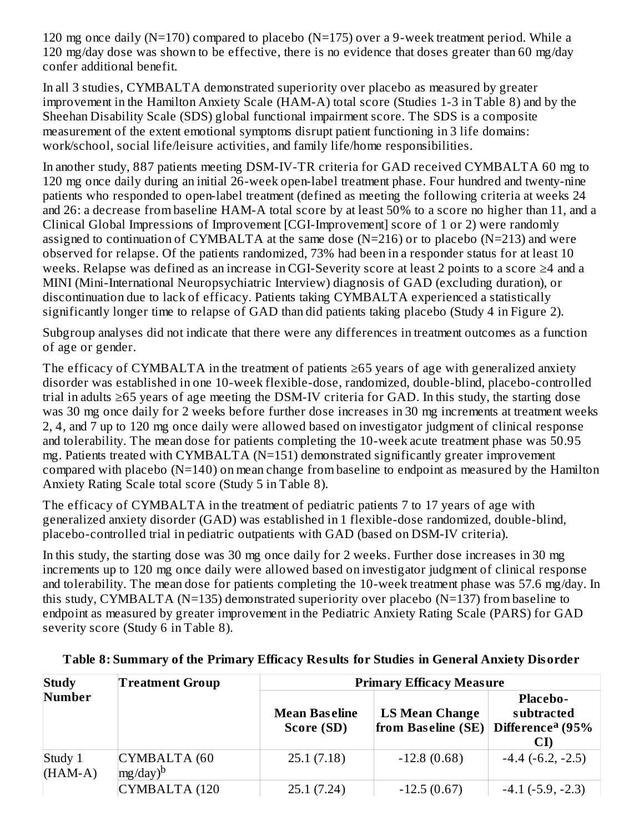120 mg once daily (N=170) compared to placebo (N=175) over a 9-week treatment period. While a 120 mg/day dose was shown to be effective, there is no evidence that doses greater than 60 mg/day confer additional benefit.

In all 3 studies, CYMBALTA demonstrated superiority over placebo as measured by greater improvement in the Hamilton Anxiety Scale (HAM-A) total score (Studies 1-3 in Table 8) and by the Sheehan Disability Scale (SDS) global functional impairment score. The SDS is a composite measurement of the extent emotional symptoms disrupt patient functioning in 3 life domains: work/school, social life/leisure activities, and family life/home responsibilities.

In another study, 887 patients meeting DSM-IV-TR criteria for GAD received CYMBALTA 60 mg to 120 mg once daily during an initial 26-week open-label treatment phase. Four hundred and twenty-nine patients who responded to open-label treatment (defined as meeting the following criteria at weeks 24 and 26: a decrease from baseline HAM-A total score by at least 50% to a score no higher than 11, and a Clinical Global Impressions of Improvement [CGI-Improvement] score of 1 or 2) were randomly assigned to continuation of CYMBALTA at the same dose (N=216) or to placebo (N=213) and were observed for relapse. Of the patients randomized, 73% had been in a responder status for at least 10 weeks. Relapse was defined as an increase in CGI-Severity score at least 2 points to a score ≥4 and a MINI (Mini-International Neuropsychiatric Interview) diagnosis of GAD (excluding duration), or discontinuation due to lack of efficacy. Patients taking CYMBALTA experienced a statistically significantly longer time to relapse of GAD than did patients taking placebo (Study 4 in Figure 2).

Subgroup analyses did not indicate that there were any differences in treatment outcomes as a function of age or gender.

The efficacy of CYMBALTA in the treatment of patients  $\geq$ 65 years of age with generalized anxiety disorder was established in one 10-week flexible-dose, randomized, double-blind, placebo-controlled trial in adults ≥65 years of age meeting the DSM-IV criteria for GAD. In this study, the starting dose was 30 mg once daily for 2 weeks before further dose increases in 30 mg increments at treatment weeks 2, 4, and 7 up to 120 mg once daily were allowed based on investigator judgment of clinical response and tolerability. The mean dose for patients completing the 10-week acute treatment phase was 50.95 mg. Patients treated with CYMBALTA (N=151) demonstrated significantly greater improvement compared with placebo (N=140) on mean change from baseline to endpoint as measured by the Hamilton Anxiety Rating Scale total score (Study 5 in Table 8).

The efficacy of CYMBALTA in the treatment of pediatric patients 7 to 17 years of age with generalized anxiety disorder (GAD) was established in 1 flexible-dose randomized, double-blind, placebo-controlled trial in pediatric outpatients with GAD (based on DSM-IV criteria).

In this study, the starting dose was 30 mg once daily for 2 weeks. Further dose increases in 30 mg increments up to 120 mg once daily were allowed based on investigator judgment of clinical response and tolerability. The mean dose for patients completing the 10-week treatment phase was 57.6 mg/day. In this study, CYMBALTA (N=135) demonstrated superiority over placebo (N=137) from baseline to endpoint as measured by greater improvement in the Pediatric Anxiety Rating Scale (PARS) for GAD severity score (Study 6 in Table 8).

| <b>Study</b>         | <b>Treatment Group</b>      | <b>Primary Efficacy Measure</b>    |                                             |                                                               |  |
|----------------------|-----------------------------|------------------------------------|---------------------------------------------|---------------------------------------------------------------|--|
| <b>Number</b>        |                             | <b>Mean Baseline</b><br>Score (SD) | <b>LS Mean Change</b><br>from Baseline (SE) | <b>Placebo-</b><br>subtracted<br>Difference <sup>a</sup> (95% |  |
| Study 1<br>$(HAM-A)$ | CYMBALTA (60<br>$mg/day)^b$ | 25.1(7.18)                         | $-12.8(0.68)$                               | $-4.4$ ( $-6.2, -2.5$ )                                       |  |
|                      | CYMBALTA (120               | 25.1(7.24)                         | $-12.5(0.67)$                               | $-4.1$ ( $-5.9$ , $-2.3$ )                                    |  |

#### **Table 8: Summary of the Primary Efficacy Results for Studies in General Anxiety Disorder**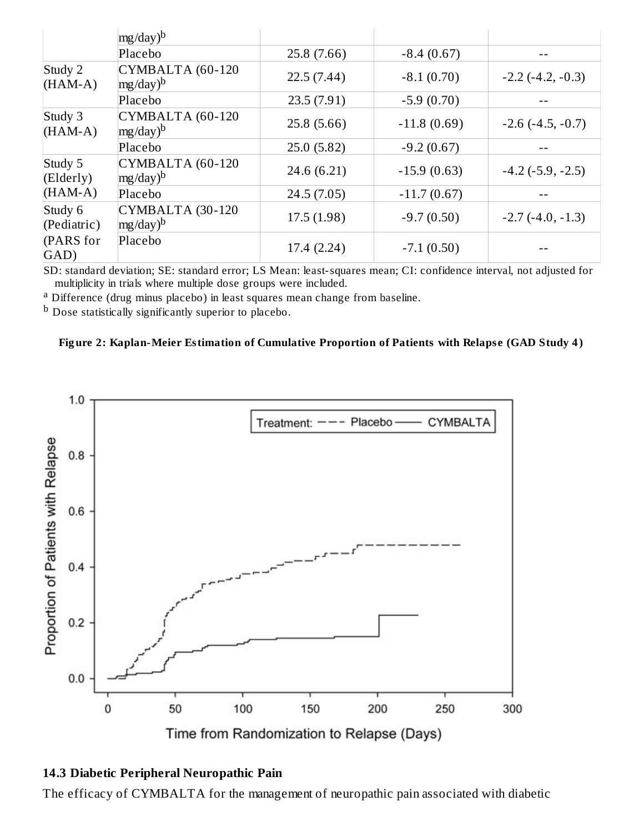|                        | $mg/day)^b$                     |             |               |                            |
|------------------------|---------------------------------|-------------|---------------|----------------------------|
|                        | Placebo                         | 25.8 (7.66) | $-8.4(0.67)$  |                            |
| Study 2<br>$(HAM-A)$   | CYMBALTA (60-120<br>$mg/day)^b$ | 22.5(7.44)  | $-8.1(0.70)$  | $-2.2$ ( $-4.2, -0.3$ )    |
|                        | Placebo                         | 23.5(7.91)  | $-5.9(0.70)$  |                            |
| Study 3<br>$(HAM-A)$   | CYMBALTA (60-120<br>$mg/day)^b$ | 25.8(5.66)  | $-11.8(0.69)$ | $-2.6$ $(-4.5, -0.7)$      |
|                        | Placebo                         | 25.0(5.82)  | $-9.2(0.67)$  |                            |
| Study 5<br>(Elderly)   | CYMBALTA (60-120<br>$mg/day)^b$ | 24.6 (6.21) | $-15.9(0.63)$ | $-4.2$ ( $-5.9$ , $-2.5$ ) |
| $(HAM-A)$              | Placebo                         | 24.5(7.05)  | $-11.7(0.67)$ |                            |
| Study 6<br>(Pediatric) | CYMBALTA (30-120<br>$mg/day)^b$ | 17.5(1.98)  | $-9.7(0.50)$  | $-2.7$ $(-4.0, -1.3)$      |
| (PARS for<br>GAD)      | Placebo                         | 17.4 (2.24) | $-7.1(0.50)$  |                            |

SD: standard deviation; SE: standard error; LS Mean: least-squares mean; CI: confidence interval, not adjusted for multiplicity in trials where multiple dose groups were included.

<sup>a</sup> Difference (drug minus placebo) in least squares mean change from baseline.

 $^{\rm b}$  Dose statistically significantly superior to placebo.

#### **Fig ure 2: Kaplan-Meier Estimation of Cumulative Proportion of Patients with Relaps e (GAD Study 4 )**



#### **14.3 Diabetic Peripheral Neuropathic Pain**

The efficacy of CYMBALTA for the management of neuropathic pain associated with diabetic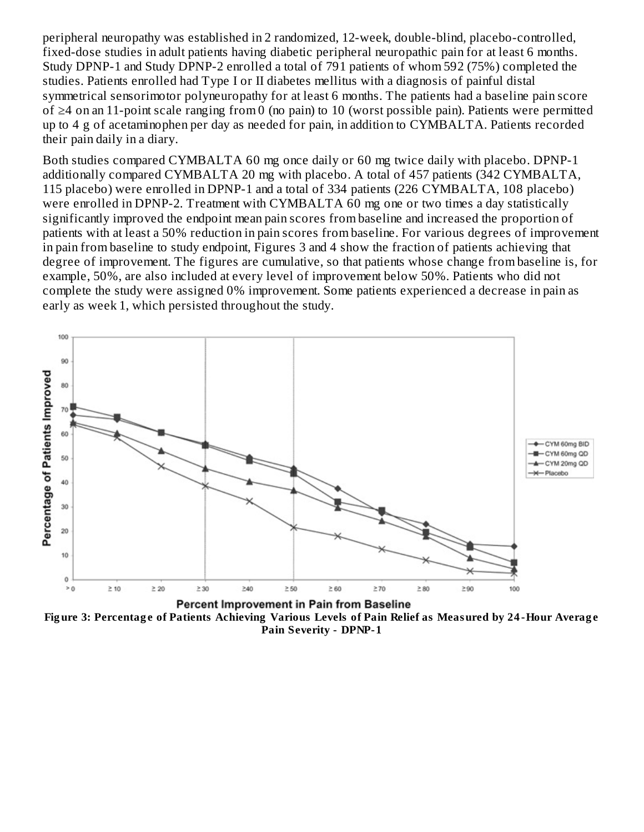peripheral neuropathy was established in 2 randomized, 12-week, double-blind, placebo-controlled, fixed-dose studies in adult patients having diabetic peripheral neuropathic pain for at least 6 months. Study DPNP-1 and Study DPNP-2 enrolled a total of 791 patients of whom 592 (75%) completed the studies. Patients enrolled had Type I or II diabetes mellitus with a diagnosis of painful distal symmetrical sensorimotor polyneuropathy for at least 6 months. The patients had a baseline pain score of ≥4 on an 11-point scale ranging from 0 (no pain) to 10 (worst possible pain). Patients were permitted up to 4 g of acetaminophen per day as needed for pain, in addition to CYMBALTA. Patients recorded their pain daily in a diary.

Both studies compared CYMBALTA 60 mg once daily or 60 mg twice daily with placebo. DPNP-1 additionally compared CYMBALTA 20 mg with placebo. A total of 457 patients (342 CYMBALTA, 115 placebo) were enrolled in DPNP-1 and a total of 334 patients (226 CYMBALTA, 108 placebo) were enrolled in DPNP-2. Treatment with CYMBALTA 60 mg one or two times a day statistically significantly improved the endpoint mean pain scores from baseline and increased the proportion of patients with at least a 50% reduction in pain scores from baseline. For various degrees of improvement in pain from baseline to study endpoint, Figures 3 and 4 show the fraction of patients achieving that degree of improvement. The figures are cumulative, so that patients whose change from baseline is, for example, 50%, are also included at every level of improvement below 50%. Patients who did not complete the study were assigned 0% improvement. Some patients experienced a decrease in pain as early as week 1, which persisted throughout the study.



**Percent Improvement in Pain from Baseline** Figure 3: Percentage of Patients Achieving Various Levels of Pain Relief as Measured by 24-Hour Average **Pain Severity - DPNP-1**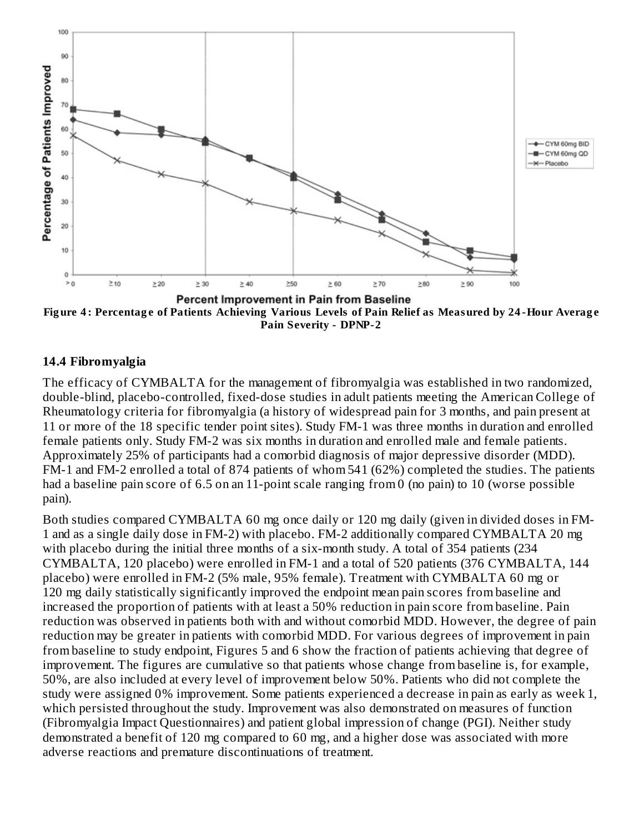

Figure 4: Percentage of Patients Achieving Various Levels of Pain Relief as Measured by 24-Hour Average **Pain Severity - DPNP-2**

#### **14.4 Fibromyalgia**

The efficacy of CYMBALTA for the management of fibromyalgia was established in two randomized, double-blind, placebo-controlled, fixed-dose studies in adult patients meeting the American College of Rheumatology criteria for fibromyalgia (a history of widespread pain for 3 months, and pain present at 11 or more of the 18 specific tender point sites). Study FM-1 was three months in duration and enrolled female patients only. Study FM-2 was six months in duration and enrolled male and female patients. Approximately 25% of participants had a comorbid diagnosis of major depressive disorder (MDD). FM-1 and FM-2 enrolled a total of 874 patients of whom 541 (62%) completed the studies. The patients had a baseline pain score of 6.5 on an 11-point scale ranging from 0 (no pain) to 10 (worse possible pain).

Both studies compared CYMBALTA 60 mg once daily or 120 mg daily (given in divided doses in FM-1 and as a single daily dose in FM-2) with placebo. FM-2 additionally compared CYMBALTA 20 mg with placebo during the initial three months of a six-month study. A total of 354 patients (234 CYMBALTA, 120 placebo) were enrolled in FM-1 and a total of 520 patients (376 CYMBALTA, 144 placebo) were enrolled in FM-2 (5% male, 95% female). Treatment with CYMBALTA 60 mg or 120 mg daily statistically significantly improved the endpoint mean pain scores from baseline and increased the proportion of patients with at least a 50% reduction in pain score from baseline. Pain reduction was observed in patients both with and without comorbid MDD. However, the degree of pain reduction may be greater in patients with comorbid MDD. For various degrees of improvement in pain from baseline to study endpoint, Figures 5 and 6 show the fraction of patients achieving that degree of improvement. The figures are cumulative so that patients whose change from baseline is, for example, 50%, are also included at every level of improvement below 50%. Patients who did not complete the study were assigned 0% improvement. Some patients experienced a decrease in pain as early as week 1, which persisted throughout the study. Improvement was also demonstrated on measures of function (Fibromyalgia Impact Questionnaires) and patient global impression of change (PGI). Neither study demonstrated a benefit of 120 mg compared to 60 mg, and a higher dose was associated with more adverse reactions and premature discontinuations of treatment.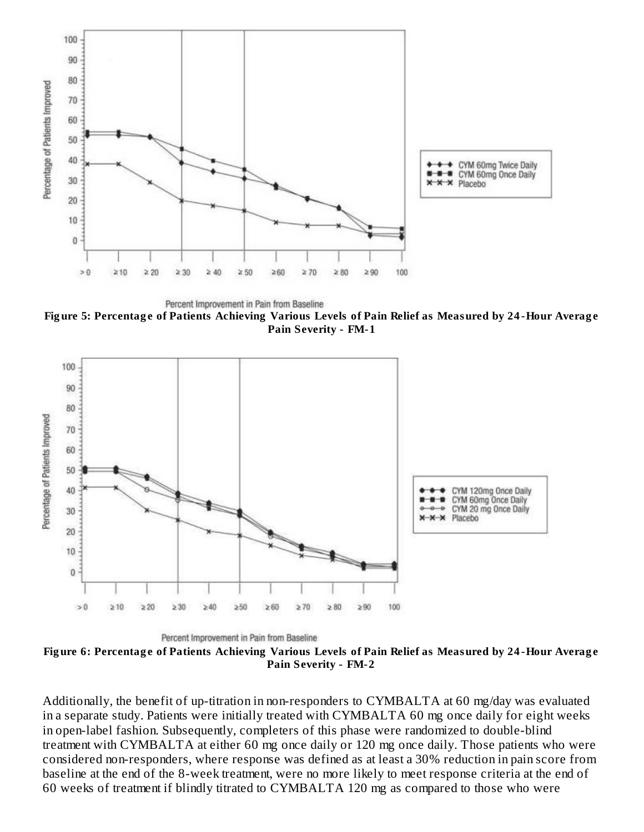

Percent Improvement in Pain from Baseline Figure 5: Percentage of Patients Achieving Various Levels of Pain Relief as Measured by 24-Hour Average **Pain Severity - FM-1**



Percent Improvement in Pain from Baseline

Figure 6: Percentage of Patients Achieving Various Levels of Pain Relief as Measured by 24-Hour Average **Pain Severity - FM-2**

Additionally, the benefit of up-titration in non-responders to CYMBALTA at 60 mg/day was evaluated in a separate study. Patients were initially treated with CYMBALTA 60 mg once daily for eight weeks in open-label fashion. Subsequently, completers of this phase were randomized to double-blind treatment with CYMBALTA at either 60 mg once daily or 120 mg once daily. Those patients who were considered non-responders, where response was defined as at least a 30% reduction in pain score from baseline at the end of the 8-week treatment, were no more likely to meet response criteria at the end of 60 weeks of treatment if blindly titrated to CYMBALTA 120 mg as compared to those who were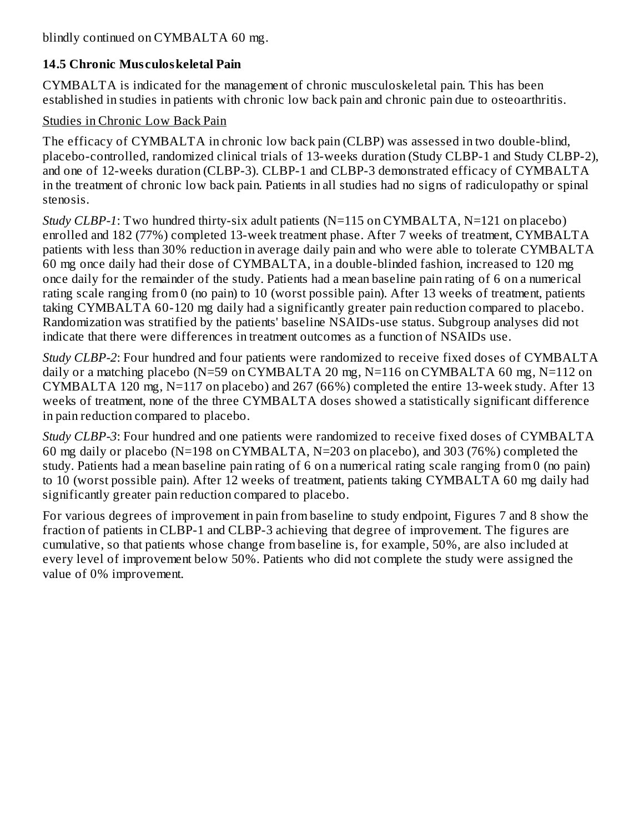## **14.5 Chronic Mus culoskeletal Pain**

CYMBALTA is indicated for the management of chronic musculoskeletal pain. This has been established in studies in patients with chronic low back pain and chronic pain due to osteoarthritis.

## Studies in Chronic Low Back Pain

The efficacy of CYMBALTA in chronic low back pain (CLBP) was assessed in two double-blind, placebo-controlled, randomized clinical trials of 13-weeks duration (Study CLBP-1 and Study CLBP-2), and one of 12-weeks duration (CLBP-3). CLBP-1 and CLBP-3 demonstrated efficacy of CYMBALTA in the treatment of chronic low back pain. Patients in all studies had no signs of radiculopathy or spinal stenosis.

*Study CLBP-1*: Two hundred thirty-six adult patients (N=115 on CYMBALTA, N=121 on placebo) enrolled and 182 (77%) completed 13-week treatment phase. After 7 weeks of treatment, CYMBALTA patients with less than 30% reduction in average daily pain and who were able to tolerate CYMBALTA 60 mg once daily had their dose of CYMBALTA, in a double-blinded fashion, increased to 120 mg once daily for the remainder of the study. Patients had a mean baseline pain rating of 6 on a numerical rating scale ranging from 0 (no pain) to 10 (worst possible pain). After 13 weeks of treatment, patients taking CYMBALTA 60-120 mg daily had a significantly greater pain reduction compared to placebo. Randomization was stratified by the patients' baseline NSAIDs-use status. Subgroup analyses did not indicate that there were differences in treatment outcomes as a function of NSAIDs use.

*Study CLBP-2*: Four hundred and four patients were randomized to receive fixed doses of CYMBALTA daily or a matching placebo (N=59 on CYMBALTA 20 mg, N=116 on CYMBALTA 60 mg, N=112 on CYMBALTA 120 mg, N=117 on placebo) and 267 (66%) completed the entire 13-week study. After 13 weeks of treatment, none of the three CYMBALTA doses showed a statistically significant difference in pain reduction compared to placebo.

*Study CLBP-3*: Four hundred and one patients were randomized to receive fixed doses of CYMBALTA 60 mg daily or placebo (N=198 on CYMBALTA, N=203 on placebo), and 303 (76%) completed the study. Patients had a mean baseline pain rating of 6 on a numerical rating scale ranging from 0 (no pain) to 10 (worst possible pain). After 12 weeks of treatment, patients taking CYMBALTA 60 mg daily had significantly greater pain reduction compared to placebo.

For various degrees of improvement in pain from baseline to study endpoint, Figures 7 and 8 show the fraction of patients in CLBP-1 and CLBP-3 achieving that degree of improvement. The figures are cumulative, so that patients whose change from baseline is, for example, 50%, are also included at every level of improvement below 50%. Patients who did not complete the study were assigned the value of 0% improvement.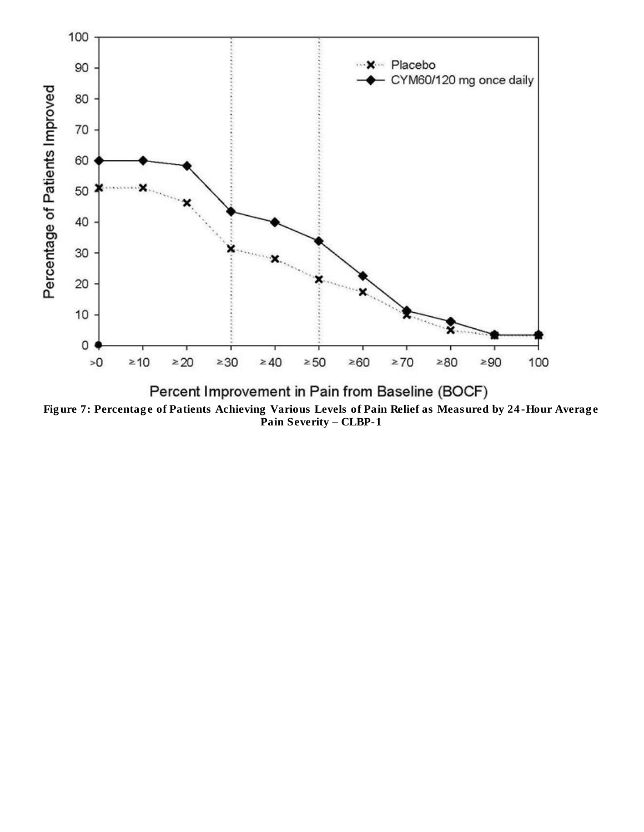

Figure 7: Percentage of Patients Achieving Various Levels of Pain Relief as Measured by 24-Hour Average Pain Severity – CLBP-1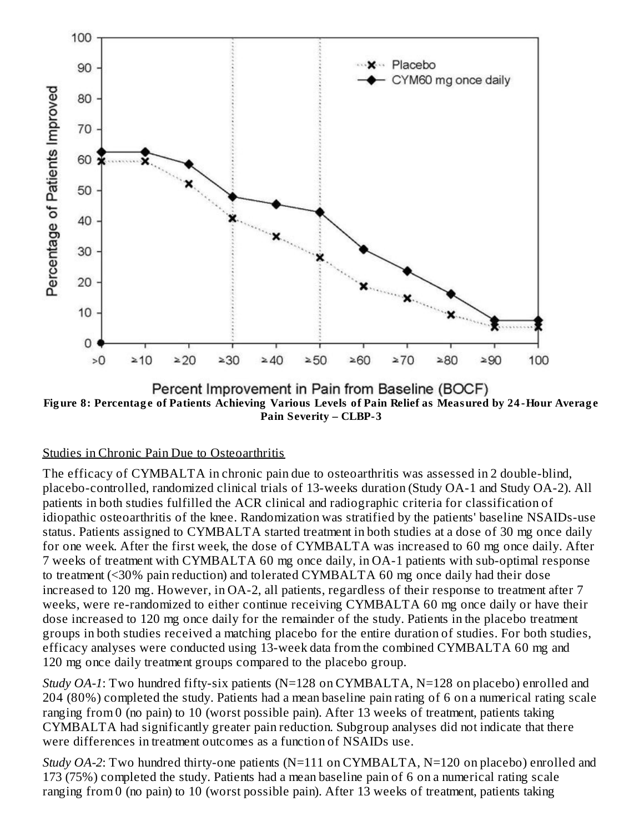

Percent Improvement in Pain from Baseline (BOCF) Figure 8: Percentage of Patients Achieving Various Levels of Pain Relief as Measured by 24-Hour Average **Pain Severity – CLBP-3**

#### Studies in Chronic Pain Due to Osteoarthritis

The efficacy of CYMBALTA in chronic pain due to osteoarthritis was assessed in 2 double-blind, placebo-controlled, randomized clinical trials of 13-weeks duration (Study OA-1 and Study OA-2). All patients in both studies fulfilled the ACR clinical and radiographic criteria for classification of idiopathic osteoarthritis of the knee. Randomization was stratified by the patients' baseline NSAIDs-use status. Patients assigned to CYMBALTA started treatment in both studies at a dose of 30 mg once daily for one week. After the first week, the dose of CYMBALTA was increased to 60 mg once daily. After 7 weeks of treatment with CYMBALTA 60 mg once daily, in OA-1 patients with sub-optimal response to treatment (<30% pain reduction) and tolerated CYMBALTA 60 mg once daily had their dose increased to 120 mg. However, in OA-2, all patients, regardless of their response to treatment after 7 weeks, were re-randomized to either continue receiving CYMBALTA 60 mg once daily or have their dose increased to 120 mg once daily for the remainder of the study. Patients in the placebo treatment groups in both studies received a matching placebo for the entire duration of studies. For both studies, efficacy analyses were conducted using 13-week data from the combined CYMBALTA 60 mg and 120 mg once daily treatment groups compared to the placebo group.

*Study OA-1*: Two hundred fifty-six patients (N=128 on CYMBALTA, N=128 on placebo) enrolled and 204 (80%) completed the study. Patients had a mean baseline pain rating of 6 on a numerical rating scale ranging from 0 (no pain) to 10 (worst possible pain). After 13 weeks of treatment, patients taking CYMBALTA had significantly greater pain reduction. Subgroup analyses did not indicate that there were differences in treatment outcomes as a function of NSAIDs use.

*Study OA-2*: Two hundred thirty-one patients (N=111 on CYMBALTA, N=120 on placebo) enrolled and 173 (75%) completed the study. Patients had a mean baseline pain of 6 on a numerical rating scale ranging from 0 (no pain) to 10 (worst possible pain). After 13 weeks of treatment, patients taking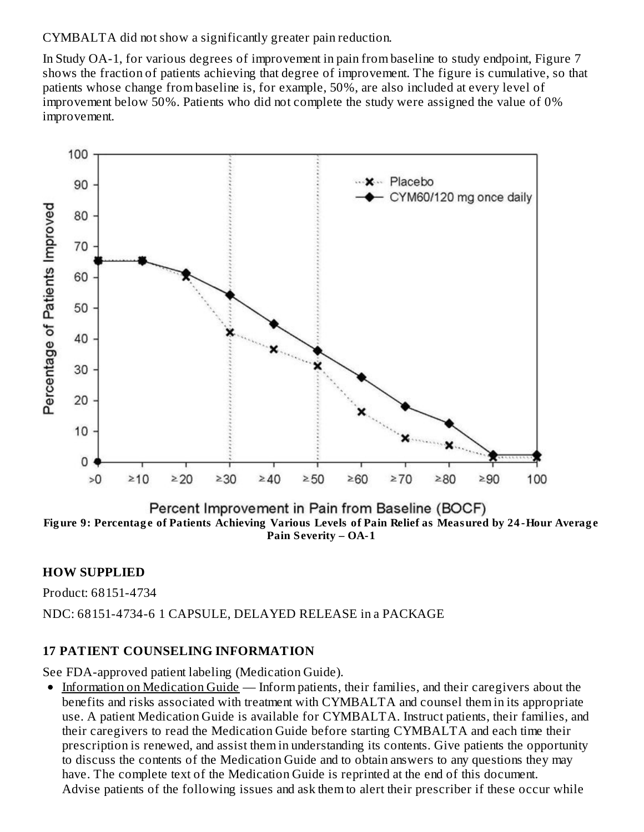CYMBALTA did not show a significantly greater pain reduction.

In Study OA-1, for various degrees of improvement in pain from baseline to study endpoint, Figure 7 shows the fraction of patients achieving that degree of improvement. The figure is cumulative, so that patients whose change from baseline is, for example, 50%, are also included at every level of improvement below 50%. Patients who did not complete the study were assigned the value of 0% improvement.



Percent Improvement in Pain from Baseline (BOCF) Figure 9: Percentage of Patients Achieving Various Levels of Pain Relief as Measured by 24-Hour Average **Pain Severity – OA-1**

### **HOW SUPPLIED**

Product: 68151-4734

NDC: 68151-4734-6 1 CAPSULE, DELAYED RELEASE in a PACKAGE

#### **17 PATIENT COUNSELING INFORMATION**

See FDA-approved patient labeling (Medication Guide).

• Information on Medication Guide — Inform patients, their families, and their caregivers about the benefits and risks associated with treatment with CYMBALTA and counsel them in its appropriate use. A patient Medication Guide is available for CYMBALTA. Instruct patients, their families, and their caregivers to read the Medication Guide before starting CYMBALTA and each time their prescription is renewed, and assist them in understanding its contents. Give patients the opportunity to discuss the contents of the Medication Guide and to obtain answers to any questions they may have. The complete text of the Medication Guide is reprinted at the end of this document. Advise patients of the following issues and ask them to alert their prescriber if these occur while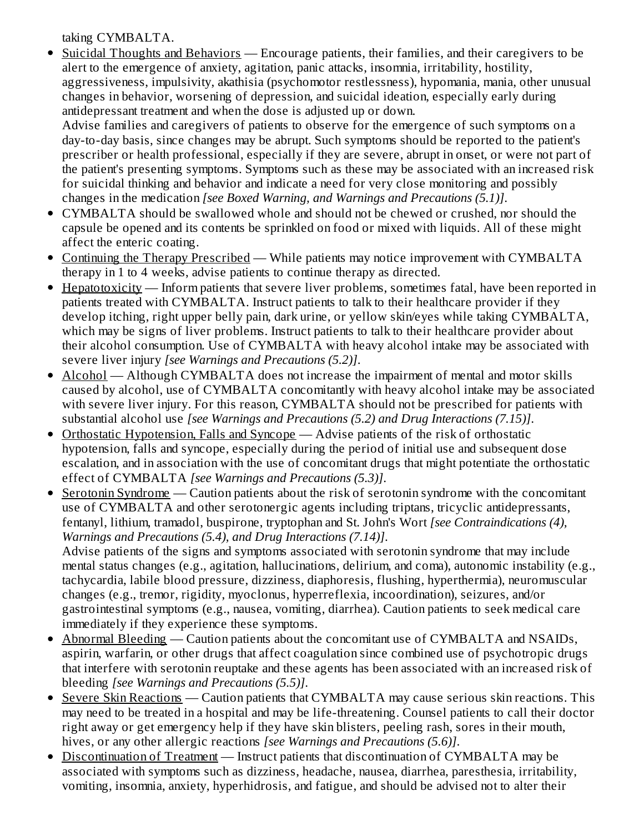taking CYMBALTA.

• Suicidal Thoughts and Behaviors — Encourage patients, their families, and their caregivers to be alert to the emergence of anxiety, agitation, panic attacks, insomnia, irritability, hostility, aggressiveness, impulsivity, akathisia (psychomotor restlessness), hypomania, mania, other unusual changes in behavior, worsening of depression, and suicidal ideation, especially early during antidepressant treatment and when the dose is adjusted up or down.

Advise families and caregivers of patients to observe for the emergence of such symptoms on a day-to-day basis, since changes may be abrupt. Such symptoms should be reported to the patient's prescriber or health professional, especially if they are severe, abrupt in onset, or were not part of the patient's presenting symptoms. Symptoms such as these may be associated with an increased risk for suicidal thinking and behavior and indicate a need for very close monitoring and possibly changes in the medication *[see Boxed Warning, and Warnings and Precautions (5.1)]*.

- CYMBALTA should be swallowed whole and should not be chewed or crushed, nor should the  $\bullet$ capsule be opened and its contents be sprinkled on food or mixed with liquids. All of these might affect the enteric coating.
- Continuing the Therapy Prescribed While patients may notice improvement with CYMBALTA therapy in 1 to 4 weeks, advise patients to continue therapy as directed.
- Hepatotoxicity Inform patients that severe liver problems, sometimes fatal, have been reported in patients treated with CYMBALTA. Instruct patients to talk to their healthcare provider if they develop itching, right upper belly pain, dark urine, or yellow skin/eyes while taking CYMBALTA, which may be signs of liver problems. Instruct patients to talk to their healthcare provider about their alcohol consumption. Use of CYMBALTA with heavy alcohol intake may be associated with severe liver injury *[see Warnings and Precautions (5.2)]*.
- Alcohol Although CYMBALTA does not increase the impairment of mental and motor skills  $\bullet$ caused by alcohol, use of CYMBALTA concomitantly with heavy alcohol intake may be associated with severe liver injury. For this reason, CYMBALTA should not be prescribed for patients with substantial alcohol use *[see Warnings and Precautions (5.2) and Drug Interactions (7.15)]*.
- Orthostatic Hypotension, Falls and Syncope Advise patients of the risk of orthostatic  $\bullet$ hypotension, falls and syncope, especially during the period of initial use and subsequent dose escalation, and in association with the use of concomitant drugs that might potentiate the orthostatic effect of CYMBALTA *[see Warnings and Precautions (5.3)]*.
- Serotonin Syndrome Caution patients about the risk of serotonin syndrome with the concomitant use of CYMBALTA and other serotonergic agents including triptans, tricyclic antidepressants, fentanyl, lithium, tramadol, buspirone, tryptophan and St. John's Wort *[see Contraindications (4), Warnings and Precautions (5.4), and Drug Interactions (7.14)]*. Advise patients of the signs and symptoms associated with serotonin syndrome that may include

mental status changes (e.g., agitation, hallucinations, delirium, and coma), autonomic instability (e.g., tachycardia, labile blood pressure, dizziness, diaphoresis, flushing, hyperthermia), neuromuscular changes (e.g., tremor, rigidity, myoclonus, hyperreflexia, incoordination), seizures, and/or gastrointestinal symptoms (e.g., nausea, vomiting, diarrhea). Caution patients to seek medical care immediately if they experience these symptoms.

- Abnormal Bleeding Caution patients about the concomitant use of CYMBALTA and NSAIDs, aspirin, warfarin, or other drugs that affect coagulation since combined use of psychotropic drugs that interfere with serotonin reuptake and these agents has been associated with an increased risk of bleeding *[see Warnings and Precautions (5.5)]*.
- Severe Skin Reactions Caution patients that CYMBALTA may cause serious skin reactions. This  $\bullet$ may need to be treated in a hospital and may be life-threatening. Counsel patients to call their doctor right away or get emergency help if they have skin blisters, peeling rash, sores in their mouth, hives, or any other allergic reactions *[see Warnings and Precautions (5.6)]*.
- Discontinuation of Treatment Instruct patients that discontinuation of CYMBALTA may be associated with symptoms such as dizziness, headache, nausea, diarrhea, paresthesia, irritability, vomiting, insomnia, anxiety, hyperhidrosis, and fatigue, and should be advised not to alter their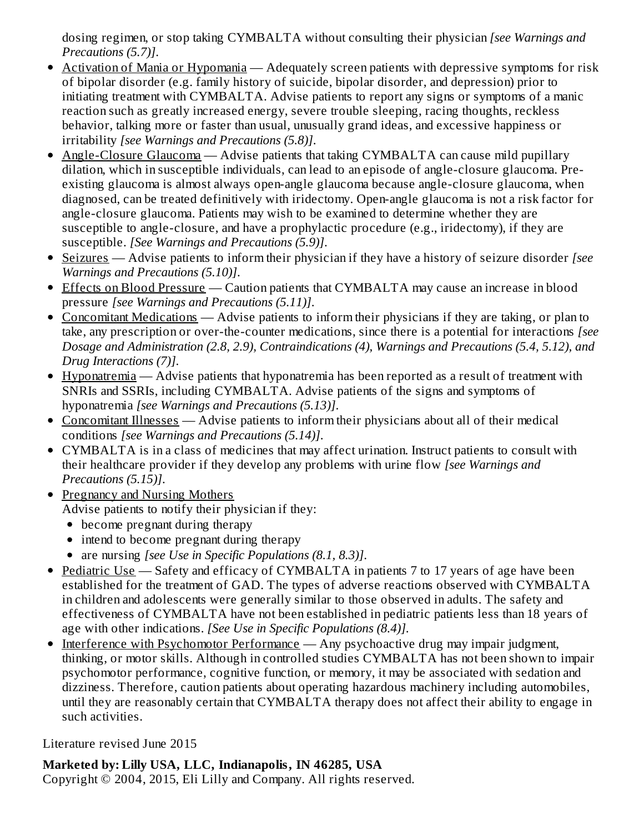dosing regimen, or stop taking CYMBALTA without consulting their physician *[see Warnings and Precautions (5.7)]*.

- Activation of Mania or Hypomania Adequately screen patients with depressive symptoms for risk of bipolar disorder (e.g. family history of suicide, bipolar disorder, and depression) prior to initiating treatment with CYMBALTA. Advise patients to report any signs or symptoms of a manic reaction such as greatly increased energy, severe trouble sleeping, racing thoughts, reckless behavior, talking more or faster than usual, unusually grand ideas, and excessive happiness or irritability *[see Warnings and Precautions (5.8)]*.
- Angle-Closure Glaucoma Advise patients that taking CYMBALTA can cause mild pupillary dilation, which in susceptible individuals, can lead to an episode of angle-closure glaucoma. Preexisting glaucoma is almost always open-angle glaucoma because angle-closure glaucoma, when diagnosed, can be treated definitively with iridectomy. Open-angle glaucoma is not a risk factor for angle-closure glaucoma. Patients may wish to be examined to determine whether they are susceptible to angle-closure, and have a prophylactic procedure (e.g., iridectomy), if they are susceptible. *[See Warnings and Precautions (5.9)]*.
- Seizures Advise patients to inform their physician if they have a history of seizure disorder *[see Warnings and Precautions (5.10)]*.
- Effects on Blood Pressure Caution patients that CYMBALTA may cause an increase in blood pressure *[see Warnings and Precautions (5.11)]*.
- Concomitant Medications Advise patients to inform their physicians if they are taking, or plan to take, any prescription or over-the-counter medications, since there is a potential for interactions *[see Dosage and Administration (2.8, 2.9), Contraindications (4), Warnings and Precautions (5.4, 5.12), and Drug Interactions (7)]*.
- Hyponatremia Advise patients that hyponatremia has been reported as a result of treatment with SNRIs and SSRIs, including CYMBALTA. Advise patients of the signs and symptoms of hyponatremia *[see Warnings and Precautions (5.13)]*.
- Concomitant Illnesses Advise patients to inform their physicians about all of their medical conditions *[see Warnings and Precautions (5.14)]*.
- CYMBALTA is in a class of medicines that may affect urination. Instruct patients to consult with their healthcare provider if they develop any problems with urine flow *[see Warnings and Precautions (5.15)]*.
- Pregnancy and Nursing Mothers Advise patients to notify their physician if they:
	- become pregnant during therapy
	- intend to become pregnant during therapy
	- are nursing *[see Use in Specific Populations (8.1, 8.3)]*.
- Pediatric Use Safety and efficacy of CYMBALTA in patients 7 to 17 years of age have been established for the treatment of GAD. The types of adverse reactions observed with CYMBALTA in children and adolescents were generally similar to those observed in adults. The safety and effectiveness of CYMBALTA have not been established in pediatric patients less than 18 years of age with other indications. *[See Use in Specific Populations (8.4)]*.
- Interference with Psychomotor Performance Any psychoactive drug may impair judgment, thinking, or motor skills. Although in controlled studies CYMBALTA has not been shown to impair psychomotor performance, cognitive function, or memory, it may be associated with sedation and dizziness. Therefore, caution patients about operating hazardous machinery including automobiles, until they are reasonably certain that CYMBALTA therapy does not affect their ability to engage in such activities.

Literature revised June 2015

#### **Marketed by: Lilly USA, LLC, Indianapolis, IN 46285, USA** Copyright © 2004, 2015, Eli Lilly and Company. All rights reserved.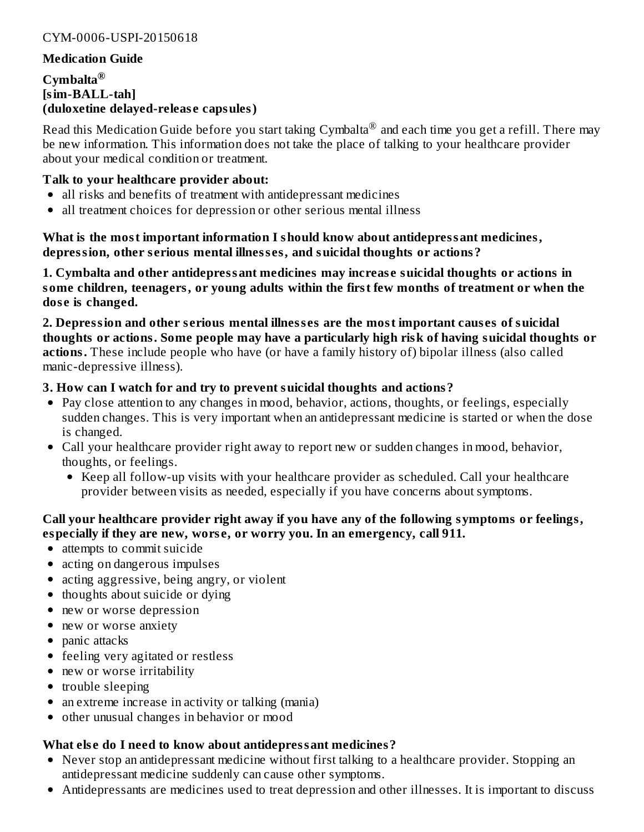#### CYM-0006-USPI-20150618

#### **Medication Guide**

#### **Cymbalta ® [sim-BALL-tah] (duloxetine delayed-releas e capsules)**

Read this Medication Guide before you start taking Cymbalta $^\circledR$  and each time you get a refill. There may be new information. This information does not take the place of talking to your healthcare provider about your medical condition or treatment.

#### **Talk to your healthcare provider about:**

- all risks and benefits of treatment with antidepressant medicines
- all treatment choices for depression or other serious mental illness  $\bullet$

#### **What is the most important information I should know about antidepressant medicines, depression, other s erious mental illness es, and suicidal thoughts or actions?**

**1. Cymbalta and other antidepressant medicines may increas e suicidal thoughts or actions in some children, teenagers, or young adults within the first few months of treatment or when the dos e is changed.**

**2. Depression and other s erious mental illness es are the most important caus es of suicidal thoughts or actions. Some people may have a particularly high risk of having suicidal thoughts or actions.** These include people who have (or have a family history of) bipolar illness (also called manic-depressive illness).

#### **3. How can I watch for and try to prevent suicidal thoughts and actions?**

- Pay close attention to any changes in mood, behavior, actions, thoughts, or feelings, especially sudden changes. This is very important when an antidepressant medicine is started or when the dose is changed.
- Call your healthcare provider right away to report new or sudden changes in mood, behavior, thoughts, or feelings.
	- Keep all follow-up visits with your healthcare provider as scheduled. Call your healthcare provider between visits as needed, especially if you have concerns about symptoms.

#### **Call your healthcare provider right away if you have any of the following symptoms or feelings, especially if they are new, wors e, or worry you. In an emergency, call 911.**

- attempts to commit suicide
- acting on dangerous impulses
- acting aggressive, being angry, or violent
- thoughts about suicide or dying
- new or worse depression
- new or worse anxiety
- panic attacks
- feeling very agitated or restless
- new or worse irritability
- trouble sleeping
- an extreme increase in activity or talking (mania)
- other unusual changes in behavior or mood  $\bullet$

#### **What els e do I need to know about antidepressant medicines?**

- Never stop an antidepressant medicine without first talking to a healthcare provider. Stopping an antidepressant medicine suddenly can cause other symptoms.
- Antidepressants are medicines used to treat depression and other illnesses. It is important to discuss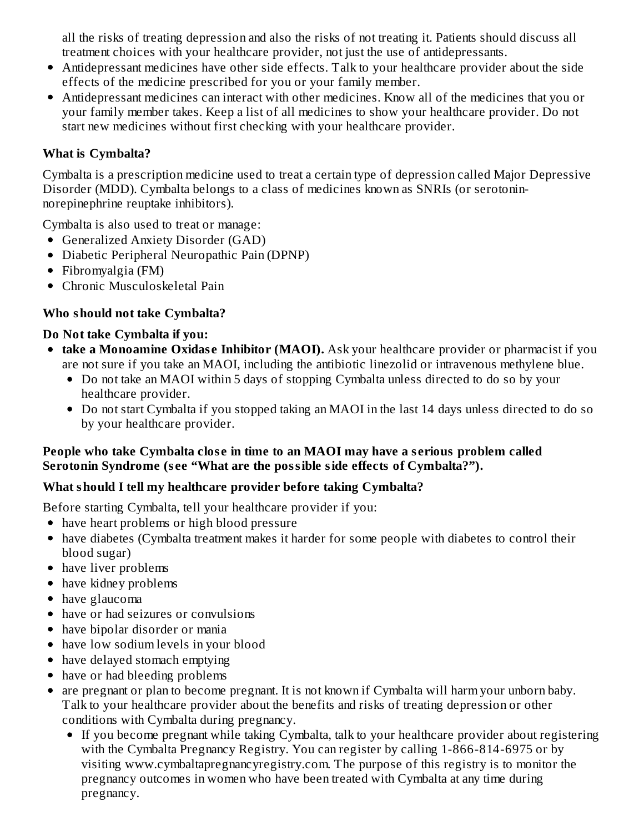all the risks of treating depression and also the risks of not treating it. Patients should discuss all treatment choices with your healthcare provider, not just the use of antidepressants.

- Antidepressant medicines have other side effects. Talk to your healthcare provider about the side effects of the medicine prescribed for you or your family member.
- Antidepressant medicines can interact with other medicines. Know all of the medicines that you or your family member takes. Keep a list of all medicines to show your healthcare provider. Do not start new medicines without first checking with your healthcare provider.

#### **What is Cymbalta?**

Cymbalta is a prescription medicine used to treat a certain type of depression called Major Depressive Disorder (MDD). Cymbalta belongs to a class of medicines known as SNRIs (or serotoninnorepinephrine reuptake inhibitors).

Cymbalta is also used to treat or manage:

- Generalized Anxiety Disorder (GAD)
- Diabetic Peripheral Neuropathic Pain (DPNP)
- $\bullet$  Fibromyalgia (FM)
- Chronic Musculoskeletal Pain

#### **Who should not take Cymbalta?**

#### **Do Not take Cymbalta if you:**

- **take a Monoamine Oxidas e Inhibitor (MAOI).** Ask your healthcare provider or pharmacist if you are not sure if you take an MAOI, including the antibiotic linezolid or intravenous methylene blue.
	- Do not take an MAOI within 5 days of stopping Cymbalta unless directed to do so by your healthcare provider.
	- Do not start Cymbalta if you stopped taking an MAOI in the last 14 days unless directed to do so by your healthcare provider.

#### **People who take Cymbalta clos e in time to an MAOI may have a s erious problem called Serotonin Syndrome (s ee "What are the possible side effects of Cymbalta?").**

#### **What should I tell my healthcare provider before taking Cymbalta?**

Before starting Cymbalta, tell your healthcare provider if you:

- have heart problems or high blood pressure
- have diabetes (Cymbalta treatment makes it harder for some people with diabetes to control their blood sugar)
- have liver problems
- have kidney problems
- have glaucoma
- have or had seizures or convulsions
- have bipolar disorder or mania
- have low sodium levels in your blood
- have delayed stomach emptying
- have or had bleeding problems
- are pregnant or plan to become pregnant. It is not known if Cymbalta will harm your unborn baby. Talk to your healthcare provider about the benefits and risks of treating depression or other conditions with Cymbalta during pregnancy.
	- If you become pregnant while taking Cymbalta, talk to your healthcare provider about registering with the Cymbalta Pregnancy Registry. You can register by calling 1-866-814-6975 or by visiting www.cymbaltapregnancyregistry.com. The purpose of this registry is to monitor the pregnancy outcomes in women who have been treated with Cymbalta at any time during pregnancy.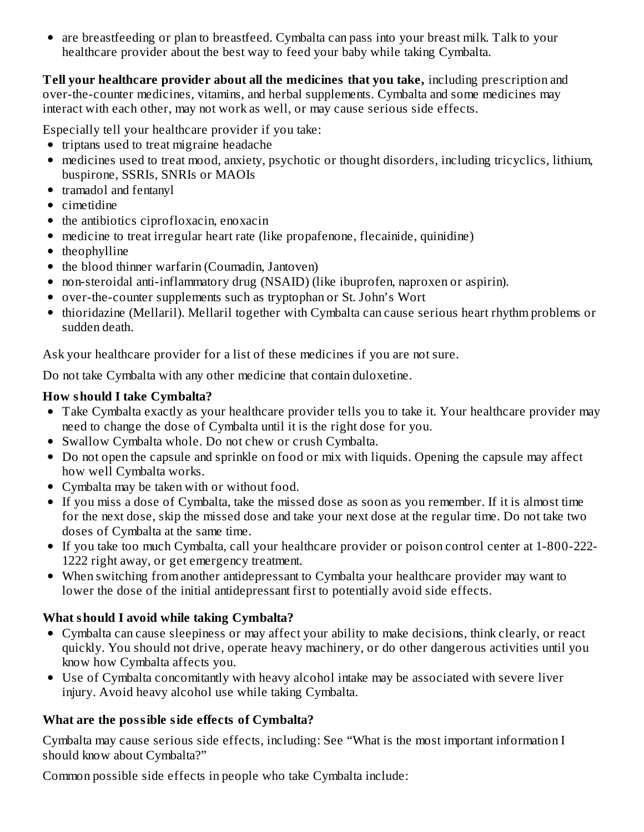are breastfeeding or plan to breastfeed. Cymbalta can pass into your breast milk. Talk to your healthcare provider about the best way to feed your baby while taking Cymbalta.

**Tell your healthcare provider about all the medicines that you take,** including prescription and over-the-counter medicines, vitamins, and herbal supplements. Cymbalta and some medicines may interact with each other, may not work as well, or may cause serious side effects.

Especially tell your healthcare provider if you take:

- triptans used to treat migraine headache
- medicines used to treat mood, anxiety, psychotic or thought disorders, including tricyclics, lithium, buspirone, SSRIs, SNRIs or MAOIs
- tramadol and fentanyl
- cimetidine
- $\bullet$  the antibiotics ciprofloxacin, enoxacin
- medicine to treat irregular heart rate (like propafenone, flecainide, quinidine)
- theophylline
- $\bullet$  the blood thinner warfarin (Coumadin, Jantoven)
- non-steroidal anti-inflammatory drug (NSAID) (like ibuprofen, naproxen or aspirin).
- over-the-counter supplements such as tryptophan or St. John's Wort
- thioridazine (Mellaril). Mellaril together with Cymbalta can cause serious heart rhythm problems or sudden death.

Ask your healthcare provider for a list of these medicines if you are not sure.

Do not take Cymbalta with any other medicine that contain duloxetine.

#### **How should I take Cymbalta?**

- Take Cymbalta exactly as your healthcare provider tells you to take it. Your healthcare provider may need to change the dose of Cymbalta until it is the right dose for you.
- Swallow Cymbalta whole. Do not chew or crush Cymbalta.
- Do not open the capsule and sprinkle on food or mix with liquids. Opening the capsule may affect how well Cymbalta works.
- Cymbalta may be taken with or without food.
- If you miss a dose of Cymbalta, take the missed dose as soon as you remember. If it is almost time for the next dose, skip the missed dose and take your next dose at the regular time. Do not take two doses of Cymbalta at the same time.
- If you take too much Cymbalta, call your healthcare provider or poison control center at 1-800-222- 1222 right away, or get emergency treatment.
- When switching from another antidepressant to Cymbalta your healthcare provider may want to lower the dose of the initial antidepressant first to potentially avoid side effects.

### **What should I avoid while taking Cymbalta?**

- Cymbalta can cause sleepiness or may affect your ability to make decisions, think clearly, or react quickly. You should not drive, operate heavy machinery, or do other dangerous activities until you know how Cymbalta affects you.
- Use of Cymbalta concomitantly with heavy alcohol intake may be associated with severe liver injury. Avoid heavy alcohol use while taking Cymbalta.

### **What are the possible side effects of Cymbalta?**

Cymbalta may cause serious side effects, including: See "What is the most important information I should know about Cymbalta?"

Common possible side effects in people who take Cymbalta include: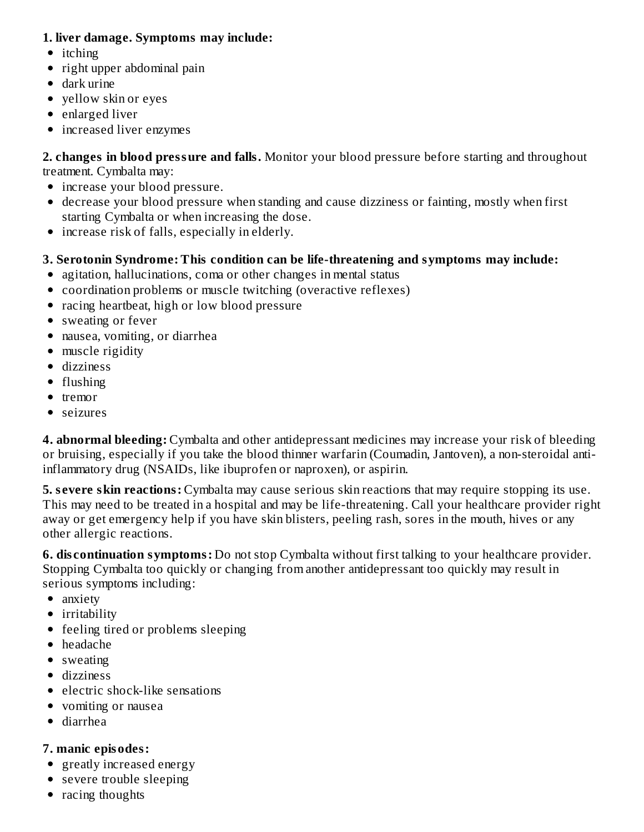#### **1. liver damage. Symptoms may include:**

- itching
- right upper abdominal pain
- dark urine
- yellow skin or eyes
- enlarged liver
- increased liver enzymes

**2. changes in blood pressure and falls.** Monitor your blood pressure before starting and throughout treatment. Cymbalta may:

- increase your blood pressure.
- decrease your blood pressure when standing and cause dizziness or fainting, mostly when first starting Cymbalta or when increasing the dose.
- increase risk of falls, especially in elderly.

## **3. Serotonin Syndrome: This condition can be life-threatening and symptoms may include:**

- agitation, hallucinations, coma or other changes in mental status
- coordination problems or muscle twitching (overactive reflexes)
- racing heartbeat, high or low blood pressure
- sweating or fever
- nausea, vomiting, or diarrhea
- muscle rigidity
- dizziness
- $\bullet$  flushing
- tremor
- seizures

**4. abnormal bleeding:** Cymbalta and other antidepressant medicines may increase your risk of bleeding or bruising, especially if you take the blood thinner warfarin (Coumadin, Jantoven), a non-steroidal antiinflammatory drug (NSAIDs, like ibuprofen or naproxen), or aspirin.

**5. s evere skin reactions:** Cymbalta may cause serious skin reactions that may require stopping its use. This may need to be treated in a hospital and may be life-threatening. Call your healthcare provider right away or get emergency help if you have skin blisters, peeling rash, sores in the mouth, hives or any other allergic reactions.

**6. dis continuation symptoms:** Do not stop Cymbalta without first talking to your healthcare provider. Stopping Cymbalta too quickly or changing from another antidepressant too quickly may result in serious symptoms including:

- anxiety
- irritability
- feeling tired or problems sleeping
- headache
- sweating
- dizziness
- electric shock-like sensations
- vomiting or nausea
- diarrhea

### **7. manic episodes:**

- greatly increased energy
- severe trouble sleeping
- racing thoughts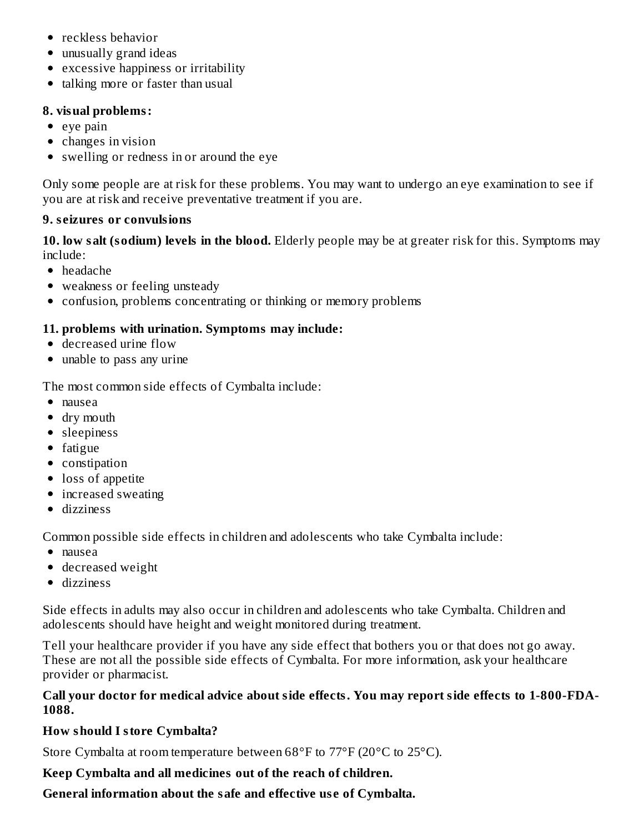- reckless behavior
- unusually grand ideas
- excessive happiness or irritability
- talking more or faster than usual

#### **8. visual problems:**

- $\bullet$  eye pain
- changes in vision
- swelling or redness in or around the eye

Only some people are at risk for these problems. You may want to undergo an eye examination to see if you are at risk and receive preventative treatment if you are.

#### **9. s eizures or convulsions**

**10. low salt (sodium) levels in the blood.** Elderly people may be at greater risk for this. Symptoms may include:

- headache
- weakness or feeling unsteady
- confusion, problems concentrating or thinking or memory problems

### **11. problems with urination. Symptoms may include:**

- decreased urine flow
- unable to pass any urine

The most common side effects of Cymbalta include:

- nausea
- dry mouth
- sleepiness
- fatigue
- constipation
- loss of appetite
- increased sweating
- dizziness

Common possible side effects in children and adolescents who take Cymbalta include:

- nausea
- decreased weight
- dizziness

Side effects in adults may also occur in children and adolescents who take Cymbalta. Children and adolescents should have height and weight monitored during treatment.

Tell your healthcare provider if you have any side effect that bothers you or that does not go away. These are not all the possible side effects of Cymbalta. For more information, ask your healthcare provider or pharmacist.

#### **Call your doctor for medical advice about side effects. You may report side effects to 1-800-FDA-1088.**

### **How should I store Cymbalta?**

Store Cymbalta at room temperature between 68°F to 77°F (20°C to 25°C).

**Keep Cymbalta and all medicines out of the reach of children.**

**General information about the safe and effective us e of Cymbalta.**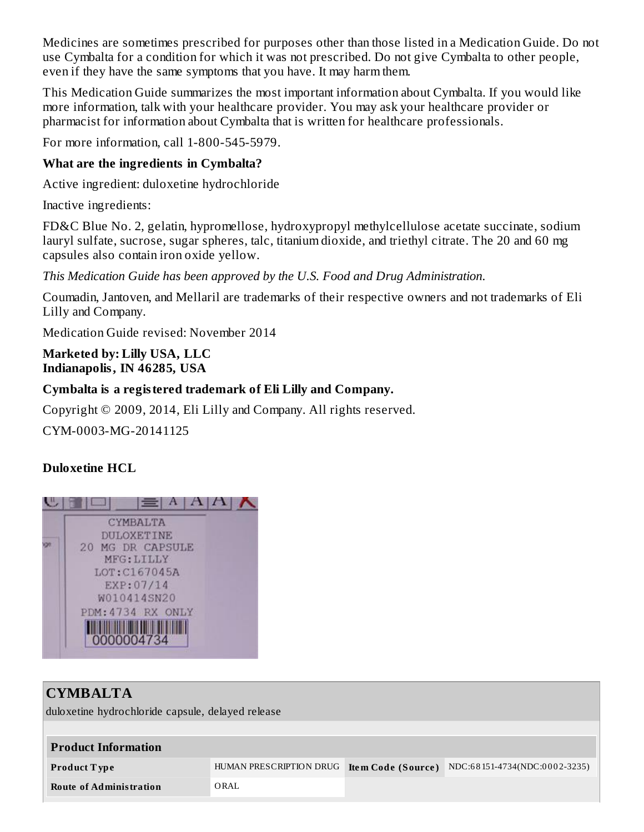Medicines are sometimes prescribed for purposes other than those listed in a Medication Guide. Do not use Cymbalta for a condition for which it was not prescribed. Do not give Cymbalta to other people, even if they have the same symptoms that you have. It may harm them.

This Medication Guide summarizes the most important information about Cymbalta. If you would like more information, talk with your healthcare provider. You may ask your healthcare provider or pharmacist for information about Cymbalta that is written for healthcare professionals.

For more information, call 1-800-545-5979.

### **What are the ingredients in Cymbalta?**

Active ingredient: duloxetine hydrochloride

Inactive ingredients:

FD&C Blue No. 2, gelatin, hypromellose, hydroxypropyl methylcellulose acetate succinate, sodium lauryl sulfate, sucrose, sugar spheres, talc, titanium dioxide, and triethyl citrate. The 20 and 60 mg capsules also contain iron oxide yellow.

*This Medication Guide has been approved by the U.S. Food and Drug Administration.*

Coumadin, Jantoven, and Mellaril are trademarks of their respective owners and not trademarks of Eli Lilly and Company.

Medication Guide revised: November 2014

#### **Marketed by: Lilly USA, LLC Indianapolis, IN 46285, USA**

### **Cymbalta is a registered trademark of Eli Lilly and Company.**

Copyright © 2009, 2014, Eli Lilly and Company. All rights reserved.

CYM-0003-MG-20141125

## **Duloxetine HCL**



| <b>CYMBALTA</b><br>duloxetine hydrochloride capsule, delayed release |                                              |  |                               |
|----------------------------------------------------------------------|----------------------------------------------|--|-------------------------------|
| <b>Product Information</b>                                           |                                              |  |                               |
| <b>Product Type</b>                                                  | HUMAN PRESCRIPTION DRUG   Item Code (Source) |  | NDC:68151-4734(NDC:0002-3235) |
| <b>Route of Administration</b>                                       | ORAL                                         |  |                               |